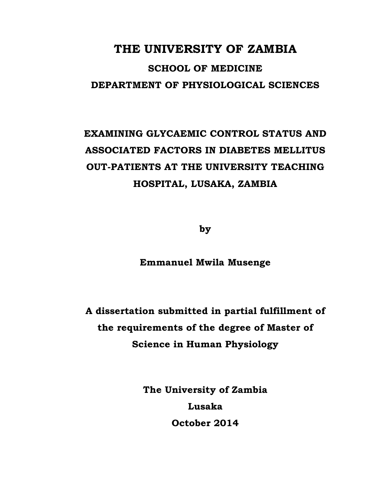# **THE UNIVERSITY OF ZAMBIA**

# **SCHOOL OF MEDICINE DEPARTMENT OF PHYSIOLOGICAL SCIENCES**

# **EXAMINING GLYCAEMIC CONTROL STATUS AND ASSOCIATED FACTORS IN DIABETES MELLITUS OUT-PATIENTS AT THE UNIVERSITY TEACHING HOSPITAL, LUSAKA, ZAMBIA**

**by** 

### **Emmanuel Mwila Musenge**

**A dissertation submitted in partial fulfillment of the requirements of the degree of Master of Science in Human Physiology** 

> **The University of Zambia Lusaka October 2014**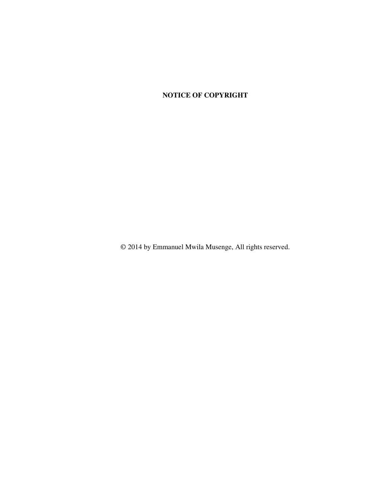### **NOTICE OF COPYRIGHT**

© 2014 by Emmanuel Mwila Musenge, All rights reserved.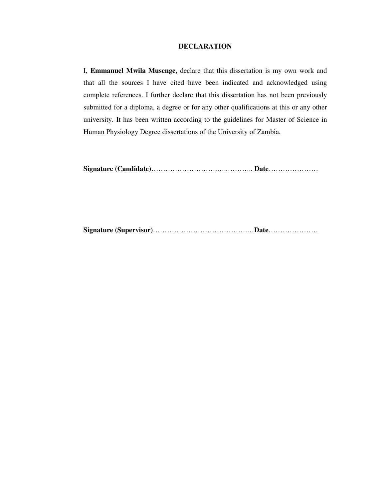#### **DECLARATION**

I, **Emmanuel Mwila Musenge,** declare that this dissertation is my own work and that all the sources I have cited have been indicated and acknowledged using complete references. I further declare that this dissertation has not been previously submitted for a diploma, a degree or for any other qualifications at this or any other university. It has been written according to the guidelines for Master of Science in Human Physiology Degree dissertations of the University of Zambia.

**Signature (Candidate)**……………………….…..……….. **Date**…………………

**Signature (Supervisor)**………………………………….…**Date**…………………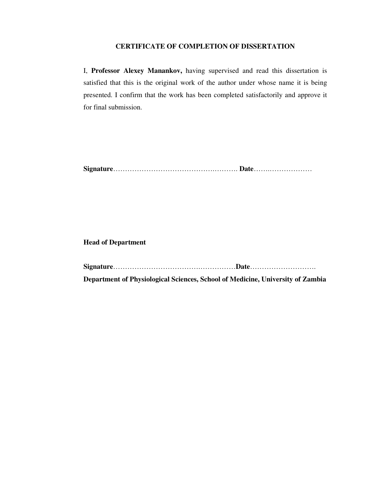#### **CERTIFICATE OF COMPLETION OF DISSERTATION**

I, **Professor Alexey Manankov,** having supervised and read this dissertation is satisfied that this is the original work of the author under whose name it is being presented. I confirm that the work has been completed satisfactorily and approve it for final submission.

**Signature**…………………………………….………. **Date**…….………………

#### **Head of Department**

**Signature**……………………………….……………**Date**……………………….

**Department of Physiological Sciences, School of Medicine, University of Zambia**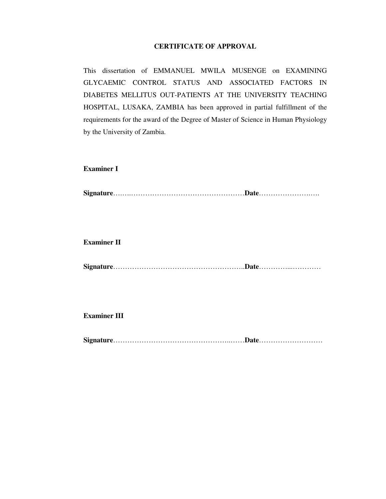### **CERTIFICATE OF APPROVAL**

This dissertation of EMMANUEL MWILA MUSENGE on EXAMINING GLYCAEMIC CONTROL STATUS AND ASSOCIATED FACTORS IN DIABETES MELLITUS OUT-PATIENTS AT THE UNIVERSITY TEACHING HOSPITAL, LUSAKA, ZAMBIA has been approved in partial fulfillment of the requirements for the award of the Degree of Master of Science in Human Physiology by the University of Zambia.

#### **Examiner I**

**Signature**….….…………………………………………**Date**………………….….

#### **Examiner II**

**Signature**………………………………………………..**Date**…………...…………

**Examiner III** 

**Signature**…………………………………………..……**Date**………………………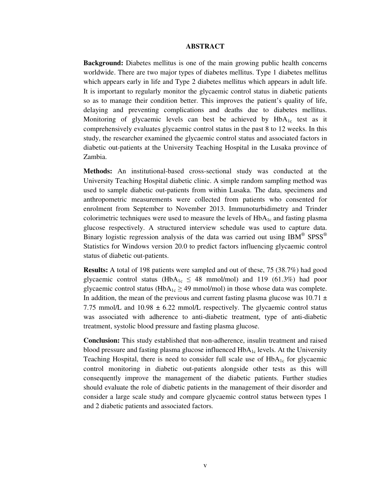#### **ABSTRACT**

**Background:** Diabetes mellitus is one of the main growing public health concerns worldwide. There are two major types of diabetes mellitus. Type 1 diabetes mellitus which appears early in life and Type 2 diabetes mellitus which appears in adult life. It is important to regularly monitor the glycaemic control status in diabetic patients so as to manage their condition better. This improves the patient's quality of life, delaying and preventing complications and deaths due to diabetes mellitus. Monitoring of glycaemic levels can best be achieved by  $HbA_{1c}$  test as it comprehensively evaluates glycaemic control status in the past 8 to 12 weeks. In this study, the researcher examined the glycaemic control status and associated factors in diabetic out-patients at the University Teaching Hospital in the Lusaka province of Zambia.

**Methods:** An institutional-based cross-sectional study was conducted at the University Teaching Hospital diabetic clinic. A simple random sampling method was used to sample diabetic out-patients from within Lusaka. The data, specimens and anthropometric measurements were collected from patients who consented for enrolment from September to November 2013. Immunoturbidimetry and Trinder colorimetric techniques were used to measure the levels of  $HbA<sub>1c</sub>$  and fasting plasma glucose respectively. A structured interview schedule was used to capture data. Binary logistic regression analysis of the data was carried out using  $IBM^{\circledast}$  SPSS $^{\circledast}$ Statistics for Windows version 20.0 to predict factors influencing glycaemic control status of diabetic out-patients.

**Results:** A total of 198 patients were sampled and out of these, 75 (38.7%) had good glycaemic control status (HbA<sub>1c</sub>  $\leq$  48 mmol/mol) and 119 (61.3%) had poor glycaemic control status ( $HbA_{1c} \geq 49$  mmol/mol) in those whose data was complete. In addition, the mean of the previous and current fasting plasma glucose was  $10.71 \pm$ 7.75 mmol/L and  $10.98 \pm 6.22$  mmol/L respectively. The glycaemic control status was associated with adherence to anti-diabetic treatment, type of anti-diabetic treatment, systolic blood pressure and fasting plasma glucose.

**Conclusion:** This study established that non-adherence, insulin treatment and raised blood pressure and fasting plasma glucose influenced HbA<sub>1c</sub> levels. At the University Teaching Hospital, there is need to consider full scale use of  $HbA_{1c}$  for glycaemic control monitoring in diabetic out-patients alongside other tests as this will consequently improve the management of the diabetic patients. Further studies should evaluate the role of diabetic patients in the management of their disorder and consider a large scale study and compare glycaemic control status between types 1 and 2 diabetic patients and associated factors.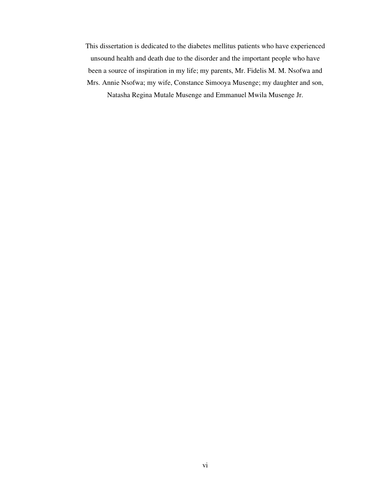This dissertation is dedicated to the diabetes mellitus patients who have experienced unsound health and death due to the disorder and the important people who have been a source of inspiration in my life; my parents, Mr. Fidelis M. M. Nsofwa and Mrs. Annie Nsofwa; my wife, Constance Simooya Musenge; my daughter and son, Natasha Regina Mutale Musenge and Emmanuel Mwila Musenge Jr.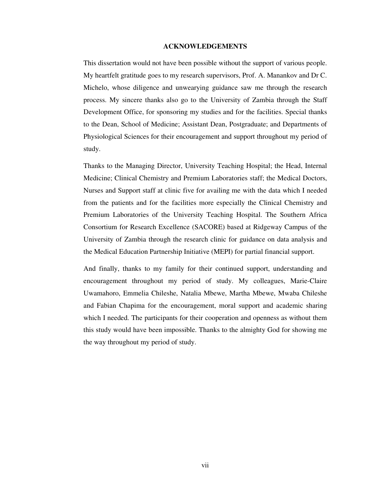#### **ACKNOWLEDGEMENTS**

This dissertation would not have been possible without the support of various people. My heartfelt gratitude goes to my research supervisors, Prof. A. Manankov and Dr C. Michelo, whose diligence and unwearying guidance saw me through the research process. My sincere thanks also go to the University of Zambia through the Staff Development Office, for sponsoring my studies and for the facilities. Special thanks to the Dean, School of Medicine; Assistant Dean, Postgraduate; and Departments of Physiological Sciences for their encouragement and support throughout my period of study.

Thanks to the Managing Director, University Teaching Hospital; the Head, Internal Medicine; Clinical Chemistry and Premium Laboratories staff; the Medical Doctors, Nurses and Support staff at clinic five for availing me with the data which I needed from the patients and for the facilities more especially the Clinical Chemistry and Premium Laboratories of the University Teaching Hospital. The Southern Africa Consortium for Research Excellence (SACORE) based at Ridgeway Campus of the University of Zambia through the research clinic for guidance on data analysis and the Medical Education Partnership Initiative (MEPI) for partial financial support.

And finally, thanks to my family for their continued support, understanding and encouragement throughout my period of study. My colleagues, Marie-Claire Uwamahoro, Emmelia Chileshe, Natalia Mbewe, Martha Mbewe, Mwaba Chileshe and Fabian Chapima for the encouragement, moral support and academic sharing which I needed. The participants for their cooperation and openness as without them this study would have been impossible. Thanks to the almighty God for showing me the way throughout my period of study.

vii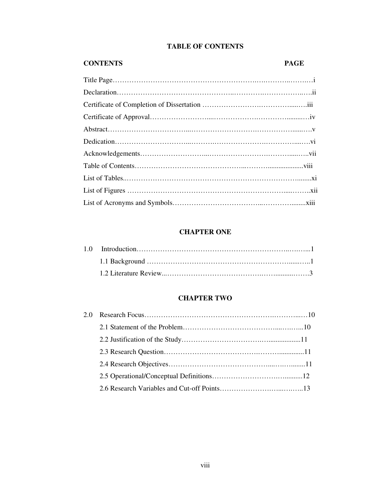### **TABLE OF CONTENTS**

### **CONTENTS PAGE**

### **CHAPTER ONE**

### **CHAPTER TWO**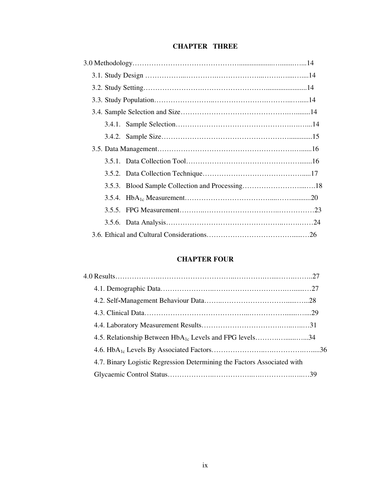### **CHAPTER THREE**

### **CHAPTER FOUR**

| 4.5. Relationship Between HbA <sub>1c</sub> Levels and FPG levels34     |  |
|-------------------------------------------------------------------------|--|
|                                                                         |  |
| 4.7. Binary Logistic Regression Determining the Factors Associated with |  |
|                                                                         |  |
|                                                                         |  |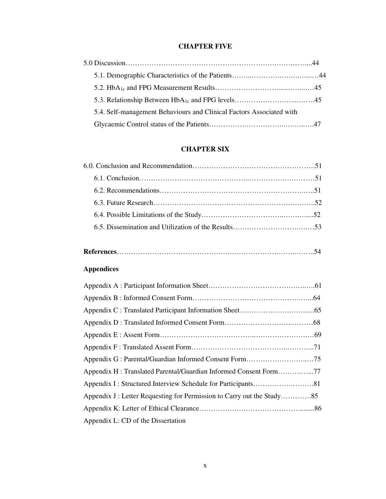### **CHAPTER FIVE**

| 5.4. Self-management Behaviours and Clinical Factors Associated with |  |
|----------------------------------------------------------------------|--|
|                                                                      |  |

### **CHAPTER SIX**

## **References**……………………………………….….……………….……..……..54

### **Appendices**

| Appendix H: Translated Parental/Guardian Informed Consent Form77 |  |
|------------------------------------------------------------------|--|
|                                                                  |  |
|                                                                  |  |
|                                                                  |  |
| Appendix L: CD of the Dissertation                               |  |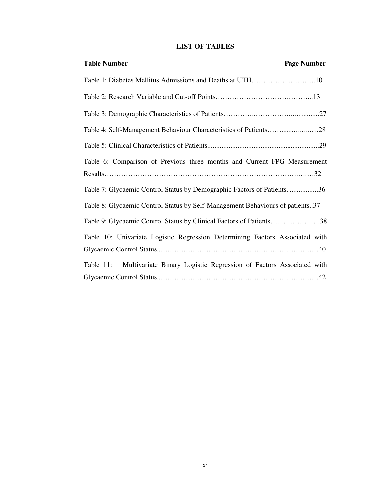### **LIST OF TABLES**

| <b>Table Number</b><br><b>Page Number</b>                                     |
|-------------------------------------------------------------------------------|
| Table 1: Diabetes Mellitus Admissions and Deaths at UTH10                     |
|                                                                               |
|                                                                               |
|                                                                               |
|                                                                               |
| Table 6: Comparison of Previous three months and Current FPG Measurement      |
|                                                                               |
| Table 7: Glycaemic Control Status by Demographic Factors of Patients36        |
| Table 8: Glycaemic Control Status by Self-Management Behaviours of patients37 |
| Table 9: Glycaemic Control Status by Clinical Factors of Patients38           |
| Table 10: Univariate Logistic Regression Determining Factors Associated with  |
|                                                                               |
| Table 11: Multivariate Binary Logistic Regression of Factors Associated with  |
|                                                                               |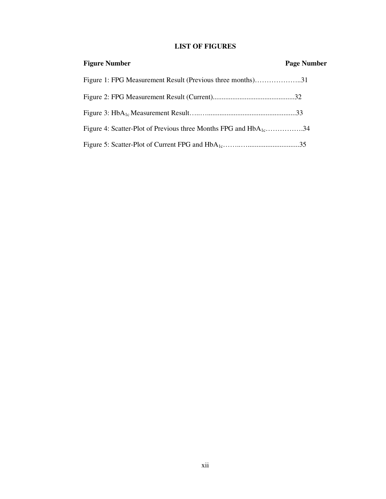### **LIST OF FIGURES**

| <b>Figure Number</b>                                                        | <b>Page Number</b> |
|-----------------------------------------------------------------------------|--------------------|
| Figure 1: FPG Measurement Result (Previous three months)31                  |                    |
|                                                                             |                    |
|                                                                             |                    |
| Figure 4: Scatter-Plot of Previous three Months FPG and HbA <sub>1</sub> 34 |                    |
|                                                                             |                    |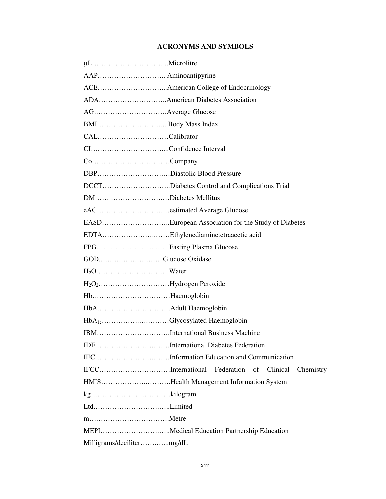### **ACRONYMS AND SYMBOLS**

| AAP Aminoantipyrine                                   |  |  |  |  |
|-------------------------------------------------------|--|--|--|--|
|                                                       |  |  |  |  |
| ADAAmerican Diabetes Association                      |  |  |  |  |
|                                                       |  |  |  |  |
| BMIBody Mass Index                                    |  |  |  |  |
| CALCalibrator                                         |  |  |  |  |
|                                                       |  |  |  |  |
|                                                       |  |  |  |  |
| DBPDiastolic Blood Pressure                           |  |  |  |  |
| DCCTDiabetes Control and Complications Trial          |  |  |  |  |
| DM Diabetes Mellitus                                  |  |  |  |  |
|                                                       |  |  |  |  |
| EASDEuropean Association for the Study of Diabetes    |  |  |  |  |
| EDTAEthylenediaminetetraacetic acid                   |  |  |  |  |
|                                                       |  |  |  |  |
| FPGFasting Plasma Glucose                             |  |  |  |  |
|                                                       |  |  |  |  |
|                                                       |  |  |  |  |
|                                                       |  |  |  |  |
| HbHaemoglobin                                         |  |  |  |  |
|                                                       |  |  |  |  |
| HbA <sub>1c</sub> Glycosylated Haemoglobin            |  |  |  |  |
| IBMInternational Business Machine                     |  |  |  |  |
| IDFInternational Diabetes Federation                  |  |  |  |  |
| IECInformation Education and Communication            |  |  |  |  |
| IFCCInternational Federation of Clinical<br>Chemistry |  |  |  |  |
| HMISHealth Management Information System              |  |  |  |  |
|                                                       |  |  |  |  |
|                                                       |  |  |  |  |
|                                                       |  |  |  |  |
| MEPIMedical Education Partnership Education           |  |  |  |  |
|                                                       |  |  |  |  |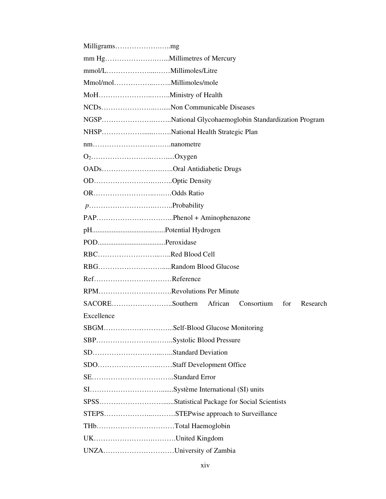| Milligramsmg                                          |                                    |  |            |     |          |
|-------------------------------------------------------|------------------------------------|--|------------|-----|----------|
|                                                       |                                    |  |            |     |          |
|                                                       |                                    |  |            |     |          |
|                                                       |                                    |  |            |     |          |
|                                                       |                                    |  |            |     |          |
| NCDsNon Communicable Diseases                         |                                    |  |            |     |          |
| NGSPNational Glycohaemoglobin Standardization Program |                                    |  |            |     |          |
|                                                       | NHSPNational Health Strategic Plan |  |            |     |          |
|                                                       |                                    |  |            |     |          |
|                                                       |                                    |  |            |     |          |
| OADsOral Antidiabetic Drugs                           |                                    |  |            |     |          |
| ODOptic Density                                       |                                    |  |            |     |          |
| OROdds Ratio                                          |                                    |  |            |     |          |
|                                                       |                                    |  |            |     |          |
|                                                       |                                    |  |            |     |          |
|                                                       |                                    |  |            |     |          |
|                                                       |                                    |  |            |     |          |
| RBCRed Blood Cell                                     |                                    |  |            |     |          |
| RBGRandom Blood Glucose                               |                                    |  |            |     |          |
| RefReference                                          |                                    |  |            |     |          |
| RPMRevolutions Per Minute                             |                                    |  |            |     |          |
| SACORESouthern African                                |                                    |  | Consortium | for | Research |
| Excellence                                            |                                    |  |            |     |          |
| SBGMSelf-Blood Glucose Monitoring                     |                                    |  |            |     |          |
| SBPSystolic Blood Pressure                            |                                    |  |            |     |          |
|                                                       |                                    |  |            |     |          |
|                                                       |                                    |  |            |     |          |
|                                                       |                                    |  |            |     |          |
|                                                       |                                    |  |            |     |          |
|                                                       |                                    |  |            |     |          |
| STEPSSTEPwise approach to Surveillance                |                                    |  |            |     |          |
| THbTotal Haemoglobin                                  |                                    |  |            |     |          |
| UKUnited Kingdom                                      |                                    |  |            |     |          |
| UNZAUniversity of Zambia                              |                                    |  |            |     |          |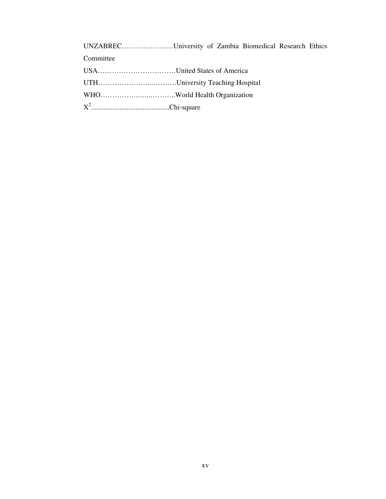UNZABREC………………….University of Zambia Biomedical Research Ethics Committee USA……………………………United States of America UTH…………………...……….University Teaching Hospital WHO……………..…..………..World Health Organization

X 2 ............................................Chi-square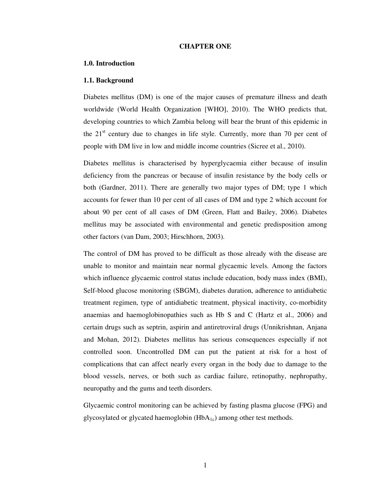#### **CHAPTER ONE**

#### **1.0. Introduction**

#### **1.1. Background**

Diabetes mellitus (DM) is one of the major causes of premature illness and death worldwide (World Health Organization [WHO], 2010). The WHO predicts that, developing countries to which Zambia belong will bear the brunt of this epidemic in the  $21<sup>st</sup>$  century due to changes in life style. Currently, more than 70 per cent of people with DM live in low and middle income countries (Sicree et al., 2010).

Diabetes mellitus is characterised by hyperglycaemia either because of insulin deficiency from the pancreas or because of insulin resistance by the body cells or both (Gardner, 2011). There are generally two major types of DM; type 1 which accounts for fewer than 10 per cent of all cases of DM and type 2 which account for about 90 per cent of all cases of DM (Green, Flatt and Bailey, 2006). Diabetes mellitus may be associated with environmental and genetic predisposition among other factors (van Dam, 2003; Hirschhorn, 2003).

The control of DM has proved to be difficult as those already with the disease are unable to monitor and maintain near normal glycaemic levels. Among the factors which influence glycaemic control status include education, body mass index (BMI), Self-blood glucose monitoring (SBGM), diabetes duration, adherence to antidiabetic treatment regimen, type of antidiabetic treatment, physical inactivity, co-morbidity anaemias and haemoglobinopathies such as Hb S and C (Hartz et al., 2006) and certain drugs such as septrin, aspirin and antiretroviral drugs (Unnikrishnan, Anjana and Mohan, 2012). Diabetes mellitus has serious consequences especially if not controlled soon. Uncontrolled DM can put the patient at risk for a host of complications that can affect nearly every organ in the body due to damage to the blood vessels, nerves, or both such as cardiac failure, retinopathy, nephropathy, neuropathy and the gums and teeth disorders.

Glycaemic control monitoring can be achieved by fasting plasma glucose (FPG) and glycosylated or glycated haemoglobin  $(HbA_{1c})$  among other test methods.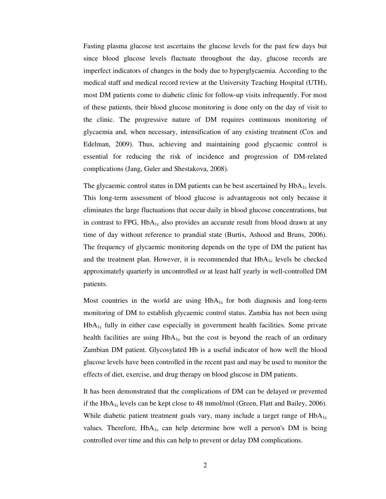Fasting plasma glucose test ascertains the glucose levels for the past few days but since blood glucose levels fluctuate throughout the day, glucose records are imperfect indicators of changes in the body due to hyperglycaemia. According to the medical staff and medical record review at the University Teaching Hospital (UTH), most DM patients come to diabetic clinic for follow-up visits infrequently. For most of these patients, their blood glucose monitoring is done only on the day of visit to the clinic. The progressive nature of DM requires continuous monitoring of glycaemia and, when necessary, intensification of any existing treatment (Cox and Edelman, 2009). Thus, achieving and maintaining good glycaemic control is essential for reducing the risk of incidence and progression of DM-related complications (Jang, Guler and Shestakova, 2008).

The glycaemic control status in DM patients can be best ascertained by  $HbA_{1c}$  levels. This long-term assessment of blood glucose is advantageous not only because it eliminates the large fluctuations that occur daily in blood glucose concentrations, but in contrast to FPG,  $HbA_{1c}$  also provides an accurate result from blood drawn at any time of day without reference to prandial state (Burtis, Ashood and Bruns, 2006). The frequency of glycaemic monitoring depends on the type of DM the patient has and the treatment plan. However, it is recommended that  $HbA_{1c}$  levels be checked approximately quarterly in uncontrolled or at least half yearly in well-controlled DM patients.

Most countries in the world are using  $HbA_{1c}$  for both diagnosis and long-term monitoring of DM to establish glycaemic control status. Zambia has not been using  $HbA_{1c}$  fully in either case especially in government health facilities. Some private health facilities are using  $HbA_{1c}$  but the cost is beyond the reach of an ordinary Zambian DM patient. Glycosylated Hb is a useful indicator of how well the blood glucose levels have been controlled in the recent past and may be used to monitor the effects of diet, exercise, and drug therapy on blood glucose in DM patients.

It has been demonstrated that the complications of DM can be delayed or prevented if the  $HbA_{1c}$  levels can be kept close to 48 mmol/mol (Green, Flatt and Bailey, 2006). While diabetic patient treatment goals vary, many include a target range of HbA<sub>1c</sub> values. Therefore,  $HbA_{1c}$  can help determine how well a person's DM is being controlled over time and this can help to prevent or delay DM complications.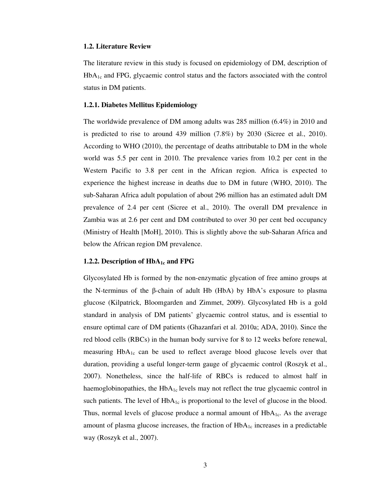#### **1.2. Literature Review**

The literature review in this study is focused on epidemiology of DM, description of HbA1c and FPG, glycaemic control status and the factors associated with the control status in DM patients.

#### **1.2.1. Diabetes Mellitus Epidemiology**

The worldwide prevalence of DM among adults was 285 million (6.4%) in 2010 and is predicted to rise to around 439 million (7.8%) by 2030 (Sicree et al., 2010). According to WHO (2010), the percentage of deaths attributable to DM in the whole world was 5.5 per cent in 2010. The prevalence varies from 10.2 per cent in the Western Pacific to 3.8 per cent in the African region. Africa is expected to experience the highest increase in deaths due to DM in future (WHO, 2010). The sub-Saharan Africa adult population of about 296 million has an estimated adult DM prevalence of 2.4 per cent (Sicree et al., 2010). The overall DM prevalence in Zambia was at 2.6 per cent and DM contributed to over 30 per cent bed occupancy (Ministry of Health [MoH], 2010). This is slightly above the sub-Saharan Africa and below the African region DM prevalence.

#### **1.2.2. Description of HbA1c and FPG**

Glycosylated Hb is formed by the non-enzymatic glycation of free amino groups at the N-terminus of the  $\beta$ -chain of adult Hb (HbA) by HbA's exposure to plasma glucose (Kilpatrick, Bloomgarden and Zimmet, 2009). Glycosylated Hb is a gold standard in analysis of DM patients' glycaemic control status, and is essential to ensure optimal care of DM patients (Ghazanfari et al. 2010a; ADA, 2010). Since the red blood cells (RBCs) in the human body survive for 8 to 12 weeks before renewal, measuring  $HbA_{1c}$  can be used to reflect average blood glucose levels over that duration, providing a useful longer-term gauge of glycaemic control (Roszyk et al., 2007). Nonetheless, since the half-life of RBCs is reduced to almost half in haemoglobinopathies, the  $HbA_{1c}$  levels may not reflect the true glycaemic control in such patients. The level of  $HbA_{1c}$  is proportional to the level of glucose in the blood. Thus, normal levels of glucose produce a normal amount of  $HbA<sub>1c</sub>$ . As the average amount of plasma glucose increases, the fraction of  $HbA_{1c}$  increases in a predictable way (Roszyk et al., 2007).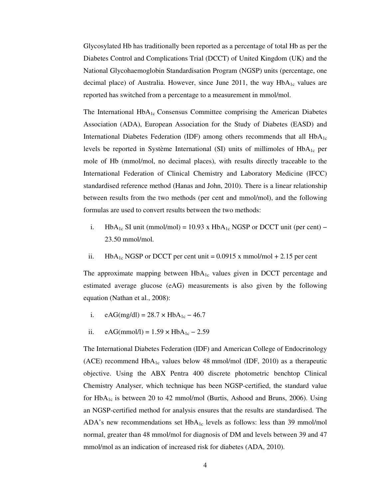Glycosylated Hb has traditionally been reported as a percentage of total Hb as per the Diabetes Control and Complications Trial (DCCT) of United Kingdom (UK) and the National Glycohaemoglobin Standardisation Program (NGSP) units (percentage, one decimal place) of Australia. However, since June 2011, the way  $HbA_{1c}$  values are reported has switched from a percentage to a measurement in mmol/mol.

The International  $HbA_{1c}$  Consensus Committee comprising the American Diabetes Association (ADA), European Association for the Study of Diabetes (EASD) and International Diabetes Federation (IDF) among others recommends that all  $HbA_{1c}$ levels be reported in Système International (SI) units of millimoles of HbA<sub>1c</sub> per mole of Hb (mmol/mol, no decimal places), with results directly traceable to the International Federation of Clinical Chemistry and Laboratory Medicine (IFCC) standardised reference method (Hanas and John, 2010). There is a linear relationship between results from the two methods (per cent and mmol/mol), and the following formulas are used to convert results between the two methods:

- i. HbA<sub>1c</sub> SI unit (mmol/mol) = 10.93 x HbA<sub>1c</sub> NGSP or DCCT unit (per cent) 23.50 mmol/mol.
- ii. HbA<sub>1c</sub> NGSP or DCCT per cent unit =  $0.0915$  x mmol/mol + 2.15 per cent

The approximate mapping between  $HbA_{1c}$  values given in DCCT percentage and estimated average glucose (eAG) measurements is also given by the following equation (Nathan et al., 2008):

- i. eAG(mg/dl) =  $28.7 \times HbA_{1c} 46.7$
- ii. eAG(mmol/l) =  $1.59 \times HbA_{1c} 2.59$

The International Diabetes Federation (IDF) and American College of Endocrinology (ACE) recommend  $HbA_{1c}$  values below 48 mmol/mol (IDF, 2010) as a therapeutic objective. Using the ABX Pentra 400 discrete photometric benchtop Clinical Chemistry Analyser, which technique has been NGSP-certified, the standard value for  $HbA_{1c}$  is between 20 to 42 mmol/mol (Burtis, Ashood and Bruns, 2006). Using an NGSP-certified method for analysis ensures that the results are standardised. The ADA's new recommendations set  $HbA_{1c}$  levels as follows: less than 39 mmol/mol normal, greater than 48 mmol/mol for diagnosis of DM and levels between 39 and 47 mmol/mol as an indication of increased risk for diabetes (ADA, 2010).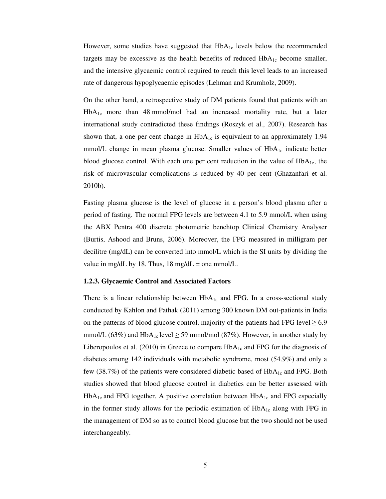However, some studies have suggested that  $HbA_{1c}$  levels below the recommended targets may be excessive as the health benefits of reduced  $HbA_{1c}$  become smaller, and the intensive glycaemic control required to reach this level leads to an increased rate of dangerous hypoglycaemic episodes (Lehman and Krumholz, 2009).

On the other hand, a retrospective study of DM patients found that patients with an  $HbA_{1c}$  more than 48 mmol/mol had an increased mortality rate, but a later international study contradicted these findings (Roszyk et al., 2007). Research has shown that, a one per cent change in  $HbA_{1c}$  is equivalent to an approximately 1.94 mmol/L change in mean plasma glucose. Smaller values of  $HbA_{1c}$  indicate better blood glucose control. With each one per cent reduction in the value of  $HbA<sub>1c</sub>$ , the risk of microvascular complications is reduced by 40 per cent (Ghazanfari et al. 2010b).

Fasting plasma glucose is the level of glucose in a person's blood plasma after a period of fasting. The normal FPG levels are between 4.1 to 5.9 mmol/L when using the ABX Pentra 400 discrete photometric benchtop Clinical Chemistry Analyser (Burtis, Ashood and Bruns, 2006). Moreover, the FPG measured in milligram per decilitre (mg/dL) can be converted into mmol/L which is the SI units by dividing the value in mg/dL by 18. Thus,  $18 \text{ mg/dL} = \text{one mmol/L}$ .

#### **1.2.3. Glycaemic Control and Associated Factors**

There is a linear relationship between  $HbA_{1c}$  and FPG. In a cross-sectional study conducted by Kahlon and Pathak (2011) among 300 known DM out-patients in India on the patterns of blood glucose control, majority of the patients had FPG level  $\geq 6.9$ mmol/L (63%) and HbA<sub>1c</sub> level  $\geq$  59 mmol/mol (87%). However, in another study by Liberopoulos et al. (2010) in Greece to compare  $HbA_{1c}$  and FPG for the diagnosis of diabetes among 142 individuals with metabolic syndrome, most (54.9%) and only a few (38.7%) of the patients were considered diabetic based of  $HbA_{1c}$  and FPG. Both studies showed that blood glucose control in diabetics can be better assessed with  $HbA_{1c}$  and FPG together. A positive correlation between  $HbA_{1c}$  and FPG especially in the former study allows for the periodic estimation of  $HbA_{1c}$  along with FPG in the management of DM so as to control blood glucose but the two should not be used interchangeably.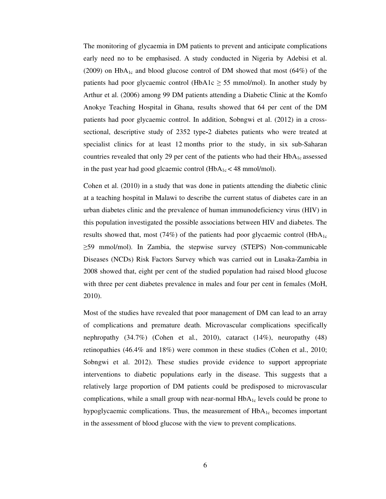The monitoring of glycaemia in DM patients to prevent and anticipate complications early need no to be emphasised. A study conducted in Nigeria by Adebisi et al. (2009) on  $HbA_{1c}$  and blood glucose control of DM showed that most (64%) of the patients had poor glycaemic control (HbA1c  $\geq$  55 mmol/mol). In another study by Arthur et al. (2006) among 99 DM patients attending a Diabetic Clinic at the Komfo Anokye Teaching Hospital in Ghana, results showed that 64 per cent of the DM patients had poor glycaemic control. In addition, Sobngwi et al. (2012) in a crosssectional, descriptive study of 2352 type**-**2 diabetes patients who were treated at specialist clinics for at least 12 months prior to the study, in six sub-Saharan countries revealed that only 29 per cent of the patients who had their  $HbA<sub>1c</sub>$  assessed in the past year had good glcaemic control  $(HbA<sub>1c</sub> < 48$  mmol/mol).

Cohen et al. (2010) in a study that was done in patients attending the diabetic clinic at a teaching hospital in Malawi to describe the current status of diabetes care in an urban diabetes clinic and the prevalence of human immunodeficiency virus (HIV) in this population investigated the possible associations between HIV and diabetes. The results showed that, most (74%) of the patients had poor glycaemic control ( $HbA_{1c}$ ≥59 mmol/mol). In Zambia, the stepwise survey (STEPS) Non-communicable Diseases (NCDs) Risk Factors Survey which was carried out in Lusaka-Zambia in 2008 showed that, eight per cent of the studied population had raised blood glucose with three per cent diabetes prevalence in males and four per cent in females (MoH, 2010).

Most of the studies have revealed that poor management of DM can lead to an array of complications and premature death. Microvascular complications specifically nephropathy (34.7%) (Cohen et al., 2010), cataract (14%), neuropathy (48) retinopathies (46.4% and 18%) were common in these studies (Cohen et al., 2010; Sobngwi et al. 2012). These studies provide evidence to support appropriate interventions to diabetic populations early in the disease. This suggests that a relatively large proportion of DM patients could be predisposed to microvascular complications, while a small group with near-normal  $HbA_{1c}$  levels could be prone to hypoglycaemic complications. Thus, the measurement of  $HbA_{1c}$  becomes important in the assessment of blood glucose with the view to prevent complications.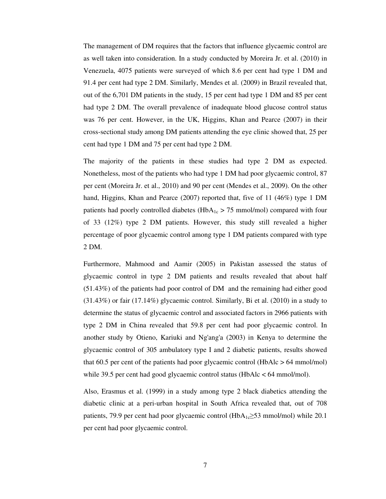The management of DM requires that the factors that influence glycaemic control are as well taken into consideration. In a study conducted by Moreira Jr. et al. (2010) in Venezuela, 4075 patients were surveyed of which 8.6 per cent had type 1 DM and 91.4 per cent had type 2 DM. Similarly, Mendes et al. (2009) in Brazil revealed that, out of the 6,701 DM patients in the study, 15 per cent had type 1 DM and 85 per cent had type 2 DM. The overall prevalence of inadequate blood glucose control status was 76 per cent. However, in the UK, Higgins, Khan and Pearce (2007) in their cross-sectional study among DM patients attending the eye clinic showed that, 25 per cent had type 1 DM and 75 per cent had type 2 DM.

The majority of the patients in these studies had type 2 DM as expected. Nonetheless, most of the patients who had type 1 DM had poor glycaemic control, 87 per cent (Moreira Jr. et al., 2010) and 90 per cent (Mendes et al., 2009). On the other hand, Higgins, Khan and Pearce (2007) reported that, five of 11 (46%) type 1 DM patients had poorly controlled diabetes ( $HbA_{1c} > 75$  mmol/mol) compared with four of 33 (12%) type 2 DM patients. However, this study still revealed a higher percentage of poor glycaemic control among type 1 DM patients compared with type 2 DM.

Furthermore, Mahmood and Aamir (2005) in Pakistan assessed the status of glycaemic control in type 2 DM patients and results revealed that about half (51.43%) of the patients had poor control of DM and the remaining had either good (31.43%) or fair (17.14%) glycaemic control. Similarly, Bi et al. (2010) in a study to determine the status of glycaemic control and associated factors in 2966 patients with type 2 DM in China revealed that 59.8 per cent had poor glycaemic control. In another study by Otieno, Kariuki and Ng'ang'a (2003) in Kenya to determine the glycaemic control of 305 ambulatory type I and 2 diabetic patients, results showed that 60.5 per cent of the patients had poor glycaemic control (HbAlc > 64 mmol/mol) while 39.5 per cent had good glycaemic control status (HbAlc < 64 mmol/mol).

Also, Erasmus et al. (1999) in a study among type 2 black diabetics attending the diabetic clinic at a peri-urban hospital in South Africa revealed that, out of 708 patients, 79.9 per cent had poor glycaemic control (HbA<sub>1c</sub>≥53 mmol/mol) while 20.1 per cent had poor glycaemic control.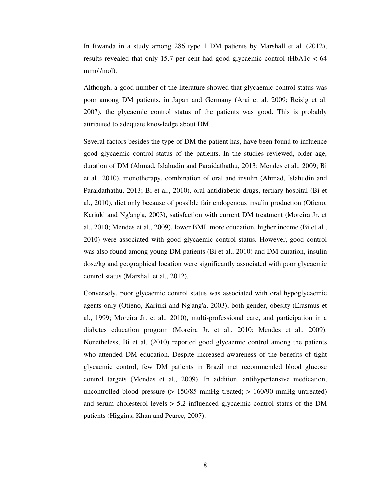In Rwanda in a study among 286 type 1 DM patients by Marshall et al. (2012), results revealed that only 15.7 per cent had good glycaemic control (HbA1c  $<$  64 mmol/mol).

Although, a good number of the literature showed that glycaemic control status was poor among DM patients, in Japan and Germany (Arai et al. 2009; Reisig et al. 2007), the glycaemic control status of the patients was good. This is probably attributed to adequate knowledge about DM.

Several factors besides the type of DM the patient has, have been found to influence good glycaemic control status of the patients. In the studies reviewed, older age, duration of DM (Ahmad, Islahudin and Paraidathathu, 2013; Mendes et al., 2009; Bi et al., 2010), monotherapy, combination of oral and insulin (Ahmad, Islahudin and Paraidathathu, 2013; Bi et al., 2010), oral antidiabetic drugs, tertiary hospital (Bi et al., 2010), diet only because of possible fair endogenous insulin production (Otieno, Kariuki and Ng'ang'a, 2003), satisfaction with current DM treatment (Moreira Jr. et al., 2010; Mendes et al., 2009), lower BMI, more education, higher income (Bi et al., 2010) were associated with good glycaemic control status. However, good control was also found among young DM patients (Bi et al., 2010) and DM duration, insulin dose/kg and geographical location were significantly associated with poor glycaemic control status (Marshall et al., 2012).

Conversely, poor glycaemic control status was associated with oral hypoglycaemic agents-only (Otieno, Kariuki and Ng'ang'a, 2003), both gender, obesity (Erasmus et al., 1999; Moreira Jr. et al., 2010), multi-professional care, and participation in a diabetes education program (Moreira Jr. et al., 2010; Mendes et al., 2009). Nonetheless, Bi et al. (2010) reported good glycaemic control among the patients who attended DM education. Despite increased awareness of the benefits of tight glycaemic control, few DM patients in Brazil met recommended blood glucose control targets (Mendes et al., 2009). In addition, antihypertensive medication, uncontrolled blood pressure (> 150/85 mmHg treated; > 160/90 mmHg untreated) and serum cholesterol levels > 5.2 influenced glycaemic control status of the DM patients (Higgins, Khan and Pearce, 2007).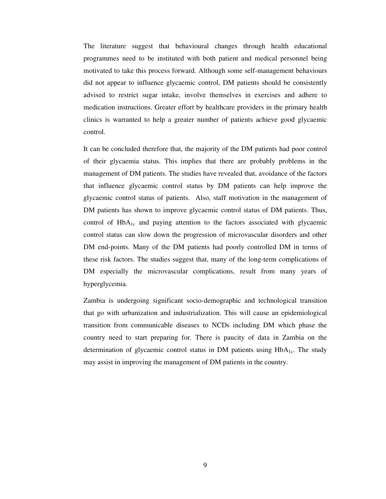The literature suggest that behavioural changes through health educational programmes need to be instituted with both patient and medical personnel being motivated to take this process forward. Although some self-management behaviours did not appear to influence glycaemic control, DM patients should be consistently advised to restrict sugar intake, involve themselves in exercises and adhere to medication instructions. Greater effort by healthcare providers in the primary health clinics is warranted to help a greater number of patients achieve good glycaemic control.

It can be concluded therefore that, the majority of the DM patients had poor control of their glycaemia status. This implies that there are probably problems in the management of DM patients. The studies have revealed that, avoidance of the factors that influence glycaemic control status by DM patients can help improve the glycaemic control status of patients. Also, staff motivation in the management of DM patients has shown to improve glycaemic control status of DM patients. Thus, control of  $HbA_{1c}$  and paying attention to the factors associated with glycaemic control status can slow down the progression of microvascular disorders and other DM end-points. Many of the DM patients had poorly controlled DM in terms of these risk factors. The studies suggest that, many of the long-term complications of DM especially the microvascular complications, result from many years of hyperglycemia.

Zambia is undergoing significant socio-demographic and technological transition that go with urbanization and industrialization. This will cause an epidemiological transition from communicable diseases to NCDs including DM which phase the country need to start preparing for. There is paucity of data in Zambia on the determination of glycaemic control status in DM patients using  $HbA<sub>1c</sub>$ . The study may assist in improving the management of DM patients in the country.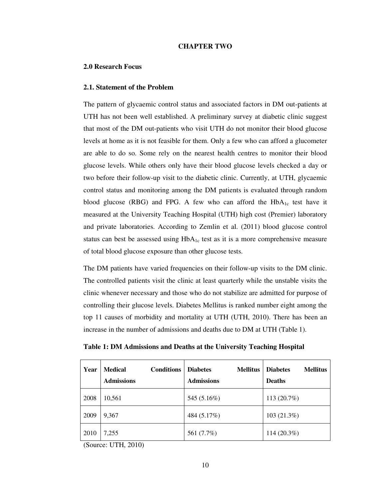#### **CHAPTER TWO**

#### **2.0 Research Focus**

#### **2.1. Statement of the Problem**

The pattern of glycaemic control status and associated factors in DM out-patients at UTH has not been well established. A preliminary survey at diabetic clinic suggest that most of the DM out-patients who visit UTH do not monitor their blood glucose levels at home as it is not feasible for them. Only a few who can afford a glucometer are able to do so. Some rely on the nearest health centres to monitor their blood glucose levels. While others only have their blood glucose levels checked a day or two before their follow-up visit to the diabetic clinic. Currently, at UTH, glycaemic control status and monitoring among the DM patients is evaluated through random blood glucose (RBG) and FPG. A few who can afford the  $HbA_{1c}$  test have it measured at the University Teaching Hospital (UTH) high cost (Premier) laboratory and private laboratories. According to Zemlin et al. (2011) blood glucose control status can best be assessed using  $HbA_{1c}$  test as it is a more comprehensive measure of total blood glucose exposure than other glucose tests.

The DM patients have varied frequencies on their follow-up visits to the DM clinic. The controlled patients visit the clinic at least quarterly while the unstable visits the clinic whenever necessary and those who do not stabilize are admitted for purpose of controlling their glucose levels. Diabetes Mellitus is ranked number eight among the top 11 causes of morbidity and mortality at UTH (UTH, 2010). There has been an increase in the number of admissions and deaths due to DM at UTH (Table 1).

| Year | <b>Medical</b><br><b>Conditions</b><br><b>Admissions</b> | <b>Diabetes</b><br><b>Mellitus</b><br><b>Admissions</b> | <b>Diabetes</b><br><b>Mellitus</b><br><b>Deaths</b> |
|------|----------------------------------------------------------|---------------------------------------------------------|-----------------------------------------------------|
| 2008 | 10,561                                                   | 545 (5.16%)                                             | 113 $(20.7%)$                                       |
| 2009 | 9,367                                                    | 484 (5.17%)                                             | 103(21.3%)                                          |
| 2010 | 7,255                                                    | 561 (7.7%)                                              | $114(20.3\%)$                                       |

**Table 1: DM Admissions and Deaths at the University Teaching Hospital**

(Source: UTH, 2010)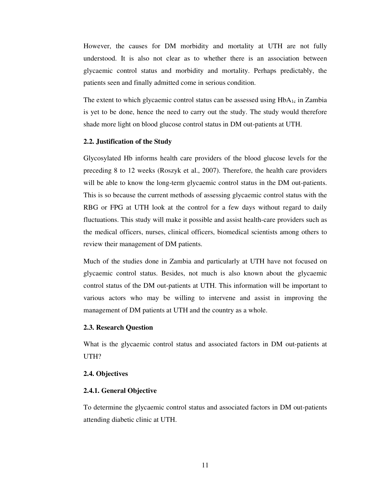However, the causes for DM morbidity and mortality at UTH are not fully understood. It is also not clear as to whether there is an association between glycaemic control status and morbidity and mortality. Perhaps predictably, the patients seen and finally admitted come in serious condition.

The extent to which glycaemic control status can be assessed using  $HbA_{1c}$  in Zambia is yet to be done, hence the need to carry out the study. The study would therefore shade more light on blood glucose control status in DM out-patients at UTH.

#### **2.2. Justification of the Study**

Glycosylated Hb informs health care providers of the blood glucose levels for the preceding 8 to 12 weeks (Roszyk et al., 2007). Therefore, the health care providers will be able to know the long-term glycaemic control status in the DM out-patients. This is so because the current methods of assessing glycaemic control status with the RBG or FPG at UTH look at the control for a few days without regard to daily fluctuations. This study will make it possible and assist health-care providers such as the medical officers, nurses, clinical officers, biomedical scientists among others to review their management of DM patients.

Much of the studies done in Zambia and particularly at UTH have not focused on glycaemic control status. Besides, not much is also known about the glycaemic control status of the DM out-patients at UTH. This information will be important to various actors who may be willing to intervene and assist in improving the management of DM patients at UTH and the country as a whole.

#### **2.3. Research Question**

What is the glycaemic control status and associated factors in DM out-patients at UTH?

#### **2.4. Objectives**

#### **2.4.1. General Objective**

To determine the glycaemic control status and associated factors in DM out-patients attending diabetic clinic at UTH.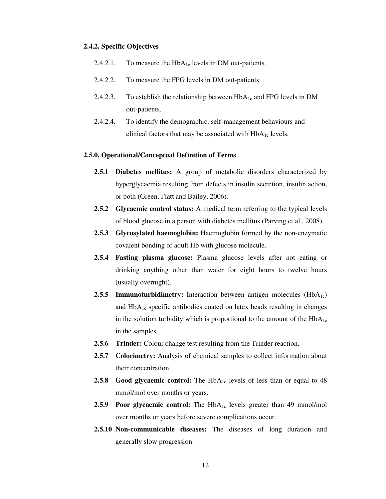#### **2.4.2. Specific Objectives**

- 2.4.2.1. To measure the  $HbA_{1c}$  levels in DM out-patients.
- 2.4.2.2. To measure the FPG levels in DM out-patients.
- 2.4.2.3. To establish the relationship between  $HbA_{1c}$  and FPG levels in DM out-patients.
- 2.4.2.4. To identify the demographic, self-management behaviours and clinical factors that may be associated with  $HbA_{1c}$  levels.

#### **2.5.0. Operational/Conceptual Definition of Terms**

- **2.5.1 Diabetes mellitus:** A group of metabolic disorders characterized by hyperglycaemia resulting from defects in insulin secretion, insulin action, or both (Green, Flatt and Bailey, 2006).
- **2.5.2 Glycaemic control status:** A medical term referring to the typical levels of blood glucose in a person with diabetes mellitus (Parving et al., 2008).
- **2.5.3 Glycosylated haemoglobin:** Haemoglobin formed by the non-enzymatic covalent bonding of adult Hb with glucose molecule.
- **2.5.4 Fasting plasma glucose:** Plasma glucose levels after not eating or drinking anything other than water for eight hours to twelve hours (usually overnight).
- **2.5.5 Immunoturbidimetry:** Interaction between antigen molecules  $(HbA<sub>1c</sub>)$ and HbA<sub>1c</sub> specific antibodies coated on latex beads resulting in changes in the solution turbidity which is proportional to the amount of the  $HbA_{1c}$ in the samples.
- **2.5.6 Trinder:** Colour change test resulting from the Trinder reaction.
- **2.5.7 Colorimetry:** Analysis of chemical samples to collect information about their concentration.
- **2.5.8 Good glycaemic control:** The HbA<sub>1c</sub> levels of less than or equal to 48 mmol/mol over months or years.
- **2.5.9 Poor glycaemic control:** The HbA<sub>1c</sub> levels greater than 49 mmol/mol over months or years before severe complications occur.
- **2.5.10 Non-communicable diseases:** The diseases of long duration and generally slow progression.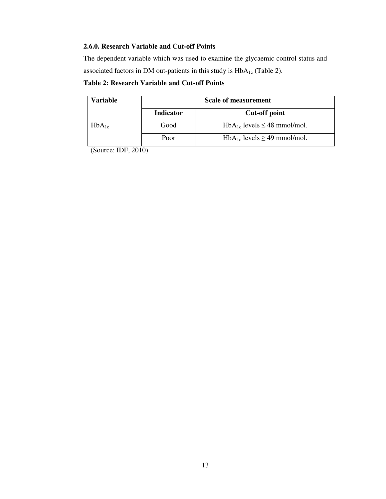### **2.6.0. Research Variable and Cut-off Points**

The dependent variable which was used to examine the glycaemic control status and associated factors in DM out-patients in this study is  $HbA_{1c}$  (Table 2).

### **Table 2: Research Variable and Cut-off Points**

| Variable   | Scale of measurement |                                       |  |
|------------|----------------------|---------------------------------------|--|
|            | <b>Indicator</b>     | <b>Cut-off point</b>                  |  |
| $HbA_{1c}$ | Good                 | $HbA_{1c}$ levels $\leq 48$ mmol/mol. |  |
|            | Poor                 | $HbA_{1c}$ levels $\geq$ 49 mmol/mol. |  |

(Source: IDF, 2010)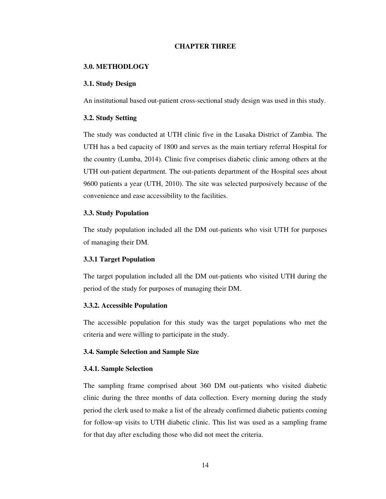#### **CHAPTER THREE**

#### **3.0. METHODLOGY**

#### **3.1. Study Design**

An institutional based out-patient cross-sectional study design was used in this study.

#### **3.2. Study Setting**

The study was conducted at UTH clinic five in the Lusaka District of Zambia. The UTH has a bed capacity of 1800 and serves as the main tertiary referral Hospital for the country (Lumba, 2014). Clinic five comprises diabetic clinic among others at the UTH out-patient department. The out-patients department of the Hospital sees about 9600 patients a year (UTH, 2010). The site was selected purposively because of the convenience and ease accessibility to the facilities.

#### **3.3. Study Population**

The study population included all the DM out-patients who visit UTH for purposes of managing their DM.

#### **3.3.1 Target Population**

The target population included all the DM out-patients who visited UTH during the period of the study for purposes of managing their DM.

#### **3.3.2. Accessible Population**

The accessible population for this study was the target populations who met the criteria and were willing to participate in the study.

#### **3.4. Sample Selection and Sample Size**

#### **3.4.1. Sample Selection**

The sampling frame comprised about 360 DM out-patients who visited diabetic clinic during the three months of data collection. Every morning during the study period the clerk used to make a list of the already confirmed diabetic patients coming for follow-up visits to UTH diabetic clinic. This list was used as a sampling frame for that day after excluding those who did not meet the criteria.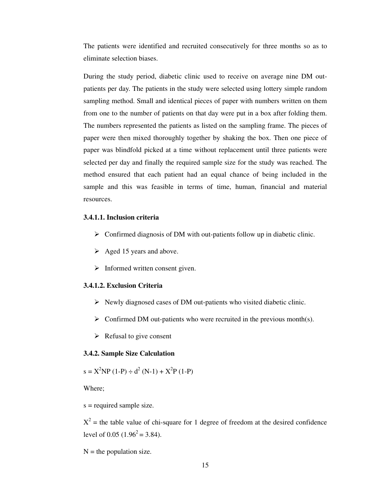The patients were identified and recruited consecutively for three months so as to eliminate selection biases.

During the study period, diabetic clinic used to receive on average nine DM outpatients per day. The patients in the study were selected using lottery simple random sampling method. Small and identical pieces of paper with numbers written on them from one to the number of patients on that day were put in a box after folding them. The numbers represented the patients as listed on the sampling frame. The pieces of paper were then mixed thoroughly together by shaking the box. Then one piece of paper was blindfold picked at a time without replacement until three patients were selected per day and finally the required sample size for the study was reached. The method ensured that each patient had an equal chance of being included in the sample and this was feasible in terms of time, human, financial and material resources.

#### **3.4.1.1. Inclusion criteria**

- $\triangleright$  Confirmed diagnosis of DM with out-patients follow up in diabetic clinic.
- $\triangleright$  Aged 15 years and above.
- $\triangleright$  Informed written consent given.

#### **3.4.1.2. Exclusion Criteria**

- $\triangleright$  Newly diagnosed cases of DM out-patients who visited diabetic clinic.
- $\triangleright$  Confirmed DM out-patients who were recruited in the previous month(s).
- $\triangleright$  Refusal to give consent

#### **3.4.2. Sample Size Calculation**

$$
s = X^{2}NP (1-P) \div d^{2} (N-1) + X^{2}P (1-P)
$$

Where;

s = required sample size.

 $X^2$  = the table value of chi-square for 1 degree of freedom at the desired confidence level of 0.05 (1.96<sup>2</sup> = 3.84).

 $N =$  the population size.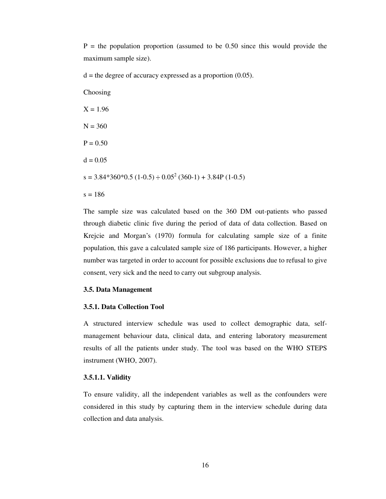$P =$  the population proportion (assumed to be 0.50 since this would provide the maximum sample size).

 $d =$  the degree of accuracy expressed as a proportion  $(0.05)$ .

Choosing  $X = 1.96$  $N = 360$  $P = 0.50$  $d = 0.05$  $s = 3.84*360*0.5 (1-0.5) \div 0.05^2 (360-1) + 3.84P (1-0.5)$  $s = 186$ 

The sample size was calculated based on the 360 DM out-patients who passed through diabetic clinic five during the period of data of data collection. Based on Krejcie and Morgan's (1970) formula for calculating sample size of a finite population, this gave a calculated sample size of 186 participants. However, a higher number was targeted in order to account for possible exclusions due to refusal to give consent, very sick and the need to carry out subgroup analysis.

#### **3.5. Data Management**

#### **3.5.1. Data Collection Tool**

A structured interview schedule was used to collect demographic data, selfmanagement behaviour data, clinical data, and entering laboratory measurement results of all the patients under study. The tool was based on the WHO STEPS instrument (WHO, 2007).

#### **3.5.1.1. Validity**

To ensure validity, all the independent variables as well as the confounders were considered in this study by capturing them in the interview schedule during data collection and data analysis.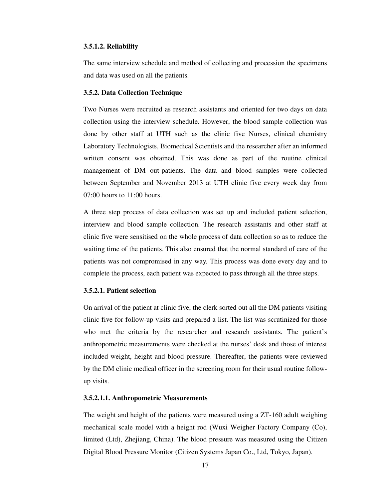#### **3.5.1.2. Reliability**

The same interview schedule and method of collecting and procession the specimens and data was used on all the patients.

#### **3.5.2. Data Collection Technique**

Two Nurses were recruited as research assistants and oriented for two days on data collection using the interview schedule. However, the blood sample collection was done by other staff at UTH such as the clinic five Nurses, clinical chemistry Laboratory Technologists, Biomedical Scientists and the researcher after an informed written consent was obtained. This was done as part of the routine clinical management of DM out-patients. The data and blood samples were collected between September and November 2013 at UTH clinic five every week day from 07:00 hours to 11:00 hours.

A three step process of data collection was set up and included patient selection, interview and blood sample collection. The research assistants and other staff at clinic five were sensitised on the whole process of data collection so as to reduce the waiting time of the patients. This also ensured that the normal standard of care of the patients was not compromised in any way. This process was done every day and to complete the process, each patient was expected to pass through all the three steps.

#### **3.5.2.1. Patient selection**

On arrival of the patient at clinic five, the clerk sorted out all the DM patients visiting clinic five for follow-up visits and prepared a list. The list was scrutinized for those who met the criteria by the researcher and research assistants. The patient's anthropometric measurements were checked at the nurses' desk and those of interest included weight, height and blood pressure. Thereafter, the patients were reviewed by the DM clinic medical officer in the screening room for their usual routine followup visits.

#### **3.5.2.1.1. Anthropometric Measurements**

The weight and height of the patients were measured using a ZT-160 adult weighing mechanical scale model with a height rod (Wuxi Weigher Factory Company (Co), limited (Ltd), Zhejiang, China). The blood pressure was measured using the Citizen Digital Blood Pressure Monitor (Citizen Systems Japan Co., Ltd, Tokyo, Japan).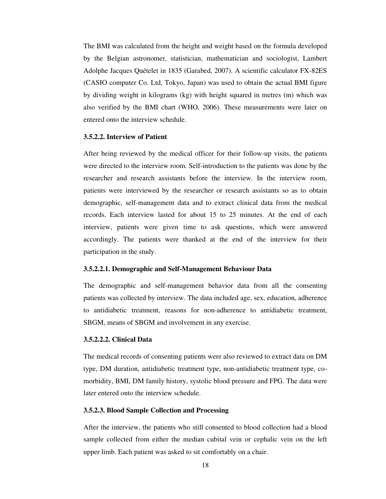The BMI was calculated from the height and weight based on the formula developed by the Belgian astronomer, statistician, mathematician and sociologist, Lambert Adolphe Jacques Quételet in 1835 (Garabed, 2007). A scientific calculator FX-82ES (CASIO computer Co. Ltd, Tokyo, Japan) was used to obtain the actual BMI figure by dividing weight in kilograms (kg) with height squared in metres (m) which was also verified by the BMI chart (WHO, 2006). These measurements were later on entered onto the interview schedule.

#### **3.5.2.2. Interview of Patient**

After being reviewed by the medical officer for their follow-up visits, the patients were directed to the interview room. Self-introduction to the patients was done by the researcher and research assistants before the interview. In the interview room, patients were interviewed by the researcher or research assistants so as to obtain demographic, self-management data and to extract clinical data from the medical records. Each interview lasted for about 15 to 25 minutes. At the end of each interview, patients were given time to ask questions, which were answered accordingly. The patients were thanked at the end of the interview for their participation in the study.

#### **3.5.2.2.1. Demographic and Self-Management Behaviour Data**

The demographic and self-management behavior data from all the consenting patients was collected by interview. The data included age, sex, education, adherence to antidiabetic treatment, reasons for non-adherence to antidiabetic treatment, SBGM, means of SBGM and involvement in any exercise.

#### **3.5.2.2.2. Clinical Data**

The medical records of consenting patients were also reviewed to extract data on DM type, DM duration, antidiabetic treatment type, non-antidiabetic treatment type, comorbidity, BMI, DM family history, systolic blood pressure and FPG. The data were later entered onto the interview schedule.

#### **3.5.2.3. Blood Sample Collection and Processing**

After the interview, the patients who still consented to blood collection had a blood sample collected from either the median cubital vein or cephalic vein on the left upper limb. Each patient was asked to sit comfortably on a chair.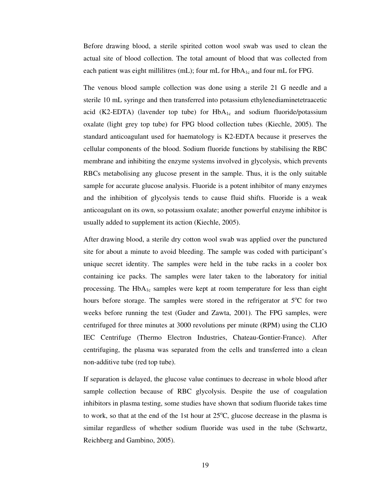Before drawing blood, a sterile spirited cotton wool swab was used to clean the actual site of blood collection. The total amount of blood that was collected from each patient was eight millilitres (mL); four mL for  $HbA_{1c}$  and four mL for FPG.

The venous blood sample collection was done using a sterile 21 G needle and a sterile 10 mL syringe and then transferred into potassium ethylenediaminetetraacetic acid (K2-EDTA) (lavender top tube) for  $HbA_{1c}$  and sodium fluoride/potassium oxalate (light grey top tube) for FPG blood collection tubes (Kiechle, 2005). The standard anticoagulant used for haematology is K2-EDTA because it preserves the cellular components of the blood. Sodium fluoride functions by stabilising the RBC membrane and inhibiting the enzyme systems involved in glycolysis, which prevents RBCs metabolising any glucose present in the sample. Thus, it is the only suitable sample for accurate glucose analysis. Fluoride is a potent inhibitor of many enzymes and the inhibition of glycolysis tends to cause fluid shifts. Fluoride is a weak anticoagulant on its own, so potassium oxalate; another powerful enzyme inhibitor is usually added to supplement its action (Kiechle, 2005).

After drawing blood, a sterile dry cotton wool swab was applied over the punctured site for about a minute to avoid bleeding. The sample was coded with participant's unique secret identity. The samples were held in the tube racks in a cooler box containing ice packs. The samples were later taken to the laboratory for initial processing. The  $HbA_{1c}$  samples were kept at room temperature for less than eight hours before storage. The samples were stored in the refrigerator at  $5^{\circ}$ C for two weeks before running the test (Guder and Zawta, 2001). The FPG samples, were centrifuged for three minutes at 3000 revolutions per minute (RPM) using the CLIO IEC Centrifuge (Thermo Electron Industries, Chateau-Gontier-France). After centrifuging, the plasma was separated from the cells and transferred into a clean non-additive tube (red top tube).

If separation is delayed, the glucose value continues to decrease in whole blood after sample collection because of RBC glycolysis. Despite the use of coagulation inhibitors in plasma testing, some studies have shown that sodium fluoride takes time to work, so that at the end of the 1st hour at  $25^{\circ}$ C, glucose decrease in the plasma is similar regardless of whether sodium fluoride was used in the tube (Schwartz, Reichberg and Gambino, 2005).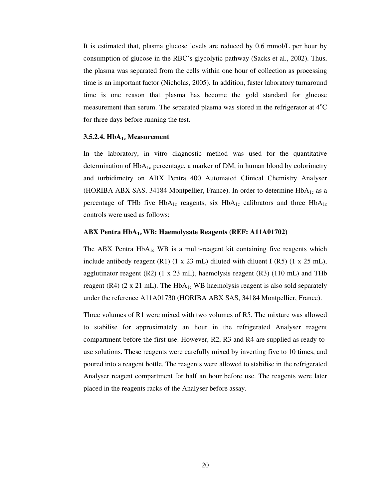It is estimated that, plasma glucose levels are reduced by 0.6 mmol/L per hour by consumption of glucose in the RBC's glycolytic pathway (Sacks et al., 2002). Thus, the plasma was separated from the cells within one hour of collection as processing time is an important factor (Nicholas, 2005). In addition, faster laboratory turnaround time is one reason that plasma has become the gold standard for glucose measurement than serum. The separated plasma was stored in the refrigerator at  $4^{\circ}C$ for three days before running the test.

#### **3.5.2.4. HbA1c Measurement**

In the laboratory, in vitro diagnostic method was used for the quantitative determination of  $HbA_{1c}$  percentage, a marker of DM, in human blood by colorimetry and turbidimetry on ABX Pentra 400 Automated Clinical Chemistry Analyser (HORIBA ABX SAS, 34184 Montpellier, France). In order to determine  $HbA_{1c}$  as a percentage of THb five HbA<sub>1c</sub> reagents, six HbA<sub>1c</sub> calibrators and three HbA<sub>1c</sub> controls were used as follows:

#### **ABX Pentra HbA1c WB: Haemolysate Reagents (REF: A11A01702)**

The ABX Pentra  $HbA_{1c}$  WB is a multi-reagent kit containing five reagents which include antibody reagent  $(R1)$  (1 x 23 mL) diluted with diluent I  $(R5)$  (1 x 25 mL), agglutinator reagent (R2) (1 x 23 mL), haemolysis reagent (R3) (110 mL) and THb reagent (R4) (2 x 21 mL). The HbA<sub>1c</sub> WB haemolysis reagent is also sold separately under the reference A11A01730 (HORIBA ABX SAS, 34184 Montpellier, France).

Three volumes of R1 were mixed with two volumes of R5. The mixture was allowed to stabilise for approximately an hour in the refrigerated Analyser reagent compartment before the first use. However, R2, R3 and R4 are supplied as ready-touse solutions. These reagents were carefully mixed by inverting five to 10 times, and poured into a reagent bottle. The reagents were allowed to stabilise in the refrigerated Analyser reagent compartment for half an hour before use. The reagents were later placed in the reagents racks of the Analyser before assay.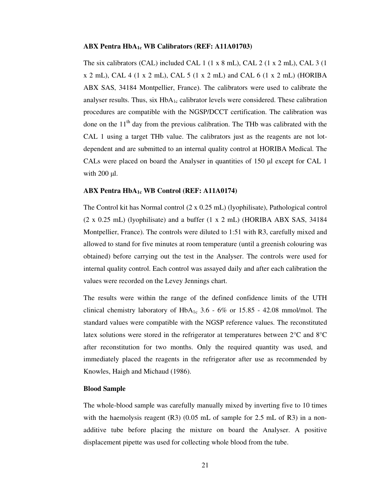### **ABX Pentra HbA1c WB Calibrators (REF: A11A01703)**

The six calibrators (CAL) included CAL 1 (1 x 8 mL), CAL 2 (1 x 2 mL), CAL 3 (1  $x 2$  mL), CAL 4 (1 x 2 mL), CAL 5 (1 x 2 mL) and CAL 6 (1 x 2 mL) (HORIBA ABX SAS, 34184 Montpellier, France). The calibrators were used to calibrate the analyser results. Thus, six  $HbA_{1c}$  calibrator levels were considered. These calibration procedures are compatible with the NGSP/DCCT certification. The calibration was done on the  $11<sup>th</sup>$  day from the previous calibration. The THb was calibrated with the CAL 1 using a target THb value. The calibrators just as the reagents are not lotdependent and are submitted to an internal quality control at HORIBA Medical. The CALs were placed on board the Analyser in quantities of 150 µl except for CAL 1 with  $200 \mu l$ .

# **ABX Pentra HbA1c WB Control (REF: A11A0174)**

The Control kit has Normal control (2 x 0.25 mL) (lyophilisate), Pathological control (2 x 0.25 mL) (lyophilisate) and a buffer (1 x 2 mL) (HORIBA ABX SAS, 34184 Montpellier, France). The controls were diluted to 1:51 with R3, carefully mixed and allowed to stand for five minutes at room temperature (until a greenish colouring was obtained) before carrying out the test in the Analyser. The controls were used for internal quality control. Each control was assayed daily and after each calibration the values were recorded on the Levey Jennings chart.

The results were within the range of the defined confidence limits of the UTH clinical chemistry laboratory of  $HbA_{1c}$  3.6 - 6% or 15.85 - 42.08 mmol/mol. The standard values were compatible with the NGSP reference values. The reconstituted latex solutions were stored in the refrigerator at temperatures between 2°C and 8°C after reconstitution for two months. Only the required quantity was used, and immediately placed the reagents in the refrigerator after use as recommended by Knowles, Haigh and Michaud (1986).

### **Blood Sample**

The whole-blood sample was carefully manually mixed by inverting five to 10 times with the haemolysis reagent  $(R3)$   $(0.05$  mL of sample for 2.5 mL of R3) in a nonadditive tube before placing the mixture on board the Analyser. A positive displacement pipette was used for collecting whole blood from the tube.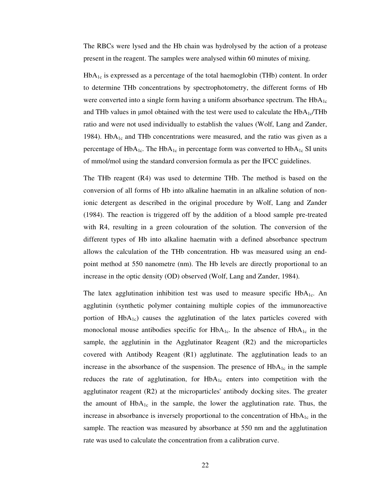The RBCs were lysed and the Hb chain was hydrolysed by the action of a protease present in the reagent. The samples were analysed within 60 minutes of mixing.

 $HbA_{1c}$  is expressed as a percentage of the total haemoglobin (THb) content. In order to determine THb concentrations by spectrophotometry, the different forms of Hb were converted into a single form having a uniform absorbance spectrum. The  $HbA_{1c}$ and THb values in µmol obtained with the test were used to calculate the  $HbA_{1c}/THb$ ratio and were not used individually to establish the values (Wolf, Lang and Zander, 1984). Hb $A_{1c}$  and THb concentrations were measured, and the ratio was given as a percentage of HbA<sub>1c</sub>. The HbA<sub>1c</sub> in percentage form was converted to HbA<sub>1c</sub> SI units of mmol/mol using the standard conversion formula as per the IFCC guidelines.

The THb reagent (R4) was used to determine THb. The method is based on the conversion of all forms of Hb into alkaline haematin in an alkaline solution of nonionic detergent as described in the original procedure by Wolf, Lang and Zander (1984). The reaction is triggered off by the addition of a blood sample pre-treated with R4, resulting in a green colouration of the solution. The conversion of the different types of Hb into alkaline haematin with a defined absorbance spectrum allows the calculation of the THb concentration. Hb was measured using an endpoint method at 550 nanometre (nm). The Hb levels are directly proportional to an increase in the optic density (OD) observed (Wolf, Lang and Zander, 1984).

The latex agglutination inhibition test was used to measure specific HbA<sub>1c</sub>. An agglutinin (synthetic polymer containing multiple copies of the immunoreactive portion of HbA<sub>1c</sub>) causes the agglutination of the latex particles covered with monoclonal mouse antibodies specific for  $HbA_{1c}$ . In the absence of  $HbA_{1c}$  in the sample, the agglutinin in the Agglutinator Reagent (R2) and the microparticles covered with Antibody Reagent (R1) agglutinate. The agglutination leads to an increase in the absorbance of the suspension. The presence of  $HbA_{1c}$  in the sample reduces the rate of agglutination, for  $HbA_{1c}$  enters into competition with the agglutinator reagent (R2) at the microparticles' antibody docking sites. The greater the amount of  $HbA_{1c}$  in the sample, the lower the agglutination rate. Thus, the increase in absorbance is inversely proportional to the concentration of  $HbA_{1c}$  in the sample. The reaction was measured by absorbance at 550 nm and the agglutination rate was used to calculate the concentration from a calibration curve.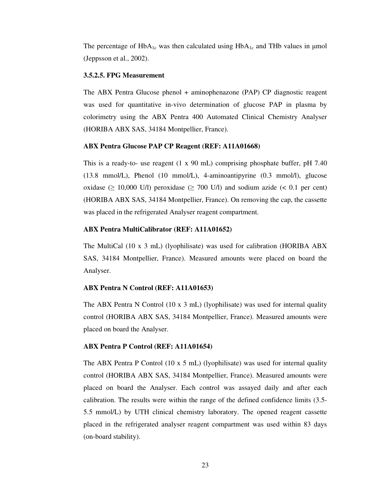The percentage of  $HbA_{1c}$  was then calculated using  $HbA_{1c}$  and THb values in µmol (Jeppsson et al., 2002).

# **3.5.2.5. FPG Measurement**

The ABX Pentra Glucose phenol + aminophenazone (PAP) CP diagnostic reagent was used for quantitative in-vivo determination of glucose PAP in plasma by colorimetry using the ABX Pentra 400 Automated Clinical Chemistry Analyser (HORIBA ABX SAS, 34184 Montpellier, France).

### **ABX Pentra Glucose PAP CP Reagent (REF: A11A01668)**

This is a ready-to- use reagent (1 x 90 mL) comprising phosphate buffer, pH 7.40 (13.8 mmol/L), Phenol (10 mmol/L), 4-aminoantipyrine (0.3 mmol/l), glucose oxidase ( $\geq$  10,000 U/l) peroxidase ( $\geq$  700 U/l) and sodium azide (< 0.1 per cent) (HORIBA ABX SAS, 34184 Montpellier, France). On removing the cap, the cassette was placed in the refrigerated Analyser reagent compartment.

# **ABX Pentra MultiCalibrator (REF: A11A01652)**

The MultiCal (10 x 3 mL) (lyophilisate) was used for calibration (HORIBA ABX SAS, 34184 Montpellier, France). Measured amounts were placed on board the Analyser.

### **ABX Pentra N Control (REF: A11A01653)**

The ABX Pentra N Control (10 x 3 mL) (lyophilisate) was used for internal quality control (HORIBA ABX SAS, 34184 Montpellier, France). Measured amounts were placed on board the Analyser.

# **ABX Pentra P Control (REF: A11A01654)**

The ABX Pentra P Control (10 x 5 mL) (lyophilisate) was used for internal quality control (HORIBA ABX SAS, 34184 Montpellier, France). Measured amounts were placed on board the Analyser. Each control was assayed daily and after each calibration. The results were within the range of the defined confidence limits (3.5- 5.5 mmol/L) by UTH clinical chemistry laboratory. The opened reagent cassette placed in the refrigerated analyser reagent compartment was used within 83 days (on-board stability).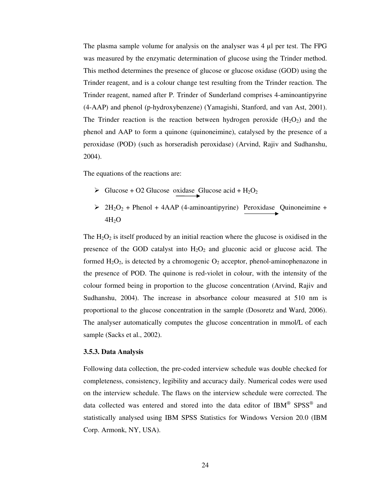The plasma sample volume for analysis on the analyser was 4 µl per test. The FPG was measured by the enzymatic determination of glucose using the Trinder method. This method determines the presence of glucose or glucose oxidase (GOD) using the Trinder reagent, and is a colour change test resulting from the Trinder reaction. The Trinder reagent, named after P. Trinder of Sunderland comprises 4-aminoantipyrine (4-AAP) and phenol (p-hydroxybenzene) (Yamagishi, Stanford, and van Ast, 2001). The Trinder reaction is the reaction between hydrogen peroxide  $(H_2O_2)$  and the phenol and AAP to form a quinone (quinoneimine), catalysed by the presence of a peroxidase (POD) (such as horseradish peroxidase) (Arvind, Rajiv and Sudhanshu, 2004).

The equations of the reactions are:

- $\triangleright$  Glucose + O2 Glucose oxidase Glucose acid + H<sub>2</sub>O<sub>2</sub>
- $\geq 2H_2O_2$  + Phenol + 4AAP (4-aminoantipyrine) Peroxidase Quinoneimine +  $4H<sub>2</sub>O$

The  $H_2O_2$  is itself produced by an initial reaction where the glucose is oxidised in the presence of the GOD catalyst into  $H_2O_2$  and gluconic acid or glucose acid. The formed  $H_2O_2$ , is detected by a chromogenic  $O_2$  acceptor, phenol-aminophenazone in the presence of POD. The quinone is red-violet in colour, with the intensity of the colour formed being in proportion to the glucose concentration (Arvind, Rajiv and Sudhanshu, 2004). The increase in absorbance colour measured at 510 nm is proportional to the glucose concentration in the sample (Dosoretz and Ward, 2006). The analyser automatically computes the glucose concentration in mmol/L of each sample (Sacks et al., 2002).

#### **3.5.3. Data Analysis**

Following data collection, the pre-coded interview schedule was double checked for completeness, consistency, legibility and accuracy daily. Numerical codes were used on the interview schedule. The flaws on the interview schedule were corrected. The data collected was entered and stored into the data editor of  $IBM^{\circ}$  SPSS<sup>®</sup> and statistically analysed using IBM SPSS Statistics for Windows Version 20.0 (IBM Corp. Armonk, NY, USA).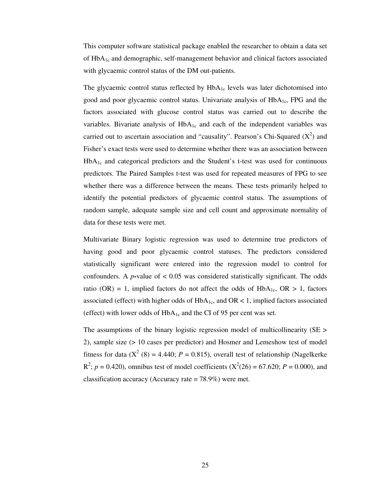This computer software statistical package enabled the researcher to obtain a data set of  $HbA_{1c}$  and demographic, self-management behavior and clinical factors associated with glycaemic control status of the DM out-patients.

The glycaemic control status reflected by  $HbA_{1c}$  levels was later dichotomised into good and poor glycaemic control status. Univariate analysis of  $HbA<sub>1c</sub>$ , FPG and the factors associated with glucose control status was carried out to describe the variables. Bivariate analysis of  $HbA_{1c}$  and each of the independent variables was carried out to ascertain association and "causality". Pearson's Chi-Squared  $(X^2)$  and Fisher's exact tests were used to determine whether there was an association between  $HbA<sub>1c</sub>$  and categorical predictors and the Student's t-test was used for continuous predictors. The Paired Samples t-test was used for repeated measures of FPG to see whether there was a difference between the means. These tests primarily helped to identify the potential predictors of glycaemic control status. The assumptions of random sample, adequate sample size and cell count and approximate normality of data for these tests were met.

Multivariate Binary logistic regression was used to determine true predictors of having good and poor glycaemic control statuses. The predictors considered statistically significant were entered into the regression model to control for confounders. A  $p$ -value of  $\lt$  0.05 was considered statistically significant. The odds ratio (OR) = 1, implied factors do not affect the odds of  $HbA<sub>1c</sub>$ , OR > 1, factors associated (effect) with higher odds of  $HbA_{1c}$ , and  $OR < 1$ , implied factors associated (effect) with lower odds of  $HbA_{1c}$  and the CI of 95 per cent was set.

The assumptions of the binary logistic regression model of multicollinearity (SE > 2), sample size (> 10 cases per predictor) and Hosmer and Lemeshow test of model fitness for data  $(X^2(8) = 4.440; P = 0.815)$ , overall test of relationship (Nagelkerke  $R^2$ ;  $p = 0.420$ ), omnibus test of model coefficients ( $X^2(26) = 67.620$ ;  $P = 0.000$ ), and classification accuracy (Accuracy rate = 78.9%) were met.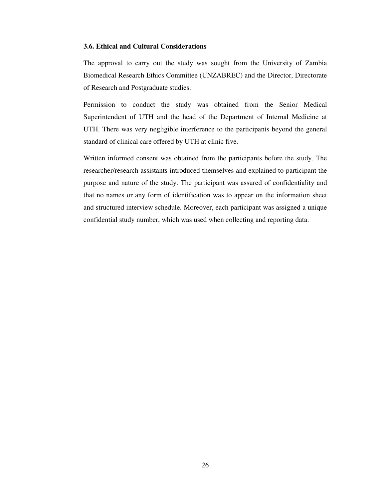# **3.6. Ethical and Cultural Considerations**

The approval to carry out the study was sought from the University of Zambia Biomedical Research Ethics Committee (UNZABREC) and the Director, Directorate of Research and Postgraduate studies.

Permission to conduct the study was obtained from the Senior Medical Superintendent of UTH and the head of the Department of Internal Medicine at UTH. There was very negligible interference to the participants beyond the general standard of clinical care offered by UTH at clinic five.

Written informed consent was obtained from the participants before the study. The researcher/research assistants introduced themselves and explained to participant the purpose and nature of the study. The participant was assured of confidentiality and that no names or any form of identification was to appear on the information sheet and structured interview schedule. Moreover, each participant was assigned a unique confidential study number, which was used when collecting and reporting data.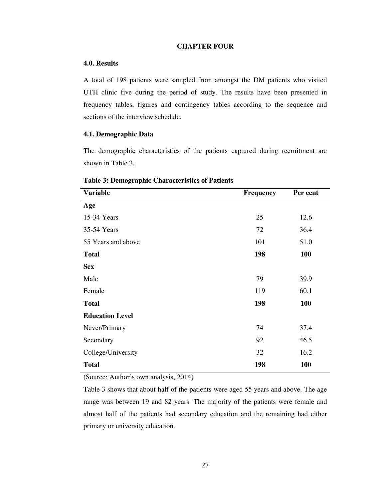# **CHAPTER FOUR**

## **4.0. Results**

A total of 198 patients were sampled from amongst the DM patients who visited UTH clinic five during the period of study. The results have been presented in frequency tables, figures and contingency tables according to the sequence and sections of the interview schedule.

# **4.1. Demographic Data**

The demographic characteristics of the patients captured during recruitment are shown in Table 3.

| <b>Variable</b>        | <b>Frequency</b> | Per cent   |
|------------------------|------------------|------------|
| Age                    |                  |            |
| 15-34 Years            | 25               | 12.6       |
| 35-54 Years            | 72               | 36.4       |
| 55 Years and above     | 101              | 51.0       |
| <b>Total</b>           | 198              | <b>100</b> |
| <b>Sex</b>             |                  |            |
| Male                   | 79               | 39.9       |
| Female                 | 119              | 60.1       |
| <b>Total</b>           | 198              | 100        |
| <b>Education Level</b> |                  |            |
| Never/Primary          | 74               | 37.4       |
| Secondary              | 92               | 46.5       |
| College/University     | 32               | 16.2       |
| <b>Total</b>           | 198              | <b>100</b> |

# **Table 3: Demographic Characteristics of Patients**

(Source: Author's own analysis, 2014)

Table 3 shows that about half of the patients were aged 55 years and above. The age range was between 19 and 82 years. The majority of the patients were female and almost half of the patients had secondary education and the remaining had either primary or university education.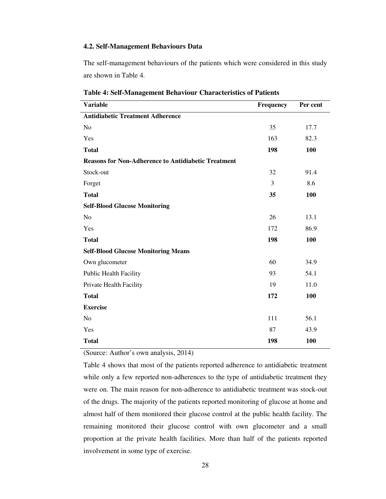# **4.2. Self-Management Behaviours Data**

The self-management behaviours of the patients which were considered in this study are shown in Table 4.

| <b>Variable</b>                                            | Frequency | Per cent |
|------------------------------------------------------------|-----------|----------|
| <b>Antidiabetic Treatment Adherence</b>                    |           |          |
| N <sub>o</sub>                                             | 35        | 17.7     |
| Yes                                                        | 163       | 82.3     |
| <b>Total</b>                                               | 198       | 100      |
| <b>Reasons for Non-Adherence to Antidiabetic Treatment</b> |           |          |
| Stock-out                                                  | 32        | 91.4     |
| Forget                                                     | 3         | 8.6      |
| <b>Total</b>                                               | 35        | 100      |
| <b>Self-Blood Glucose Monitoring</b>                       |           |          |
| N <sub>o</sub>                                             | 26        | 13.1     |
| Yes                                                        | 172       | 86.9     |
| <b>Total</b>                                               | 198       | 100      |
| <b>Self-Blood Glucose Monitoring Means</b>                 |           |          |
| Own glucometer                                             | 60        | 34.9     |
| <b>Public Health Facility</b>                              | 93        | 54.1     |
| Private Health Facility                                    | 19        | 11.0     |
| <b>Total</b>                                               | 172       | 100      |
| <b>Exercise</b>                                            |           |          |
| No                                                         | 111       | 56.1     |
| Yes                                                        | 87        | 43.9     |
| <b>Total</b>                                               | 198       | 100      |

**Table 4: Self-Management Behaviour Characteristics of Patients** 

(Source: Author's own analysis, 2014)

Table 4 shows that most of the patients reported adherence to antidiabetic treatment while only a few reported non-adherences to the type of antidiabetic treatment they were on. The main reason for non-adherence to antidiabetic treatment was stock-out of the drugs. The majority of the patients reported monitoring of glucose at home and almost half of them monitored their glucose control at the public health facility. The remaining monitored their glucose control with own glucometer and a small proportion at the private health facilities. More than half of the patients reported involvement in some type of exercise.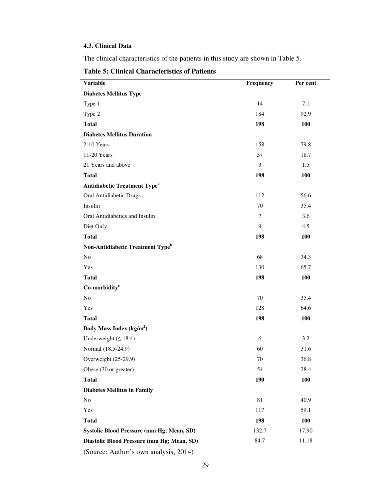# **4.3. Clinical Data**

The clinical characteristics of the patients in this study are shown in Table 5.

**Table 5: Clinical Characteristics of Patients** 

| <b>Variable</b>                                | Frequency      | Per cent   |
|------------------------------------------------|----------------|------------|
| <b>Diabetes Mellitus Type</b>                  |                |            |
| Type 1                                         | 14             | 7.1        |
| Type 2                                         | 184            | 92.9       |
| <b>Total</b>                                   | 198            | 100        |
| <b>Diabetes Mellitus Duration</b>              |                |            |
| 2-10 Years                                     | 158            | 79.8       |
| 11-20 Years                                    | 37             | 18.7       |
| 21 Years and above                             | 3              | 1.5        |
| <b>Total</b>                                   | 198            | 100        |
| <b>Antidiabetic Treatment Type<sup>a</sup></b> |                |            |
| Oral Antidiabetic Drugs                        | 112            | 56.6       |
| Insulin                                        | 70             | 35.4       |
| Oral Antidiabetics and Insulin                 | $\overline{7}$ | 3.6        |
| Diet Only                                      | 9              | 4.5        |
| <b>Total</b>                                   | 198            | 100        |
| Non-Antidiabetic Treatment Type <sup>b</sup>   |                |            |
| No                                             | 68             | 34.3       |
| Yes                                            | 130            | 65.7       |
| <b>Total</b>                                   | 198            | 100        |
| Co-morbidity <sup>c</sup>                      |                |            |
| No                                             | 70             | 35.4       |
| Yes                                            | 128            | 64.6       |
| <b>Total</b>                                   | 198            | 100        |
| Body Mass Index $(kg/m2)$                      |                |            |
| Underweight $( \leq 18.4)$                     | 6              | 3.2        |
| Normal (18.5-24.9)                             | 60             | 31.6       |
| Overweight (25-29.9)                           | 70             | 36.8       |
| Obese (30 or greater)                          | 54             | 28.4       |
| <b>Total</b>                                   | 190            | 100        |
| <b>Diabetes Mellitus in Family</b>             |                |            |
| No                                             | 81             | 40.9       |
| Yes                                            | 117            | 59.1       |
| <b>Total</b>                                   | 198            | <b>100</b> |
| Systolic Blood Pressure (mm Hg; Mean, SD)      | 132.7          | 17.90      |
| Diastolic Blood Pressure (mm Hg; Mean, SD)     | 84.7           | 11.18      |

(Source: Author's own analysis, 2014)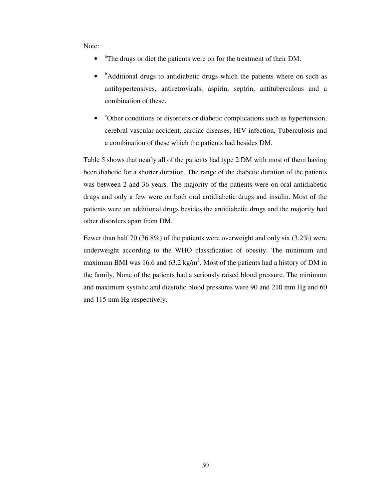Note:

- <sup>a</sup>The drugs or diet the patients were on for the treatment of their DM.
- $\bullet$ <sup>b</sup>Additional drugs to antidiabetic drugs which the patients where on such as antihypertensives, antiretrovirals, aspirin, septrin, antituberculous and a combination of these.
- <sup>c</sup>Other conditions or disorders or diabetic complications such as hypertension, cerebral vascular accident, cardiac diseases, HIV infection, Tuberculosis and a combination of these which the patients had besides DM.

Table 5 shows that nearly all of the patients had type 2 DM with most of them having been diabetic for a shorter duration. The range of the diabetic duration of the patients was between 2 and 36 years. The majority of the patients were on oral antidiabetic drugs and only a few were on both oral antidiabetic drugs and insulin. Most of the patients were on additional drugs besides the antidiabetic drugs and the majority had other disorders apart from DM.

Fewer than half 70 (36.8%) of the patients were overweight and only six (3.2%) were underweight according to the WHO classification of obesity. The minimum and maximum BMI was 16.6 and 63.2 kg/m<sup>2</sup>. Most of the patients had a history of DM in the family. None of the patients had a seriously raised blood pressure. The minimum and maximum systolic and diastolic blood pressures were 90 and 210 mm Hg and 60 and 115 mm Hg respectively.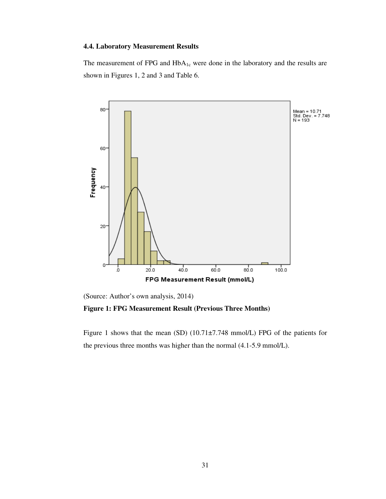# **4.4. Laboratory Measurement Results**

The measurement of FPG and  $HbA_{1c}$  were done in the laboratory and the results are shown in Figures 1, 2 and 3 and Table 6.



(Source: Author's own analysis, 2014)

**Figure 1: FPG Measurement Result (Previous Three Months)**

Figure 1 shows that the mean (SD) (10.71±7.748 mmol/L) FPG of the patients for the previous three months was higher than the normal (4.1-5.9 mmol/L).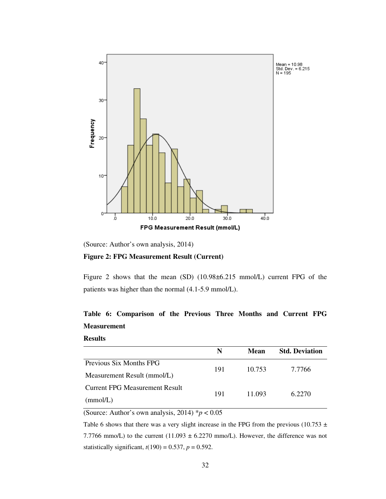

(Source: Author's own analysis, 2014)

# **Figure 2: FPG Measurement Result (Current)**

Figure 2 shows that the mean (SD) (10.98±6.215 mmol/L) current FPG of the patients was higher than the normal (4.1-5.9 mmol/L).

# **Table 6: Comparison of the Previous Three Months and Current FPG Measurement**

### **Results**

|                                | N   | Mean   | <b>Std. Deviation</b> |  |
|--------------------------------|-----|--------|-----------------------|--|
| Previous Six Months FPG        | 191 | 10.753 | 7.7766                |  |
| Measurement Result (mmol/L)    |     |        |                       |  |
| Current FPG Measurement Result |     |        |                       |  |
| (mmol/L)                       | 191 | 11.093 | 6.2270                |  |

(Source: Author's own analysis, 2014)  $p < 0.05$ 

Table 6 shows that there was a very slight increase in the FPG from the previous (10.753  $\pm$ 7.7766 mmo/L) to the current  $(11.093 \pm 6.2270 \text{ mmo/L})$ . However, the difference was not statistically significant,  $t(190) = 0.537$ ,  $p = 0.592$ .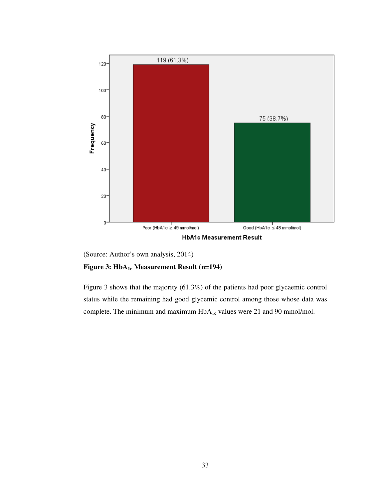

(Source: Author's own analysis, 2014)

# **Figure 3: HbA1c Measurement Result (n=194)**

Figure 3 shows that the majority (61.3%) of the patients had poor glycaemic control status while the remaining had good glycemic control among those whose data was complete. The minimum and maximum HbA<sub>1c</sub> values were 21 and 90 mmol/mol.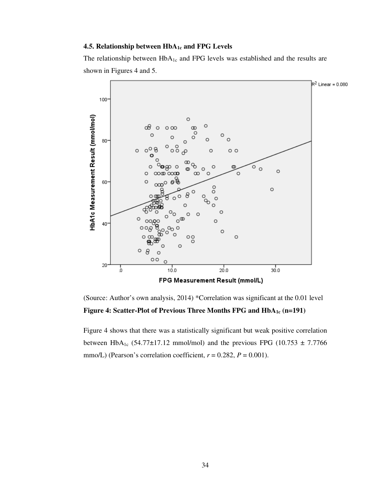### **4.5. Relationship between HbA1c and FPG Levels**

The relationship between HbA<sub>1c</sub> and FPG levels was established and the results are shown in Figures 4 and 5.



(Source: Author's own analysis, 2014) \*Correlation was significant at the 0.01 level **Figure 4: Scatter-Plot of Previous Three Months FPG and HbA1c (n=191)** 

Figure 4 shows that there was a statistically significant but weak positive correlation between HbA<sub>1c</sub> (54.77 $\pm$ 17.12 mmol/mol) and the previous FPG (10.753  $\pm$  7.7766 mmo/L) (Pearson's correlation coefficient,  $r = 0.282$ ,  $P = 0.001$ ).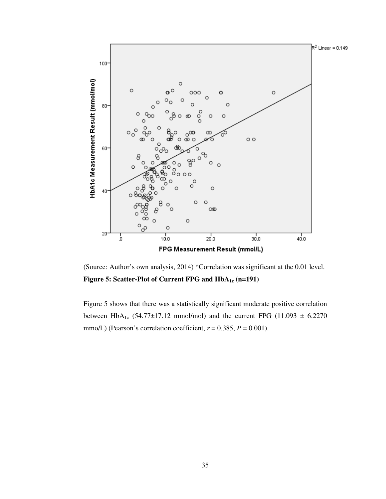

(Source: Author's own analysis, 2014) \*Correlation was significant at the 0.01 level. **Figure 5: Scatter-Plot of Current FPG and HbA1c (n=191)** 

Figure 5 shows that there was a statistically significant moderate positive correlation between HbA<sub>1c</sub> (54.77±17.12 mmol/mol) and the current FPG (11.093  $\pm$  6.2270 mmo/L) (Pearson's correlation coefficient,  $r = 0.385$ ,  $P = 0.001$ ).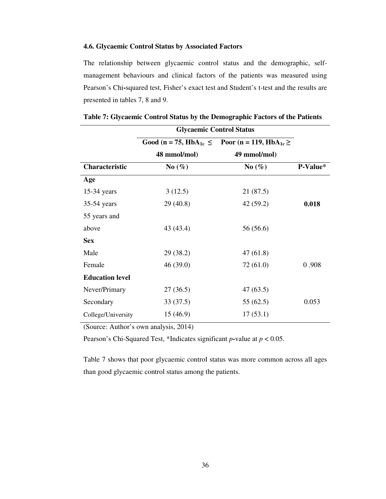# **4.6. Glycaemic Control Status by Associated Factors**

The relationship between glycaemic control status and the demographic, selfmanagement behaviours and clinical factors of the patients was measured using Pearson's Chi**-**squared test, Fisher's exact test and Student's t-test and the results are presented in tables 7, 8 and 9.

|                        | <b>Glycaemic Control Status</b> |                                                                              |          |
|------------------------|---------------------------------|------------------------------------------------------------------------------|----------|
|                        |                                 | Good (n = 75, HbA <sub>1c</sub> $\le$ Poor (n = 119, HbA <sub>1c</sub> $\ge$ |          |
|                        | 48 mmol/mol)                    | 49 mmol/mol)                                                                 |          |
| <b>Characteristic</b>  | $\mathrm{No}(\%)$               | No $(\% )$                                                                   | P-Value* |
| Age                    |                                 |                                                                              |          |
| $15-34$ years          | 3(12.5)                         | 21 (87.5)                                                                    |          |
| $35-54$ years          | 29(40.8)                        | 42 (59.2)                                                                    | 0.018    |
| 55 years and           |                                 |                                                                              |          |
| above                  | 43 (43.4)                       | 56 (56.6)                                                                    |          |
| <b>Sex</b>             |                                 |                                                                              |          |
| Male                   | 29 (38.2)                       | 47(61.8)                                                                     |          |
| Female                 | 46(39.0)                        | 72 (61.0)                                                                    | 0.908    |
| <b>Education level</b> |                                 |                                                                              |          |
| Never/Primary          | 27(36.5)                        | 47(63.5)                                                                     |          |
| Secondary              | 33(37.5)                        | 55(62.5)                                                                     | 0.053    |
| College/University     | 15(46.9)                        | 17(53.1)                                                                     |          |

|  |  |  | Table 7: Glycaemic Control Status by the Demographic Factors of the Patients |
|--|--|--|------------------------------------------------------------------------------|
|--|--|--|------------------------------------------------------------------------------|

(Source: Author's own analysis, 2014)

Pearson's Chi-Squared Test, \*Indicates significant *p***-**value at *p* < 0.05.

Table 7 shows that poor glycaemic control status was more common across all ages than good glycaemic control status among the patients.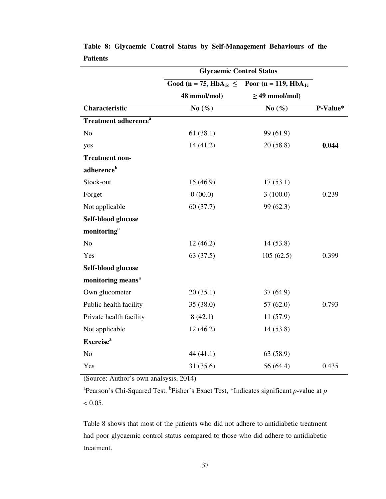|                                         | <b>Glycaemic Control Status</b>        |                                  |          |
|-----------------------------------------|----------------------------------------|----------------------------------|----------|
|                                         | Good (n = 75, HbA <sub>1c</sub> $\leq$ | Poor (n = 119, HbA <sub>1c</sub> |          |
|                                         | 48 mmol/mol)                           | $\geq$ 49 mmol/mol)              |          |
| Characteristic                          | No $(\%)$                              | No $(\%)$                        | P-Value* |
| <b>Treatment adherence</b> <sup>a</sup> |                                        |                                  |          |
| N <sub>o</sub>                          | 61(38.1)                               | 99 (61.9)                        |          |
| yes                                     | 14(41.2)                               | 20(58.8)                         | 0.044    |
| <b>Treatment non-</b>                   |                                        |                                  |          |
| adherence <sup>b</sup>                  |                                        |                                  |          |
| Stock-out                               | 15(46.9)                               | 17(53.1)                         |          |
| Forget                                  | 0(00.0)                                | 3(100.0)                         | 0.239    |
| Not applicable                          | 60(37.7)                               | 99 (62.3)                        |          |
| Self-blood glucose                      |                                        |                                  |          |
| monitoring <sup>a</sup>                 |                                        |                                  |          |
| N <sub>o</sub>                          | 12(46.2)                               | 14(53.8)                         |          |
| Yes                                     | 63(37.5)                               | 105(62.5)                        | 0.399    |
| Self-blood glucose                      |                                        |                                  |          |
| monitoring means <sup>a</sup>           |                                        |                                  |          |
| Own glucometer                          | 20(35.1)                               | 37(64.9)                         |          |
| Public health facility                  | 35 (38.0)                              | 57(62.0)                         | 0.793    |
| Private health facility                 | 8(42.1)                                | 11(57.9)                         |          |
| Not applicable                          | 12(46.2)                               | 14(53.8)                         |          |
| <b>Exercise</b> <sup>a</sup>            |                                        |                                  |          |
| N <sub>o</sub>                          | 44 $(41.1)$                            | 63 (58.9)                        |          |
| Yes                                     | 31 (35.6)                              | 56 (64.4)                        | 0.435    |

**Table 8: Glycaemic Control Status by Self-Management Behaviours of the Patients** 

(Source: Author's own analsysis, 2014)

<sup>a</sup> Pearson's Chi-Squared Test, <sup>b</sup> Fisher's Exact Test, \*Indicates significant *p*-value at *p*  $< 0.05$ .

Table 8 shows that most of the patients who did not adhere to antidiabetic treatment had poor glycaemic control status compared to those who did adhere to antidiabetic treatment.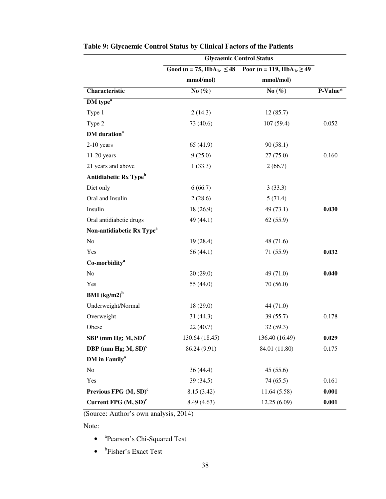|                                       |                | <b>Glycaemic Control Status</b>                                                      |          |
|---------------------------------------|----------------|--------------------------------------------------------------------------------------|----------|
|                                       |                | Good (n = 75, HbA <sub>1c</sub> $\leq$ 48 Poor (n = 119, HbA <sub>1c</sub> $\geq$ 49 |          |
|                                       | mmol/mol)      | mmol/mol)                                                                            |          |
| Characteristic                        | No $(\%)$      | No $(\%)$                                                                            | P-Value* |
| DM type <sup>a</sup>                  |                |                                                                                      |          |
| Type 1                                | 2(14.3)        | 12(85.7)                                                                             |          |
| Type 2                                | 73 (40.6)      | 107(59.4)                                                                            | 0.052    |
| <b>DM</b> duration <sup>a</sup>       |                |                                                                                      |          |
| $2-10$ years                          | 65 (41.9)      | 90(58.1)                                                                             |          |
| $11-20$ years                         | 9(25.0)        | 27(75.0)                                                                             | 0.160    |
| 21 years and above                    | 1(33.3)        | 2(66.7)                                                                              |          |
| Antidiabetic Rx Type <sup>b</sup>     |                |                                                                                      |          |
| Diet only                             | 6(66.7)        | 3(33.3)                                                                              |          |
| Oral and Insulin                      | 2(28.6)        | 5(71.4)                                                                              |          |
| Insulin                               | 18 (26.9)      | 49 (73.1)                                                                            | 0.030    |
| Oral antidiabetic drugs               | 49 (44.1)      | 62(55.9)                                                                             |          |
| Non-antidiabetic Rx Type <sup>a</sup> |                |                                                                                      |          |
| No                                    | 19(28.4)       | 48 (71.6)                                                                            |          |
| Yes                                   | 56(44.1)       | 71 (55.9)                                                                            | 0.032    |
| Co-morbidity <sup>a</sup>             |                |                                                                                      |          |
| No                                    | 20(29.0)       | 49(71.0)                                                                             | 0.040    |
| Yes                                   | 55 (44.0)      | 70(56.0)                                                                             |          |
| BMI $\left(kg/m2\right)^b$            |                |                                                                                      |          |
| Underweight/Normal                    | 18(29.0)       | 44 (71.0)                                                                            |          |
| Overweight                            | 31(44.3)       | 39(55.7)                                                                             | 0.178    |
| Obese                                 | 22(40.7)       | 32(59.3)                                                                             |          |
| SBP (mm Hg; $M$ , SD) <sup>c</sup>    | 130.64 (18.45) | 136.40 (16.49)                                                                       | 0.029    |
| DBP (mm Hg; $M$ , SD) <sup>c</sup>    | 86.24 (9.91)   | 84.01 (11.80)                                                                        | 0.175    |
| DM in Family <sup>a</sup>             |                |                                                                                      |          |
| No                                    | 36(44.4)       | 45(55.6)                                                                             |          |
| Yes                                   | 39 (34.5)      | 74(65.5)                                                                             | 0.161    |
| Previous FPG $(M, SD)^c$              | 8.15 (3.42)    | 11.64(5.58)                                                                          | 0.001    |
| Current FPG $(M, SD)^c$               | 8.49 (4.63)    | 12.25(6.09)                                                                          | 0.001    |

**Table 9: Glycaemic Control Status by Clinical Factors of the Patients**

(Source: Author's own analysis, 2014)

Note:

- <sup>a</sup>Pearson's Chi-Squared Test
- <sup>b</sup>Fisher's Exact Test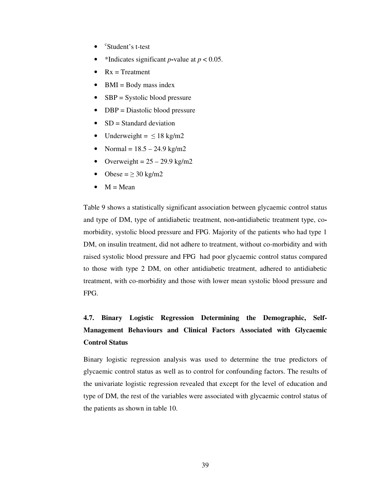- c Student's t-test
- \*Indicates significant *p*-value at  $p < 0.05$ .
- $Rx = Treatment$
- $\bullet$  BMI = Body mass index
- $SBP = Systolic blood pressure$
- DBP = Diastolic blood pressure
- $SD = Standard deviation$
- Underweight =  $\leq 18$  kg/m2
- Normal =  $18.5 24.9$  kg/m2
- Overweight =  $25 29.9$  kg/m2
- Obese =  $\geq$  30 kg/m2
- $\bullet$  M = Mean

Table 9 shows a statistically significant association between glycaemic control status and type of DM, type of antidiabetic treatment, non**-**antidiabetic treatment type, comorbidity, systolic blood pressure and FPG. Majority of the patients who had type 1 DM, on insulin treatment, did not adhere to treatment, without co-morbidity and with raised systolic blood pressure and FPG had poor glycaemic control status compared to those with type 2 DM, on other antidiabetic treatment, adhered to antidiabetic treatment, with co-morbidity and those with lower mean systolic blood pressure and FPG.

# **4.7. Binary Logistic Regression Determining the Demographic, Self-Management Behaviours and Clinical Factors Associated with Glycaemic Control Status**

Binary logistic regression analysis was used to determine the true predictors of glycaemic control status as well as to control for confounding factors. The results of the univariate logistic regression revealed that except for the level of education and type of DM, the rest of the variables were associated with glycaemic control status of the patients as shown in table 10.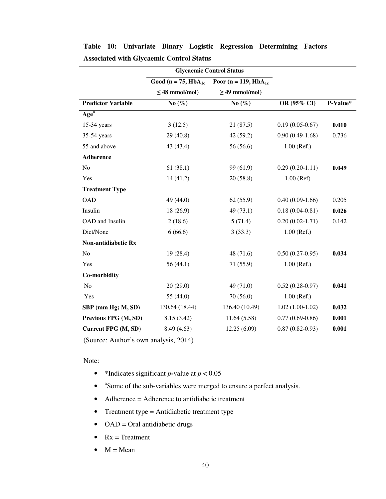|                           | <b>Glycaemic Control Status</b> |                                                    |                     |          |
|---------------------------|---------------------------------|----------------------------------------------------|---------------------|----------|
|                           |                                 | Good (n = 75, $HbA_{1c}$ Poor (n = 119, $HbA_{1c}$ |                     |          |
|                           | $\leq$ 48 mmol/mol)             | $\geq$ 49 mmol/mol)                                |                     |          |
| <b>Predictor Variable</b> | No $(\% )$                      | No $(\%)$                                          | OR (95% CI)         | P-Value* |
| Age <sup>a</sup>          |                                 |                                                    |                     |          |
| 15-34 years               | 3(12.5)                         | 21(87.5)                                           | $0.19(0.05-0.67)$   | 0.010    |
| 35-54 years               | 29 (40.8)                       | 42 (59.2)                                          | $0.90(0.49-1.68)$   | 0.736    |
| 55 and above              | 43 (43.4)                       | 56 (56.6)                                          | $1.00$ (Ref.)       |          |
| Adherence                 |                                 |                                                    |                     |          |
| No                        | 61(38.1)                        | 99 (61.9)                                          | $0.29(0.20-1.11)$   | 0.049    |
| Yes                       | 14(41.2)                        | 20(58.8)                                           | $1.00$ (Ref)        |          |
| <b>Treatment Type</b>     |                                 |                                                    |                     |          |
| <b>OAD</b>                | 49 (44.0)                       | 62(55.9)                                           | $0.40(0.09-1.66)$   | 0.205    |
| Insulin                   | 18 (26.9)                       | 49 (73.1)                                          | $0.18(0.04 - 0.81)$ | 0.026    |
| OAD and Insulin           | 2(18.6)                         | 5(71.4)                                            | $0.20(0.02-1.71)$   | 0.142    |
| Diet/None                 | 6(66.6)                         | 3(33.3)                                            | $1.00$ (Ref.)       |          |
| Non-antidiabetic Rx       |                                 |                                                    |                     |          |
| No                        | 19 (28.4)                       | 48 (71.6)                                          | $0.50(0.27-0.95)$   | 0.034    |
| Yes                       | 56(44.1)                        | 71 (55.9)                                          | $1.00$ (Ref.)       |          |
| Co-morbidity              |                                 |                                                    |                     |          |
| No                        | 20(29.0)                        | 49 (71.0)                                          | $0.52(0.28-0.97)$   | 0.041    |
| Yes                       | 55 (44.0)                       | 70(56.0)                                           | $1.00$ (Ref.)       |          |
| SBP (mm Hg; M, SD)        | 130.64 (18.44)                  | 136.40 (10.49)                                     | $1.02(1.00-1.02)$   | 0.032    |
| Previous FPG (M, SD)      | 8.15(3.42)                      | 11.64(5.58)                                        | $0.77(0.69-0.86)$   | 0.001    |
| Current FPG (M, SD)       | 8.49 (4.63)                     | 12.25(6.09)                                        | $0.87(0.82 - 0.93)$ | 0.001    |

**Table 10: Univariate Binary Logistic Regression Determining Factors Associated with Glycaemic Control Status**

(Source: Author's own analysis, 2014)

Note:

- \*Indicates significant *p***-**value at *p* < 0.05
- <sup>a</sup>Some of the sub-variables were merged to ensure a perfect analysis.
- Adherence = Adherence to antidiabetic treatment
- Treatment type = Antidiabetic treatment type
- OAD = Oral antidiabetic drugs
- $Rx = Treatment$
- $\bullet$  M = Mean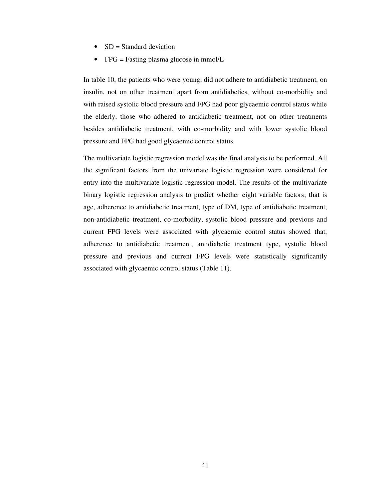- $SD = Standard deviation$
- FPG = Fasting plasma glucose in mmol/L

In table 10, the patients who were young, did not adhere to antidiabetic treatment, on insulin, not on other treatment apart from antidiabetics, without co-morbidity and with raised systolic blood pressure and FPG had poor glycaemic control status while the elderly, those who adhered to antidiabetic treatment, not on other treatments besides antidiabetic treatment, with co-morbidity and with lower systolic blood pressure and FPG had good glycaemic control status.

The multivariate logistic regression model was the final analysis to be performed. All the significant factors from the univariate logistic regression were considered for entry into the multivariate logistic regression model. The results of the multivariate binary logistic regression analysis to predict whether eight variable factors; that is age, adherence to antidiabetic treatment, type of DM, type of antidiabetic treatment, non-antidiabetic treatment, co-morbidity, systolic blood pressure and previous and current FPG levels were associated with glycaemic control status showed that, adherence to antidiabetic treatment, antidiabetic treatment type, systolic blood pressure and previous and current FPG levels were statistically significantly associated with glycaemic control status (Table 11).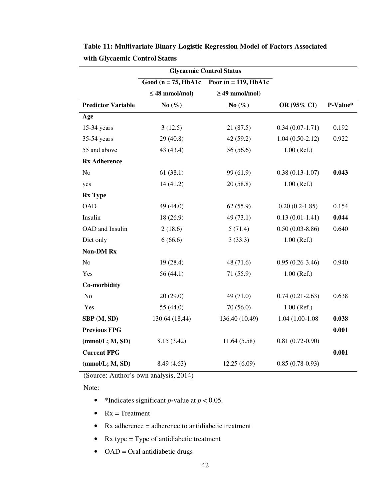|                           | <b>Glycaemic Control Status</b> |                          |                   |          |
|---------------------------|---------------------------------|--------------------------|-------------------|----------|
|                           | Good ( $n = 75$ , HbA1c         | Poor ( $n = 119$ , HbA1c |                   |          |
|                           | $\leq$ 48 mmol/mol)             | $\geq$ 49 mmol/mol)      |                   |          |
| <b>Predictor Variable</b> | No $(\%)$                       | No $(\%)$                | OR (95% CI)       | P-Value* |
| Age                       |                                 |                          |                   |          |
| 15-34 years               | 3(12.5)                         | 21(87.5)                 | $0.34(0.07-1.71)$ | 0.192    |
| 35-54 years               | 29 (40.8)                       | 42(59.2)                 | $1.04(0.50-2.12)$ | 0.922    |
| 55 and above              | 43 (43.4)                       | 56 (56.6)                | $1.00$ (Ref.)     |          |
| <b>Rx Adherence</b>       |                                 |                          |                   |          |
| N <sub>o</sub>            | 61(38.1)                        | 99 (61.9)                | $0.38(0.13-1.07)$ | 0.043    |
| yes                       | 14(41.2)                        | 20(58.8)                 | $1.00$ (Ref.)     |          |
| <b>Rx Type</b>            |                                 |                          |                   |          |
| <b>OAD</b>                | 49 (44.0)                       | 62(55.9)                 | $0.20(0.2-1.85)$  | 0.154    |
| Insulin                   | 18 (26.9)                       | 49(73.1)                 | $0.13(0.01-1.41)$ | 0.044    |
| OAD and Insulin           | 2(18.6)                         | 5(71.4)                  | $0.50(0.03-8.86)$ | 0.640    |
| Diet only                 | 6(66.6)                         | 3(33.3)                  | $1.00$ (Ref.)     |          |
| <b>Non-DM Rx</b>          |                                 |                          |                   |          |
| $\rm No$                  | 19(28.4)                        | 48 (71.6)                | $0.95(0.26-3.46)$ | 0.940    |
| Yes                       | 56 (44.1)                       | 71 (55.9)                | $1.00$ (Ref.)     |          |
| Co-morbidity              |                                 |                          |                   |          |
| No                        | 20(29.0)                        | 49 (71.0)                | $0.74(0.21-2.63)$ | 0.638    |
| Yes                       | 55 (44.0)                       | 70(56.0)                 | $1.00$ (Ref.)     |          |
| SBP (M, SD)               | 130.64 (18.44)                  | 136.40 (10.49)           | 1.04 (1.00-1.08)  | 0.038    |
| <b>Previous FPG</b>       |                                 |                          |                   | 0.001    |
| (mmol/L; M, SD)           | 8.15 (3.42)                     | 11.64(5.58)              | $0.81(0.72-0.90)$ |          |
| <b>Current FPG</b>        |                                 |                          |                   | 0.001    |
| (mmol/L; M, SD)           | 8.49 (4.63)                     | 12.25 (6.09)             | $0.85(0.78-0.93)$ |          |

**Table 11: Multivariate Binary Logistic Regression Model of Factors Associated with Glycaemic Control Status**

(Source: Author's own analysis, 2014)

Note:

- \*Indicates significant *p*-value at  $p < 0.05$ .
- $Rx = Treatment$
- Rx adherence  $=$  adherence to antidiabetic treatment
- Rx type = Type of antidiabetic treatment
- $\bullet$  OAD = Oral antidiabetic drugs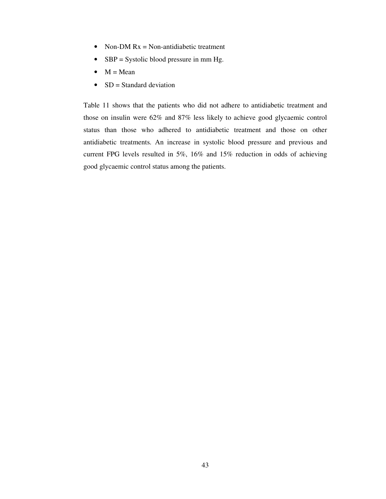- Non-DM  $Rx = Non-antidiabetic treatment$
- $SBP = Systolic blood pressure in mm Hg.$
- $\bullet$  M = Mean
- $SD = Standard deviation$

Table 11 shows that the patients who did not adhere to antidiabetic treatment and those on insulin were 62% and 87% less likely to achieve good glycaemic control status than those who adhered to antidiabetic treatment and those on other antidiabetic treatments. An increase in systolic blood pressure and previous and current FPG levels resulted in 5%, 16% and 15% reduction in odds of achieving good glycaemic control status among the patients.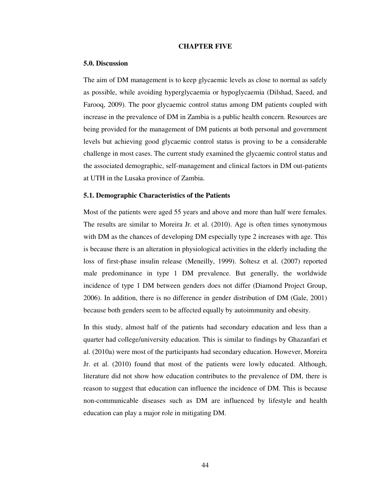### **CHAPTER FIVE**

### **5.0. Discussion**

The aim of DM management is to keep glycaemic levels as close to normal as safely as possible, while avoiding hyperglycaemia or hypoglycaemia (Dilshad, Saeed, and Farooq, 2009). The poor glycaemic control status among DM patients coupled with increase in the prevalence of DM in Zambia is a public health concern. Resources are being provided for the management of DM patients at both personal and government levels but achieving good glycaemic control status is proving to be a considerable challenge in most cases. The current study examined the glycaemic control status and the associated demographic, self-management and clinical factors in DM out-patients at UTH in the Lusaka province of Zambia.

### **5.1. Demographic Characteristics of the Patients**

Most of the patients were aged 55 years and above and more than half were females. The results are similar to Moreira Jr. et al. (2010). Age is often times synonymous with DM as the chances of developing DM especially type 2 increases with age. This is because there is an alteration in physiological activities in the elderly including the loss of first-phase insulin release (Meneilly, 1999). Soltesz et al. (2007) reported male predominance in type 1 DM prevalence. But generally, the worldwide incidence of type 1 DM between genders does not differ (Diamond Project Group, 2006). In addition, there is no difference in gender distribution of DM (Gale, 2001) because both genders seem to be affected equally by autoimmunity and obesity.

In this study, almost half of the patients had secondary education and less than a quarter had college/university education. This is similar to findings by Ghazanfari et al. (2010a) were most of the participants had secondary education. However, Moreira Jr. et al. (2010) found that most of the patients were lowly educated. Although, literature did not show how education contributes to the prevalence of DM, there is reason to suggest that education can influence the incidence of DM. This is because non-communicable diseases such as DM are influenced by lifestyle and health education can play a major role in mitigating DM.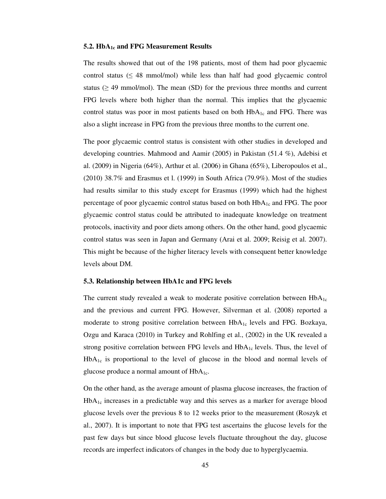### **5.2. HbA1c and FPG Measurement Results**

The results showed that out of the 198 patients, most of them had poor glycaemic control status ( $\leq 48$  mmol/mol) while less than half had good glycaemic control status ( $\geq$  49 mmol/mol). The mean (SD) for the previous three months and current FPG levels where both higher than the normal. This implies that the glycaemic control status was poor in most patients based on both  $HbA_{1c}$  and FPG. There was also a slight increase in FPG from the previous three months to the current one.

The poor glycaemic control status is consistent with other studies in developed and developing countries. Mahmood and Aamir (2005) in Pakistan (51.4 %), Adebisi et al. (2009) in Nigeria (64%), Arthur et al. (2006) in Ghana (65%), Liberopoulos et al., (2010) 38.7% and Erasmus et l. (1999) in South Africa (79.9%). Most of the studies had results similar to this study except for Erasmus (1999) which had the highest percentage of poor glycaemic control status based on both HbA1c and FPG. The poor glycaemic control status could be attributed to inadequate knowledge on treatment protocols, inactivity and poor diets among others. On the other hand, good glycaemic control status was seen in Japan and Germany (Arai et al. 2009; Reisig et al. 2007). This might be because of the higher literacy levels with consequent better knowledge levels about DM.

### **5.3. Relationship between HbA1c and FPG levels**

The current study revealed a weak to moderate positive correlation between  $HbA_{1c}$ and the previous and current FPG. However, Silverman et al. (2008) reported a moderate to strong positive correlation between  $HbA_{1c}$  levels and FPG. Bozkaya, Ozgu and Karaca (2010) in Turkey and Rohlfing et al., (2002) in the UK revealed a strong positive correlation between FPG levels and  $HbA_{1c}$  levels. Thus, the level of  $HbA_{1c}$  is proportional to the level of glucose in the blood and normal levels of glucose produce a normal amount of  $HbA_{1c}$ .

On the other hand, as the average amount of plasma glucose increases, the fraction of HbA1c increases in a predictable way and this serves as a marker for average blood glucose levels over the previous 8 to 12 weeks prior to the measurement (Roszyk et al., 2007). It is important to note that FPG test ascertains the glucose levels for the past few days but since blood glucose levels fluctuate throughout the day, glucose records are imperfect indicators of changes in the body due to hyperglycaemia.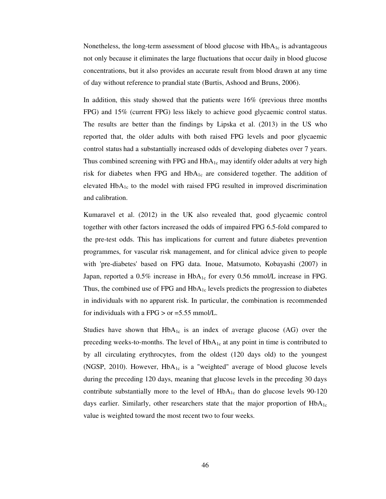Nonetheless, the long-term assessment of blood glucose with  $HbA<sub>1c</sub>$  is advantageous not only because it eliminates the large fluctuations that occur daily in blood glucose concentrations, but it also provides an accurate result from blood drawn at any time of day without reference to prandial state (Burtis, Ashood and Bruns, 2006).

In addition, this study showed that the patients were 16% (previous three months FPG) and 15% (current FPG) less likely to achieve good glycaemic control status. The results are better than the findings by Lipska et al. (2013) in the US who reported that, the older adults with both raised FPG levels and poor glycaemic control status had a substantially increased odds of developing diabetes over 7 years. Thus combined screening with FPG and  $HbA_1$ <sub>c</sub> may identify older adults at very high risk for diabetes when FPG and  $HbA_{1c}$  are considered together. The addition of elevated  $HbA_{1c}$  to the model with raised FPG resulted in improved discrimination and calibration.

Kumaravel et al. (2012) in the UK also revealed that, good glycaemic control together with other factors increased the odds of impaired FPG 6.5-fold compared to the pre-test odds. This has implications for current and future diabetes prevention programmes, for vascular risk management, and for clinical advice given to people with 'pre-diabetes' based on FPG data. Inoue, Matsumoto, Kobayashi (2007) in Japan, reported a  $0.5\%$  increase in HbA<sub>1c</sub> for every 0.56 mmol/L increase in FPG. Thus, the combined use of FPG and  $HbA_{1c}$  levels predicts the progression to diabetes in individuals with no apparent risk. In particular, the combination is recommended for individuals with a FPG  $>$  or =5.55 mmol/L.

Studies have shown that  $HbA_{1c}$  is an index of average glucose (AG) over the preceding weeks-to-months. The level of  $HbA_{1c}$  at any point in time is contributed to by all circulating erythrocytes, from the oldest (120 days old) to the youngest (NGSP, 2010). However,  $HbA_{1c}$  is a "weighted" average of blood glucose levels during the preceding 120 days, meaning that glucose levels in the preceding 30 days contribute substantially more to the level of  $HbA_{1c}$  than do glucose levels 90-120 days earlier. Similarly, other researchers state that the major proportion of  $HbA_{1c}$ value is weighted toward the most recent two to four weeks.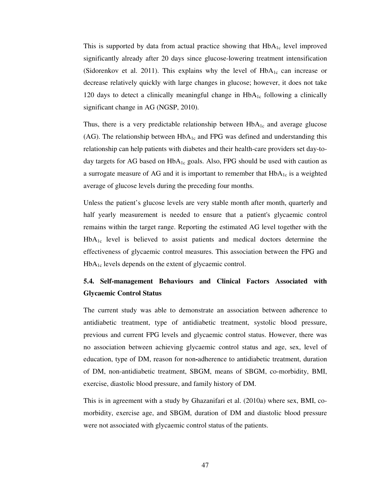This is supported by data from actual practice showing that  $HbA_{1c}$  level improved significantly already after 20 days since glucose-lowering treatment intensification (Sidorenkov et al. 2011). This explains why the level of  $HbA_{1c}$  can increase or decrease relatively quickly with large changes in glucose; however, it does not take 120 days to detect a clinically meaningful change in  $HbA_{1c}$  following a clinically significant change in AG (NGSP, 2010).

Thus, there is a very predictable relationship between  $HbA_{1c}$  and average glucose (AG). The relationship between  $HbA_{1c}$  and FPG was defined and understanding this relationship can help patients with diabetes and their health-care providers set day-today targets for AG based on  $HbA_{1c}$  goals. Also, FPG should be used with caution as a surrogate measure of AG and it is important to remember that  $HbA_{1c}$  is a weighted average of glucose levels during the preceding four months.

Unless the patient's glucose levels are very stable month after month, quarterly and half yearly measurement is needed to ensure that a patient's glycaemic control remains within the target range. Reporting the estimated AG level together with the  $HbA_1c$  level is believed to assist patients and medical doctors determine the effectiveness of glycaemic control measures. This association between the FPG and HbA1c levels depends on the extent of glycaemic control.

# **5.4. Self-management Behaviours and Clinical Factors Associated with Glycaemic Control Status**

The current study was able to demonstrate an association between adherence to antidiabetic treatment, type of antidiabetic treatment, systolic blood pressure, previous and current FPG levels and glycaemic control status. However, there was no association between achieving glycaemic control status and age, sex, level of education, type of DM, reason for non**-**adherence to antidiabetic treatment, duration of DM, non-antidiabetic treatment, SBGM, means of SBGM, co-morbidity, BMI, exercise, diastolic blood pressure, and family history of DM.

This is in agreement with a study by Ghazanifari et al. (2010a) where sex, BMI, comorbidity, exercise age, and SBGM, duration of DM and diastolic blood pressure were not associated with glycaemic control status of the patients.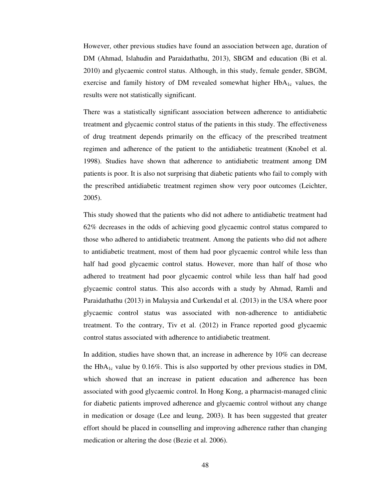However, other previous studies have found an association between age, duration of DM (Ahmad, Islahudin and Paraidathathu, 2013), SBGM and education (Bi et al. 2010) and glycaemic control status. Although, in this study, female gender, SBGM, exercise and family history of DM revealed somewhat higher  $HbA<sub>1c</sub>$  values, the results were not statistically significant.

There was a statistically significant association between adherence to antidiabetic treatment and glycaemic control status of the patients in this study. The effectiveness of drug treatment depends primarily on the efficacy of the prescribed treatment regimen and adherence of the patient to the antidiabetic treatment (Knobel et al. 1998). Studies have shown that adherence to antidiabetic treatment among DM patients is poor. It is also not surprising that diabetic patients who fail to comply with the prescribed antidiabetic treatment regimen show very poor outcomes (Leichter, 2005).

This study showed that the patients who did not adhere to antidiabetic treatment had 62% decreases in the odds of achieving good glycaemic control status compared to those who adhered to antidiabetic treatment. Among the patients who did not adhere to antidiabetic treatment, most of them had poor glycaemic control while less than half had good glycaemic control status. However, more than half of those who adhered to treatment had poor glycaemic control while less than half had good glycaemic control status. This also accords with a study by Ahmad, Ramli and Paraidathathu (2013) in Malaysia and Curkendal et al. (2013) in the USA where poor glycaemic control status was associated with non-adherence to antidiabetic treatment. To the contrary, Tiv et al. (2012) in France reported good glycaemic control status associated with adherence to antidiabetic treatment.

In addition, studies have shown that, an increase in adherence by 10% can decrease the  $HbA_{1c}$  value by 0.16%. This is also supported by other previous studies in DM, which showed that an increase in patient education and adherence has been associated with good glycaemic control. In Hong Kong, a pharmacist-managed clinic for diabetic patients improved adherence and glycaemic control without any change in medication or dosage (Lee and leung, 2003). It has been suggested that greater effort should be placed in counselling and improving adherence rather than changing medication or altering the dose (Bezie et al. 2006).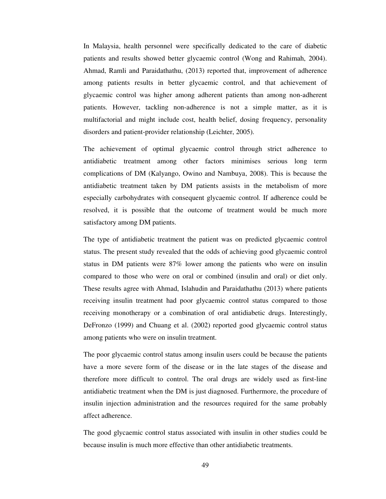In Malaysia, health personnel were specifically dedicated to the care of diabetic patients and results showed better glycaemic control (Wong and Rahimah, 2004). Ahmad, Ramli and Paraidathathu, (2013) reported that, improvement of adherence among patients results in better glycaemic control, and that achievement of glycaemic control was higher among adherent patients than among non-adherent patients. However, tackling non-adherence is not a simple matter, as it is multifactorial and might include cost, health belief, dosing frequency, personality disorders and patient-provider relationship (Leichter, 2005).

The achievement of optimal glycaemic control through strict adherence to antidiabetic treatment among other factors minimises serious long term complications of DM (Kalyango, Owino and Nambuya, 2008). This is because the antidiabetic treatment taken by DM patients assists in the metabolism of more especially carbohydrates with consequent glycaemic control. If adherence could be resolved, it is possible that the outcome of treatment would be much more satisfactory among DM patients.

The type of antidiabetic treatment the patient was on predicted glycaemic control status. The present study revealed that the odds of achieving good glycaemic control status in DM patients were 87% lower among the patients who were on insulin compared to those who were on oral or combined (insulin and oral) or diet only. These results agree with Ahmad, Islahudin and Paraidathathu (2013) where patients receiving insulin treatment had poor glycaemic control status compared to those receiving monotherapy or a combination of oral antidiabetic drugs. Interestingly, DeFronzo (1999) and Chuang et al. (2002) reported good glycaemic control status among patients who were on insulin treatment.

The poor glycaemic control status among insulin users could be because the patients have a more severe form of the disease or in the late stages of the disease and therefore more difficult to control. The oral drugs are widely used as first-line antidiabetic treatment when the DM is just diagnosed. Furthermore, the procedure of insulin injection administration and the resources required for the same probably affect adherence.

The good glycaemic control status associated with insulin in other studies could be because insulin is much more effective than other antidiabetic treatments.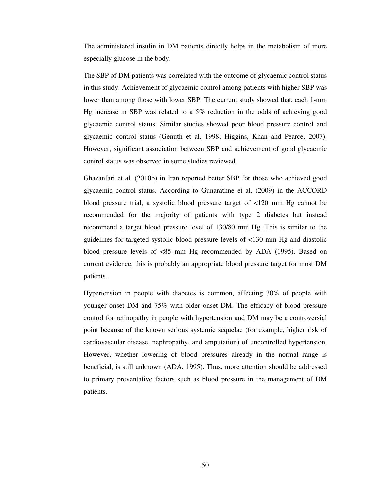The administered insulin in DM patients directly helps in the metabolism of more especially glucose in the body.

The SBP of DM patients was correlated with the outcome of glycaemic control status in this study. Achievement of glycaemic control among patients with higher SBP was lower than among those with lower SBP. The current study showed that, each 1**-**mm Hg increase in SBP was related to a 5% reduction in the odds of achieving good glycaemic control status. Similar studies showed poor blood pressure control and glycaemic control status (Genuth et al. 1998; Higgins, Khan and Pearce, 2007). However, significant association between SBP and achievement of good glycaemic control status was observed in some studies reviewed.

Ghazanfari et al. (2010b) in Iran reported better SBP for those who achieved good glycaemic control status. According to Gunarathne et al. (2009) in the ACCORD blood pressure trial, a systolic blood pressure target of <120 mm Hg cannot be recommended for the majority of patients with type 2 diabetes but instead recommend a target blood pressure level of 130/80 mm Hg. This is similar to the guidelines for targeted systolic blood pressure levels of <130 mm Hg and diastolic blood pressure levels of <85 mm Hg recommended by ADA (1995). Based on current evidence, this is probably an appropriate blood pressure target for most DM patients.

Hypertension in people with diabetes is common, affecting 30% of people with younger onset DM and 75% with older onset DM. The efficacy of blood pressure control for retinopathy in people with hypertension and DM may be a controversial point because of the known serious systemic sequelae (for example, higher risk of cardiovascular disease, nephropathy, and amputation) of uncontrolled hypertension. However, whether lowering of blood pressures already in the normal range is beneficial, is still unknown (ADA, 1995). Thus, more attention should be addressed to primary preventative factors such as blood pressure in the management of DM patients.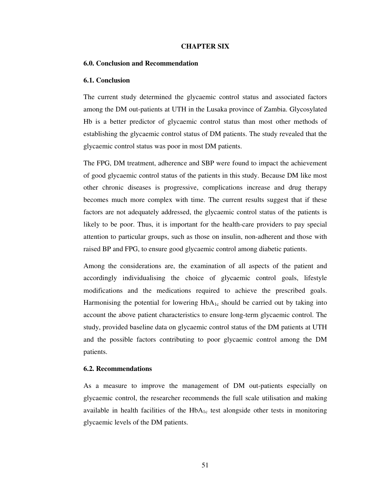### **CHAPTER SIX**

#### **6.0. Conclusion and Recommendation**

### **6.1. Conclusion**

The current study determined the glycaemic control status and associated factors among the DM out-patients at UTH in the Lusaka province of Zambia. Glycosylated Hb is a better predictor of glycaemic control status than most other methods of establishing the glycaemic control status of DM patients. The study revealed that the glycaemic control status was poor in most DM patients.

The FPG, DM treatment, adherence and SBP were found to impact the achievement of good glycaemic control status of the patients in this study. Because DM like most other chronic diseases is progressive, complications increase and drug therapy becomes much more complex with time. The current results suggest that if these factors are not adequately addressed, the glycaemic control status of the patients is likely to be poor. Thus, it is important for the health-care providers to pay special attention to particular groups, such as those on insulin, non-adherent and those with raised BP and FPG, to ensure good glycaemic control among diabetic patients.

Among the considerations are, the examination of all aspects of the patient and accordingly individualising the choice of glycaemic control goals, lifestyle modifications and the medications required to achieve the prescribed goals. Harmonising the potential for lowering  $HbA_{1c}$  should be carried out by taking into account the above patient characteristics to ensure long-term glycaemic control. The study, provided baseline data on glycaemic control status of the DM patients at UTH and the possible factors contributing to poor glycaemic control among the DM patients.

### **6.2. Recommendations**

As a measure to improve the management of DM out-patients especially on glycaemic control, the researcher recommends the full scale utilisation and making available in health facilities of the  $HbA_{1c}$  test alongside other tests in monitoring glycaemic levels of the DM patients.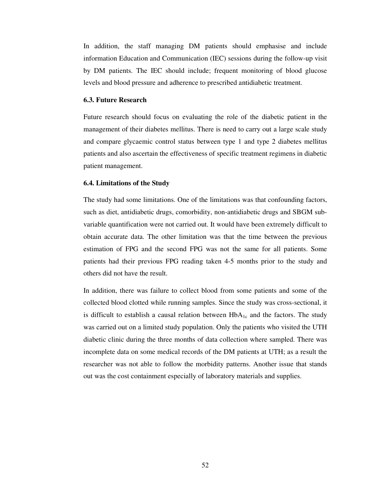In addition, the staff managing DM patients should emphasise and include information Education and Communication (IEC) sessions during the follow-up visit by DM patients. The IEC should include; frequent monitoring of blood glucose levels and blood pressure and adherence to prescribed antidiabetic treatment.

# **6.3. Future Research**

Future research should focus on evaluating the role of the diabetic patient in the management of their diabetes mellitus. There is need to carry out a large scale study and compare glycaemic control status between type 1 and type 2 diabetes mellitus patients and also ascertain the effectiveness of specific treatment regimens in diabetic patient management.

### **6.4. Limitations of the Study**

The study had some limitations. One of the limitations was that confounding factors, such as diet, antidiabetic drugs, comorbidity, non-antidiabetic drugs and SBGM subvariable quantification were not carried out. It would have been extremely difficult to obtain accurate data. The other limitation was that the time between the previous estimation of FPG and the second FPG was not the same for all patients. Some patients had their previous FPG reading taken 4-5 months prior to the study and others did not have the result.

In addition, there was failure to collect blood from some patients and some of the collected blood clotted while running samples. Since the study was cross-sectional, it is difficult to establish a causal relation between  $HbA_{1c}$  and the factors. The study was carried out on a limited study population. Only the patients who visited the UTH diabetic clinic during the three months of data collection where sampled. There was incomplete data on some medical records of the DM patients at UTH; as a result the researcher was not able to follow the morbidity patterns. Another issue that stands out was the cost containment especially of laboratory materials and supplies.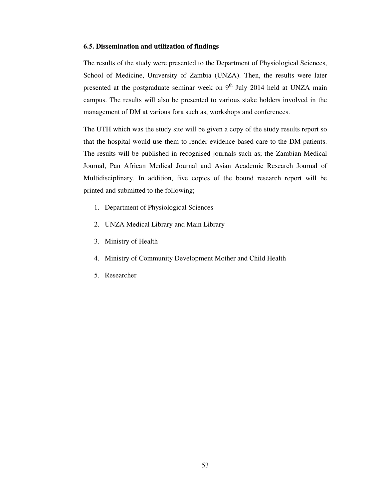### **6.5. Dissemination and utilization of findings**

The results of the study were presented to the Department of Physiological Sciences, School of Medicine, University of Zambia (UNZA). Then, the results were later presented at the postgraduate seminar week on  $9<sup>th</sup>$  July 2014 held at UNZA main campus. The results will also be presented to various stake holders involved in the management of DM at various fora such as, workshops and conferences.

The UTH which was the study site will be given a copy of the study results report so that the hospital would use them to render evidence based care to the DM patients. The results will be published in recognised journals such as; the Zambian Medical Journal, Pan African Medical Journal and Asian Academic Research Journal of Multidisciplinary. In addition, five copies of the bound research report will be printed and submitted to the following;

- 1. Department of Physiological Sciences
- 2. UNZA Medical Library and Main Library
- 3. Ministry of Health
- 4. Ministry of Community Development Mother and Child Health
- 5. Researcher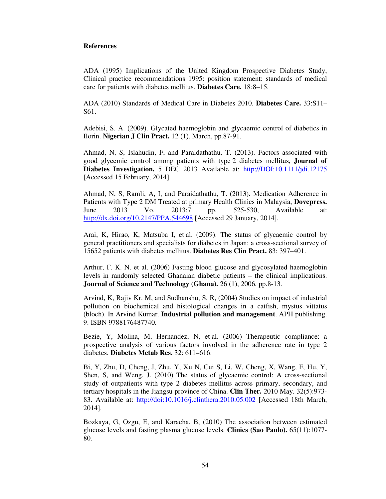# **References**

ADA (1995) Implications of the United Kingdom Prospective Diabetes Study, Clinical practice recommendations 1995: position statement: standards of medical care for patients with diabetes mellitus. **Diabetes Care.** 18*:*8–15.

ADA (2010) Standards of Medical Care in Diabetes 2010. **Diabetes Care.** 33:S11– S61.

Adebisi, S. A. (2009). Glycated haemoglobin and glycaemic control of diabetics in Ilorin. **Nigerian J Clin Pract.** 12 (1), March, pp.87-91.

Ahmad, N, S, Islahudin, F, and Paraidathathu, T. (2013). Factors associated with good glycemic control among patients with type 2 diabetes mellitus, **Journal of Diabetes Investigation.** 5 DEC 2013 Available at: http://DOI:10.1111/jdi.12175 [Accessed 15 February, 2014].

Ahmad, N, S, Ramli, A, I, and Paraidathathu, T. (2013). Medication Adherence in Patients with Type 2 DM Treated at primary Health Clinics in Malaysia, **Dovepress.** June 2013 Vo. 2013:7 pp. 525-530, Available at: http://dx.doi.org/10.2147/PPA.544698 [Accessed 29 January, 2014].

Arai, K, Hirao, K, Matsuba I, et al. (2009). The status of glycaemic control by general practitioners and specialists for diabetes in Japan: a cross-sectional survey of 15652 patients with diabetes mellitus. **Diabetes Res Clin Pract.** 83: 397–401.

Arthur, F. K. N. et al. (2006) Fasting blood glucose and glycosylated haemoglobin levels in randomly selected Ghanaian diabetic patients – the clinical implications. **Journal of Science and Technology (Ghana).** 26 (1), 2006, pp.8-13.

Arvind, K, Rajiv Kr. M, and Sudhanshu, S, R, (2004) Studies on impact of industrial pollution on biochemical and histological changes in a catfish, mystus vittatus (bloch). In Arvind Kumar. **Industrial pollution and management**. APH publishing. 9. ISBN 9788176487740.

Bezie, Y, Molina, M, Hernandez, N, et al. (2006) Therapeutic compliance: a prospective analysis of various factors involved in the adherence rate in type 2 diabetes. **Diabetes Metab Res.** 32: 611–616.

Bi, Y, Zhu, D, Cheng, J, Zhu, Y, Xu N, Cui S, Li, W, Cheng, X, Wang, F, Hu, Y, Shen, S, and Weng, J. (2010) The status of glycaemic control: A cross-sectional study of outpatients with type 2 diabetes mellitus across primary, secondary, and tertiary hospitals in the Jiangsu province of China. **Clin Ther.** 2010 May. 32(5):973- 83. Available at: http://doi:10.1016/j.clinthera.2010.05.002 [Accessed 18th March, 2014].

Bozkaya, G, Ozgu, E, and Karacha, B, (2010) The association between estimated glucose levels and fasting plasma glucose levels. **Clinics (Sao Paulo).** 65(11):1077- 80.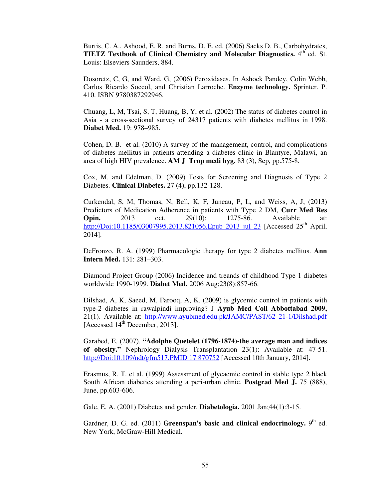Burtis, C. A., Ashood, E. R. and Burns, D. E. ed. (2006) Sacks D. B., Carbohydrates, **TIETZ Textbook of Clinical Chemistry and Molecular Diagnostics.** 4<sup>th</sup> ed. St. Louis: Elseviers Saunders, 884.

Dosoretz, C, G, and Ward, G, (2006) Peroxidases. In Ashock Pandey, Colin Webb, Carlos Ricardo Soccol, and Christian Larroche. **Enzyme technology.** Sprinter. P. 410. ISBN 9780387292946.

Chuang, L, M, Tsai, S, T, Huang, B, Y, et al. (2002) The status of diabetes control in Asia - a cross-sectional survey of 24317 patients with diabetes mellitus in 1998. **Diabet Med.** 19: 978–985.

Cohen, D. B. et al. (2010) A survey of the management, control, and complications of diabetes mellitus in patients attending a diabetes clinic in Blantyre, Malawi, an area of high HIV prevalence. **AM J Trop medi hyg.** 83 (3), Sep, pp.575-8.

Cox, M. and Edelman, D. (2009) Tests for Screening and Diagnosis of Type 2 Diabetes. **Clinical Diabetes.** 27 (4), pp.132-128.

Curkendal, S, M, Thomas, N, Bell, K, F, Juneau, P, L, and Weiss, A, J, (2013) Predictors of Medication Adherence in patients with Type 2 DM, **Curr Med Res Opin.** 2013 oct, 29(10): 1275-86. Available at: http://Doi:10.1185/03007995.2013.821056.Epub 2013 jul 23 [Accessed 25<sup>th</sup> April, 2014].

DeFronzo, R. A. (1999) Pharmacologic therapy for type 2 diabetes mellitus. **Ann Intern Med.** 131: 281–303.

Diamond Project Group (2006) Incidence and treands of childhood Type 1 diabetes worldwide 1990-1999. **Diabet Med.** 2006 Aug;23(8):857-66.

Dilshad, A, K, Saeed, M, Farooq, A, K. (2009) is glycemic control in patients with type-2 diabetes in rawalpindi improving? J **Ayub Med Coll Abbottabad 2009,**  21(1). Available at: http://www.ayubmed.edu.pk/JAMC/PAST/62 21-1/Dilshad.pdf [Accessed 14<sup>th</sup> December, 2013].

Garabed, E. (2007). **"Adolphe Quetelet (1796-1874)-the average man and indices of obesity."** Nephrology Dialysis Transplantation 23(1): Available at: 47-51. http://Doi:10.109/ndt/gfm517.PMID 17 870752 [Accessed 10th January, 2014].

Erasmus, R. T. et al. (1999) Assessment of glycaemic control in stable type 2 black South African diabetics attending a peri-urban clinic. **Postgrad Med J.** 75 (888), June, pp.603-606.

Gale, E. A. (2001) Diabetes and gender. **Diabetologia.** 2001 Jan;44(1):3-15.

Gardner, D. G. ed. (2011) Greenspan's basic and clinical endocrinology. 9<sup>th</sup> ed. New York, McGraw-Hill Medical.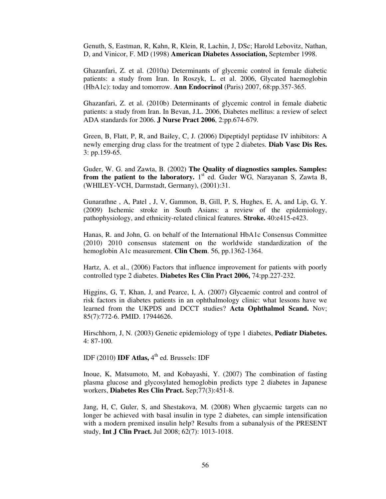Genuth, S, Eastman, R, Kahn, R, Klein, R, Lachin, J, DSc; Harold Lebovitz, Nathan, D, and Vinicor, F. MD (1998) **American Diabetes Association,** September 1998.

Ghazanfari, Z. et al. (2010a) Determinants of glycemic control in female diabetic patients: a study from Iran. In Roszyk, L. et al. 2006, Glycated haemoglobin (HbA1c): today and tomorrow. **Ann Endocrinol** (Paris) 2007, 68:pp.357-365.

Ghazanfari, Z. et al. (2010b) Determinants of glycemic control in female diabetic patients: a study from Iran. In Bevan, J.L. 2006, Diabetes mellitus: a review of select ADA standards for 2006. **J Nurse Pract 2006**, 2:pp.674-679.

Green, B, Flatt, P, R, and Bailey, C, J. (2006) Dipeptidyl peptidase IV inhibitors: A newly emerging drug class for the treatment of type 2 diabetes. **Diab Vasc Dis Res.** 3: pp.159-65.

Guder, W. G. and Zawta, B. (2002) **The Quality of diagnostics samples. Samples: from the patient to the laboratory.**  $1<sup>st</sup>$  ed. Guder WG, Narayanan S, Zawta B, (WHILEY-VCH, Darmstadt, Germany), (2001):31.

Gunarathne , A, Patel , J, V, Gammon, B, Gill, P, S, Hughes, E, A, and Lip, G, Y. (2009) Ischemic stroke in South Asians: a review of the epidemiology, pathophysiology, and ethnicity-related clinical features. **Stroke.** 40:e415-e423.

Hanas, R. and John, G. on behalf of the International HbA1c Consensus Committee (2010) 2010 consensus statement on the worldwide standardization of the hemoglobin A1c measurement. **Clin Chem**. 56, pp.1362-1364.

Hartz, A. et al., (2006) Factors that influence improvement for patients with poorly controlled type 2 diabetes. **Diabetes Res Clin Pract 2006,** 74:pp.227-232.

Higgins, G, T, Khan, J, and Pearce, I, A. (2007) Glycaemic control and control of risk factors in diabetes patients in an ophthalmology clinic: what lessons have we learned from the UKPDS and DCCT studies? **Acta Ophthalmol Scand.** Nov; 85(7):772-6. PMID. 17944626.

Hirschhorn, J, N. (2003) Genetic epidemiology of type 1 diabetes, **Pediatr Diabetes.** 4: 87-100.

IDF (2010) **IDF Atlas,** 4<sup>th</sup> ed. Brussels: IDF

Inoue, K, Matsumoto, M, and Kobayashi, Y. (2007) The combination of fasting plasma glucose and glycosylated hemoglobin predicts type 2 diabetes in Japanese workers, **Diabetes Res Clin Pract.** Sep;77(3):451-8.

Jang, H, C, Guler, S, and Shestakova, M. (2008) When glycaemic targets can no longer be achieved with basal insulin in type 2 diabetes, can simple intensification with a modern premixed insulin help? Results from a subanalysis of the PRESENT study, **Int J Clin Pract.** Jul 2008; 62(7): 1013-1018.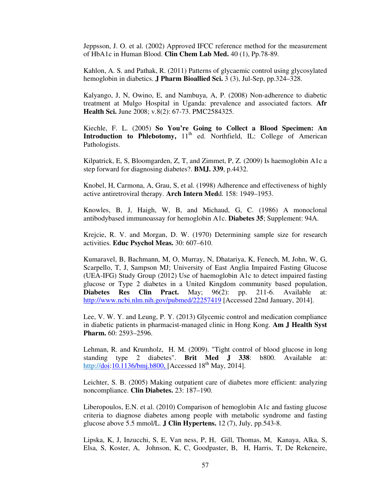Jeppsson, J. O. et al. (2002) Approved IFCC reference method for the measurement of HbA1c in Human Blood. **Clin Chem Lab Med.** 40 (1), Pp.78-89.

Kahlon, A. S. and Pathak, R. (2011) Patterns of glycaemic control using glycosylated hemoglobin in diabetics. **J Pharm Bioallied Sci.** 3 (3), Jul-Sep, pp.324–328.

Kalyango, J, N, Owino, E, and Nambuya, A, P. (2008) Non-adherence to diabetic treatment at Mulgo Hospital in Uganda: prevalence and associated factors. **Afr Health Sci.** June 2008; v.8(2): 67-73. PMC2584325.

Kiechle, F. L. (2005) **So You're Going to Collect a Blood Specimen: An Introduction to Phlebotomy,**  $11<sup>th</sup>$  ed. Northfield, IL: College of American Pathologists.

Kilpatrick, E, S, Bloomgarden, Z, T, and Zimmet, P, Z. (2009) Is haemoglobin A1c a step forward for diagnosing diabetes?. **BMJ. 339**, p.4432.

Knobel, H, Carmona, A, Grau, S, et al. (1998) Adherence and effectiveness of highly active antiretroviral therapy. **Arch Intern Med**d. 158: 1949–1953.

Knowles, B, J, Haigh, W, B, and Michaud, G, C. (1986) A monoclonal antibodybased immunoassay for hemoglobin A1c. **Diabetes 35**; Supplement: 94A.

Krejcie, R. V. and Morgan, D. W. (1970) Determining sample size for research activities. **Educ Psychol Meas.** 30: 607–610.

Kumaravel, B, Bachmann, M, O, Murray, N, Dhatariya, K, Fenech, M, John, W, G, Scarpello, T, J, Sampson MJ; University of East Anglia Impaired Fasting Glucose (UEA-IFG) Study Group (2012) Use of haemoglobin A1c to detect impaired fasting glucose or Type 2 diabetes in a United Kingdom community based population, **Diabetes Res Clin Pract.** May; 96(2): pp. 211-6. Available at: http://www.ncbi.nlm.nih.gov/pubmed/22257419 [Accessed 22nd January, 2014].

Lee, V. W. Y. and Leung, P. Y. (2013) Glycemic control and medication compliance in diabetic patients in pharmacist-managed clinic in Hong Kong. **Am J Health Syst Pharm.** 60: 2593–2596.

Lehman, R. and Krumholz, H. M. (2009). "Tight control of blood glucose in long standing type 2 diabetes". **Brit Med J 338**: b800. Available at: http://doi:10.1136/bmj.b800, [Accessed  $18^{th}$  May, 2014].

Leichter, S. B. (2005) Making outpatient care of diabetes more efficient: analyzing noncompliance. **Clin Diabetes.** 23: 187–190.

Liberopoulos, E.N. et al. (2010) Comparison of hemoglobin A1c and fasting glucose criteria to diagnose diabetes among people with metabolic syndrome and fasting glucose above 5.5 mmol/L. **J Clin Hypertens.** 12 (7), July, pp.543-8.

Lipska, K, J, Inzucchi, S, E, Van ness, P, H, Gill, Thomas, M, Kanaya, Alka, S, Elsa, S, Koster, A, Johnson, K, C, Goodpaster, B, H, Harris, T, De Rekeneire,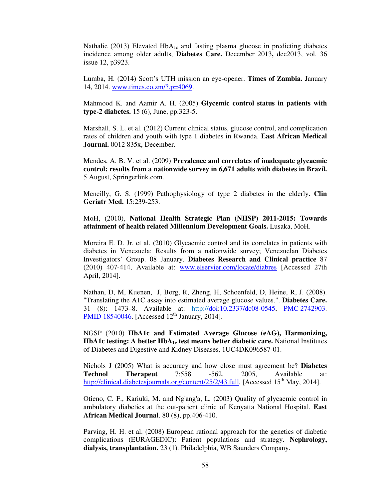Nathalie (2013) Elevated HbA<sub>1c</sub> and fasting plasma glucose in predicting diabetes incidence among older adults, **Diabetes Care.** December 2013**,** dec2013, vol. 36 issue 12, p3923.

Lumba, H. (2014) Scott's UTH mission an eye-opener. **Times of Zambia.** January 14, 2014. www.times.co.zm/?.p=4069.

Mahmood K. and Aamir A. H. (2005) **Glycemic control status in patients with type-2 diabetes.** 15 (6), June, pp.323-5.

Marshall, S. L. et al. (2012) Current clinical status, glucose control, and complication rates of children and youth with type 1 diabetes in Rwanda. **East African Medical Journal.** 0012 835x, December.

Mendes, A. B. V. et al. (2009) **Prevalence and correlates of inadequate glycaemic control: results from a nationwide survey in 6,671 adults with diabetes in Brazil.**  5 August, Springerlink.com.

Meneilly, G. S. (1999) Pathophysiology of type 2 diabetes in the elderly. **Clin Geriatr Med.** 15:239-253.

MoH, (2010), **National Health Strategic Plan (NHSP) 2011-2015: Towards attainment of health related Millennium Development Goals.** Lusaka, MoH.

Moreira E. D. Jr. et al. (2010) Glycaemic control and its correlates in patients with diabetes in Venezuela: Results from a nationwide survey; Venezuelan Diabetes Investigators' Group. 08 January. **Diabetes Research and Clinical practice** 87 (2010) 407-414, Available at: www.elservier.com/locate/diabres [Accessed 27th April, 2014].

Nathan, D, M, Kuenen, J, Borg, R, Zheng, H, Schoenfeld, D, Heine, R, J. (2008). "Translating the A1C assay into estimated average glucose values.". **Diabetes Care.** 31 (8): 1473–8. Available at: http://doi:10.2337/dc08-0545, PMC 2742903. PMID 18540046. [Accessed  $12<sup>th</sup>$  January, 2014].

NGSP (2010) **HbA1c and Estimated Average Glucose (eAG), Harmonizing, HbA1c testing: A better HbA1c test means better diabetic care.** National Institutes of Diabetes and Digestive and Kidney Diseases, 1UC4DK096587-01.

Nichols J (2005) What is accuracy and how close must agreement be? **Diabetes Technol Therapeut** 7:558 -562, 2005, Available at: http://clinical.diabetesjournals.org/content/25/2/43.full, [Accessed 15<sup>th</sup> May, 2014].

Otieno, C. F., Kariuki, M. and Ng'ang'a, L. (2003) Quality of glycaemic control in ambulatory diabetics at the out-patient clinic of Kenyatta National Hospital. **East African Medical Journal**. 80 (8), pp.406-410.

Parving, H. H. et al. (2008) European rational approach for the genetics of diabetic complications (EURAGEDIC): Patient populations and strategy. **Nephrology, dialysis, transplantation.** 23 (1). Philadelphia, WB Saunders Company.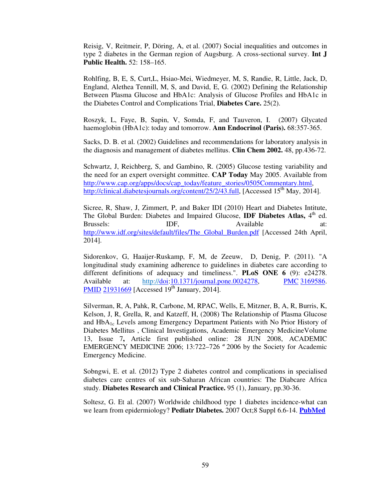Reisig, V, Reitmeir, P, Döring, A, et al. (2007) Social inequalities and outcomes in type 2 diabetes in the German region of Augsburg. A cross-sectional survey. **Int J Public Health.** 52: 158–165.

Rohlfing, B, E, S, Curt,L, Hsiao-Mei, Wiedmeyer, M, S, Randie, R, Little, Jack, D, England, Alethea Tennill, M, S, and David, E, G. (2002) Defining the Relationship Between Plasma Glucose and HbA1c: Analysis of Glucose Profiles and HbA1c in the Diabetes Control and Complications Trial, **Diabetes Care.** 25(2).

Roszyk, L, Faye, B, Sapin, V, Somda, F, and Tauveron, I. (2007) Glycated haemoglobin (HbA1c): today and tomorrow. **Ann Endocrinol (Paris).** 68:357-365.

Sacks, D. B. et al. (2002) Guidelines and recommendations for laboratory analysis in the diagnosis and management of diabetes mellitus. **Clin Chem 2002.** 48, pp.436-72.

Schwartz, J, Reichberg, S, and Gambino, R. (2005) Glucose testing variability and the need for an expert oversight committee. **CAP Today** May 2005. Available from http://www.cap.org/apps/docs/cap\_today/feature\_stories/0505Commentary.html, http://clinical.diabetesjournals.org/content/25/2/43.full, [Accessed 15<sup>th</sup> May, 2014].

Sicree, R, Shaw, J, Zimmert, P, and Baker IDI (2010) Heart and Diabetes Intitute, The Global Burden: Diabetes and Impaired Glucose, **IDF Diabetes Atlas**, 4<sup>th</sup> ed. Brussels: IDF, Available at: http://www.idf.org/sites/default/files/The\_Global\_Burden.pdf [Accessed 24th April, 2014].

Sidorenkov, G, Haaijer-Ruskamp, F, M, de Zeeuw, D, Denig, P. (2011). "A longitudinal study examining adherence to guidelines in diabetes care according to different definitions of adequacy and timeliness.". **PLoS ONE 6** (9): e24278. Available at: http://doi:10.1371/journal.pone.0024278, PMC 3169586. PMID 21931669 [Accessed  $19<sup>th</sup>$  January, 2014].

Silverman, R, A, Pahk, R, Carbone, M, RPAC, Wells, E, Mitzner, B, A, R, Burris, K, Kelson, J, R, Grella, R, and Katzeff, H, (2008) The Relationship of Plasma Glucose and  $HbA_{1c}$  Levels among Emergency Department Patients with No Prior History of Diabetes Mellitus , Clinical Investigations, Academic Emergency MedicineVolume 13, Issue 7**,** Article first published online: 28 JUN 2008, ACADEMIC EMERGENCY MEDICINE 2006; 13:722–726 *ª* 2006 by the Society for Academic Emergency Medicine.

Sobngwi, E. et al. (2012) Type 2 diabetes control and complications in specialised diabetes care centres of six sub-Saharan African countries: The Diabcare Africa study. **Diabetes Research and Clinical Practice.** 95 (1), January, pp.30-36.

Soltesz, G. Et al. (2007) Worldwide childhood type 1 diabetes incidence-what can we learn from epidermiology? **Pediatr Diabetes.** 2007 Oct;8 Suppl 6.6-14. **PubMed**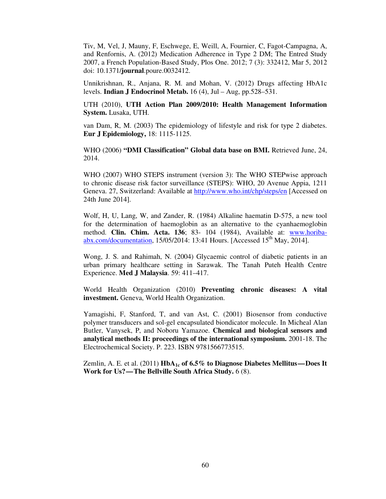Tiv, M, Vel, J, Mauny, F, Eschwege, E, Weill, A, Fournier, C, Fagot-Campagna, A, and Renfornis, A. (2012) Medication Adherence in Type 2 DM; The Entred Study 2007, a French Population-Based Study, Plos One. 2012; 7 (3): 332412, Mar 5, 2012 doi: 10.1371/**journal**.poure.0032412.

Unnikrishnan, R., Anjana, R. M. and Mohan, V. (2012) Drugs affecting HbA1c levels. **Indian J Endocrinol Metab.** 16 (4), Jul – Aug, pp.528–531.

UTH (2010), **UTH Action Plan 2009/2010: Health Management Information System.** Lusaka, UTH.

van Dam, R, M. (2003) The epidemiology of lifestyle and risk for type 2 diabetes. **Eur J Epidemiology,** 18: 1115-1125.

WHO (2006) **"DMI Classification" Global data base on BMI.** Retrieved June, 24, 2014.

WHO (2007) WHO STEPS instrument (version 3): The WHO STEPwise approach to chronic disease risk factor surveillance (STEPS): WHO, 20 Avenue Appia, 1211 Geneva. 27, Switzerland: Available at http://www.who.int/chp/steps/en [Accessed on 24th June 2014].

Wolf, H, U, Lang, W, and Zander, R. (1984) Alkaline haematin D-575, a new tool for the determination of haemoglobin as an alternative to the cyanhaemoglobin method. **Clin. Chim. Acta. 136**; 83- 104 (1984), Available at: www.horibaabx.com/documentation,  $15/05/2014$ : 13:41 Hours. [Accessed  $15<sup>th</sup>$  May, 2014].

Wong, J. S. and Rahimah, N. (2004) Glycaemic control of diabetic patients in an urban primary healthcare setting in Sarawak. The Tanah Puteh Health Centre Experience. **Med J Malaysia**. 59: 411–417.

World Health Organization (2010) **Preventing chronic diseases: A vital investment.** Geneva, World Health Organization.

Yamagishi, F, Stanford, T, and van Ast, C. (2001) Biosensor from conductive polymer transducers and sol-gel encapsulated biondicator molecule. In Micheal Alan Butler, Vanysek, P, and Noboru Yamazoe. **Chemical and biological sensors and analytical methods II: proceedings of the international symposium.** 2001-18. The Electrochemical Society. P. 223. ISBN 9781566773515.

Zemlin, A. E. et al. (2011) **HbA**<sub>1c</sub> of 6.5% to Diagnose Diabetes Mellitus—Does It **Work for Us?—The Bellville South Africa Study.** 6 (8).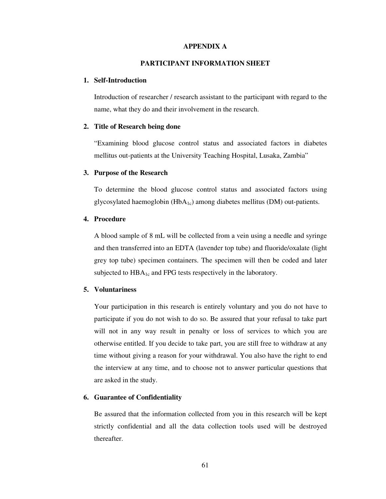#### **APPENDIX A**

### **PARTICIPANT INFORMATION SHEET**

### **1. Self-Introduction**

Introduction of researcher / research assistant to the participant with regard to the name, what they do and their involvement in the research.

### **2. Title of Research being done**

"Examining blood glucose control status and associated factors in diabetes mellitus out-patients at the University Teaching Hospital, Lusaka, Zambia"

#### **3. Purpose of the Research**

To determine the blood glucose control status and associated factors using glycosylated haemoglobin  $(HbA_{1c})$  among diabetes mellitus  $(DM)$  out-patients.

# **4. Procedure**

A blood sample of 8 mL will be collected from a vein using a needle and syringe and then transferred into an EDTA (lavender top tube) and fluoride/oxalate (light grey top tube) specimen containers. The specimen will then be coded and later subjected to HBA<sub>1c</sub> and FPG tests respectively in the laboratory.

### **5. Voluntariness**

Your participation in this research is entirely voluntary and you do not have to participate if you do not wish to do so. Be assured that your refusal to take part will not in any way result in penalty or loss of services to which you are otherwise entitled. If you decide to take part, you are still free to withdraw at any time without giving a reason for your withdrawal. You also have the right to end the interview at any time, and to choose not to answer particular questions that are asked in the study.

#### **6. Guarantee of Confidentiality**

Be assured that the information collected from you in this research will be kept strictly confidential and all the data collection tools used will be destroyed thereafter.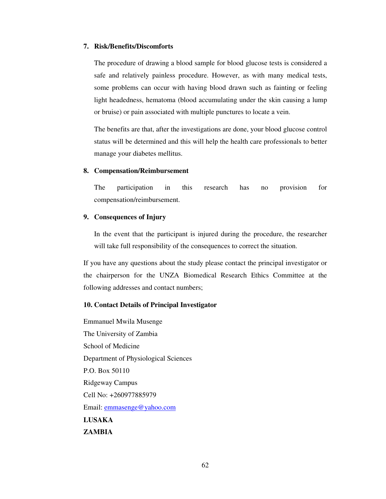### **7. Risk/Benefits/Discomforts**

The procedure of drawing a blood sample for blood glucose tests is considered a safe and relatively painless procedure. However, as with many medical tests, some problems can occur with having blood drawn such as fainting or feeling light headedness, hematoma (blood accumulating under the skin causing a lump or bruise) or pain associated with multiple punctures to locate a vein.

The benefits are that, after the investigations are done, your blood glucose control status will be determined and this will help the health care professionals to better manage your diabetes mellitus.

#### **8. Compensation/Reimbursement**

The participation in this research has no provision for compensation/reimbursement.

# **9. Consequences of Injury**

In the event that the participant is injured during the procedure, the researcher will take full responsibility of the consequences to correct the situation.

If you have any questions about the study please contact the principal investigator or the chairperson for the UNZA Biomedical Research Ethics Committee at the following addresses and contact numbers;

# **10. Contact Details of Principal Investigator**

Emmanuel Mwila Musenge The University of Zambia School of Medicine Department of Physiological Sciences P.O. Box 50110 Ridgeway Campus Cell No: +260977885979 Email: emmasenge@yahoo.com **LUSAKA ZAMBIA**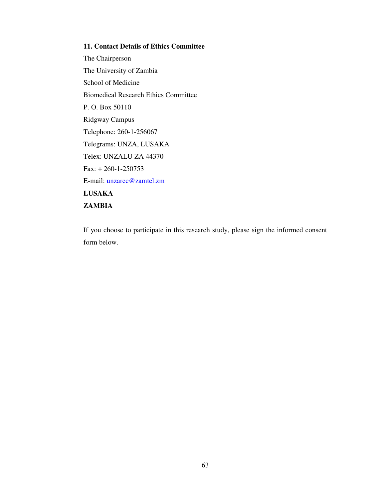**11. Contact Details of Ethics Committee**  The Chairperson The University of Zambia School of Medicine Biomedical Research Ethics Committee P. O. Box 50110 Ridgway Campus Telephone: 260-1-256067 Telegrams: UNZA, LUSAKA Telex: UNZALU ZA 44370 Fax: + 260-1-250753 E-mail: unzarec@zamtel.zm **LUSAKA ZAMBIA** 

If you choose to participate in this research study, please sign the informed consent form below.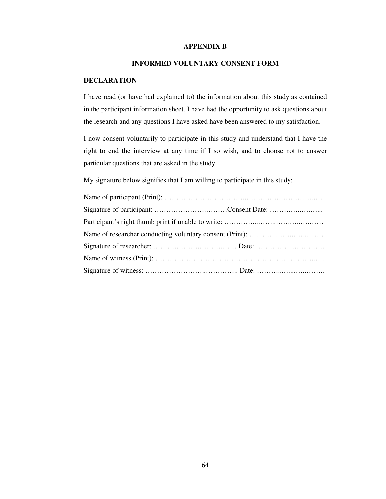### **APPENDIX B**

# **INFORMED VOLUNTARY CONSENT FORM**

# **DECLARATION**

I have read (or have had explained to) the information about this study as contained in the participant information sheet. I have had the opportunity to ask questions about the research and any questions I have asked have been answered to my satisfaction.

I now consent voluntarily to participate in this study and understand that I have the right to end the interview at any time if I so wish, and to choose not to answer particular questions that are asked in the study.

My signature below signifies that I am willing to participate in this study:

| Signature of participant: Consent Date: |  |
|-----------------------------------------|--|
|                                         |  |
|                                         |  |
|                                         |  |
|                                         |  |
|                                         |  |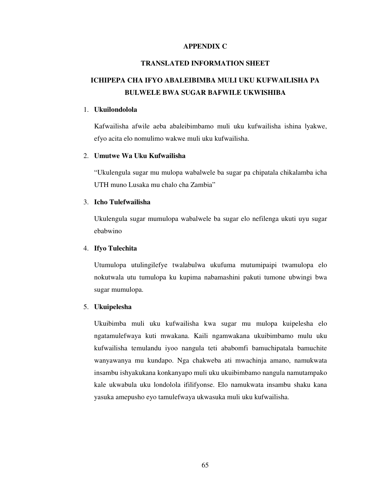# **APPENDIX C**

### **TRANSLATED INFORMATION SHEET**

# **ICHIPEPA CHA IFYO ABALEIBIMBA MULI UKU KUFWAILISHA PA BULWELE BWA SUGAR BAFWILE UKWISHIBA**

#### 1. **Ukuilondolola**

Kafwailisha afwile aeba abaleibimbamo muli uku kufwailisha ishina lyakwe, efyo acita elo nomulimo wakwe muli uku kufwailisha.

### 2. **Umutwe Wa Uku Kufwailisha**

"Ukulengula sugar mu mulopa wabalwele ba sugar pa chipatala chikalamba icha UTH muno Lusaka mu chalo cha Zambia"

## 3. **Icho Tulefwailisha**

Ukulengula sugar mumulopa wabalwele ba sugar elo nefilenga ukuti uyu sugar ebabwino

### 4. **Ifyo Tulechita**

Utumulopa utulingilefye twalabulwa ukufuma mutumipaipi twamulopa elo nokutwala utu tumulopa ku kupima nabamashini pakuti tumone ubwingi bwa sugar mumulopa.

#### 5. **Ukuipelesha**

Ukuibimba muli uku kufwailisha kwa sugar mu mulopa kuipelesha elo ngatamulefwaya kuti mwakana. Kaili ngamwakana ukuibimbamo mulu uku kufwailisha temulandu iyoo nangula teti ababomfi bamuchipatala bamuchite wanyawanya mu kundapo. Nga chakweba ati mwachinja amano, namukwata insambu ishyakukana konkanyapo muli uku ukuibimbamo nangula namutampako kale ukwabula uku londolola ifilifyonse. Elo namukwata insambu shaku kana yasuka amepusho eyo tamulefwaya ukwasuka muli uku kufwailisha.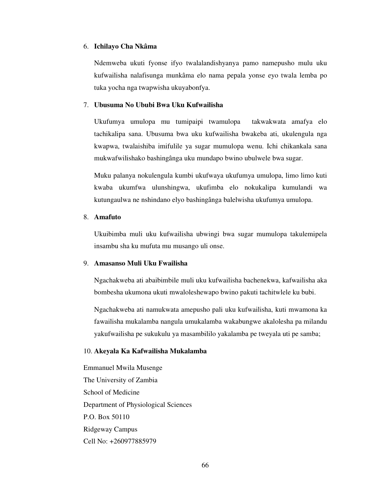### 6. **Ichilayo Cha Nkâma**

Ndemweba ukuti fyonse ifyo twalalandishyanya pamo namepusho mulu uku kufwailisha nalafisunga munkâma elo nama pepala yonse eyo twala lemba po tuka yocha nga twapwisha ukuyabonfya.

### 7. **Ubusuma No Ububi Bwa Uku Kufwailisha**

Ukufumya umulopa mu tumipaipi twamulopa takwakwata amafya elo tachikalipa sana. Ubusuma bwa uku kufwailisha bwakeba ati, ukulengula nga kwapwa, twalaishiba imifulile ya sugar mumulopa wenu. Ichi chikankala sana mukwafwilishako bashingânga uku mundapo bwino ubulwele bwa sugar.

Muku palanya nokulengula kumbi ukufwaya ukufumya umulopa, limo limo kuti kwaba ukumfwa ulunshingwa, ukufimba elo nokukalipa kumulandi wa kutungaulwa ne nshindano elyo bashingânga balelwisha ukufumya umulopa.

## 8. **Amafuto**

Ukuibimba muli uku kufwailisha ubwingi bwa sugar mumulopa takulemipela insambu sha ku mufuta mu musango uli onse.

## 9. **Amasanso Muli Uku Fwailisha**

Ngachakweba ati abaibimbile muli uku kufwailisha bachenekwa, kafwailisha aka bombesha ukumona ukuti mwaloleshewapo bwino pakuti tachitwlele ku bubi.

Ngachakweba ati namukwata amepusho pali uku kufwailisha, kuti mwamona ka fawailisha mukalamba nangula umukalamba wakabungwe akalolesha pa milandu yakufwailisha pe sukukulu ya masambililo yakalamba pe tweyala uti pe samba;

### 10. **Akeyala Ka Kafwailisha Mukalamba**

Emmanuel Mwila Musenge The University of Zambia School of Medicine Department of Physiological Sciences P.O. Box 50110 Ridgeway Campus Cell No: +260977885979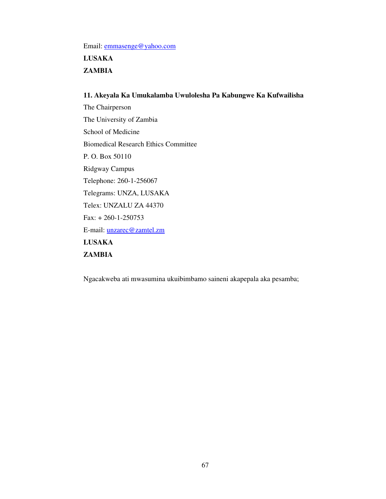Email: emmasenge@yahoo.com

**LUSAKA ZAMBIA**

# **11. Akeyala Ka Umukalamba Uwulolesha Pa Kabungwe Ka Kufwailisha**

The Chairperson The University of Zambia School of Medicine Biomedical Research Ethics Committee P. O. Box 50110 Ridgway Campus Telephone: 260-1-256067 Telegrams: UNZA, LUSAKA Telex: UNZALU ZA 44370 Fax: + 260-1-250753 E-mail: unzarec@zamtel.zm **LUSAKA ZAMBIA**

Ngacakweba ati mwasumina ukuibimbamo saineni akapepala aka pesamba;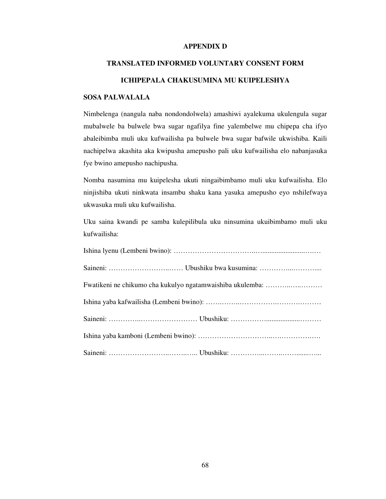### **APPENDIX D**

### **TRANSLATED INFORMED VOLUNTARY CONSENT FORM**

# **ICHIPEPALA CHAKUSUMINA MU KUIPELESHYA**

# **SOSA PALWALALA**

Nimbelenga (nangula naba nondondolwela) amashiwi ayalekuma ukulengula sugar mubalwele ba bulwele bwa sugar ngafilya fine yalembelwe mu chipepa cha ifyo abaleibimba muli uku kufwailisha pa bulwele bwa sugar bafwile ukwishiba. Kaili nachipelwa akashita aka kwipusha amepusho pali uku kufwailisha elo nabanjasuka fye bwino amepusho nachipusha.

Nomba nasumina mu kuipelesha ukuti ningaibimbamo muli uku kufwailisha. Elo ninjishiba ukuti ninkwata insambu shaku kana yasuka amepusho eyo nshilefwaya ukwasuka muli uku kufwailisha.

Uku saina kwandi pe samba kulepilibula uku ninsumina ukuibimbamo muli uku kufwailisha:

| Fwatikeni ne chikumo cha kukulyo ngatamwaishiba ukulemba: |  |
|-----------------------------------------------------------|--|
|                                                           |  |
|                                                           |  |
|                                                           |  |
|                                                           |  |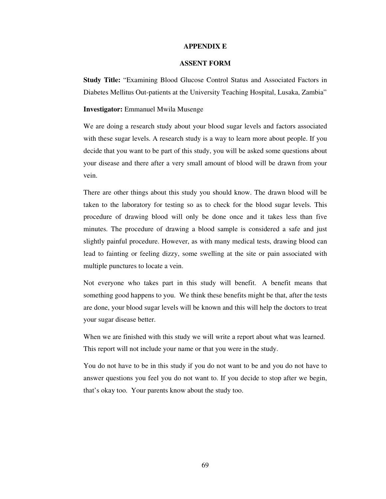#### **APPENDIX E**

### **ASSENT FORM**

**Study Title:** "Examining Blood Glucose Control Status and Associated Factors in Diabetes Mellitus Out-patients at the University Teaching Hospital, Lusaka, Zambia"

### **Investigator:** Emmanuel Mwila Musenge

We are doing a research study about your blood sugar levels and factors associated with these sugar levels. A research study is a way to learn more about people. If you decide that you want to be part of this study, you will be asked some questions about your disease and there after a very small amount of blood will be drawn from your vein.

There are other things about this study you should know. The drawn blood will be taken to the laboratory for testing so as to check for the blood sugar levels. This procedure of drawing blood will only be done once and it takes less than five minutes. The procedure of drawing a blood sample is considered a safe and just slightly painful procedure. However, as with many medical tests, drawing blood can lead to fainting or feeling dizzy, some swelling at the site or pain associated with multiple punctures to locate a vein.

Not everyone who takes part in this study will benefit. A benefit means that something good happens to you. We think these benefits might be that, after the tests are done, your blood sugar levels will be known and this will help the doctors to treat your sugar disease better.

When we are finished with this study we will write a report about what was learned. This report will not include your name or that you were in the study.

You do not have to be in this study if you do not want to be and you do not have to answer questions you feel you do not want to. If you decide to stop after we begin, that's okay too. Your parents know about the study too.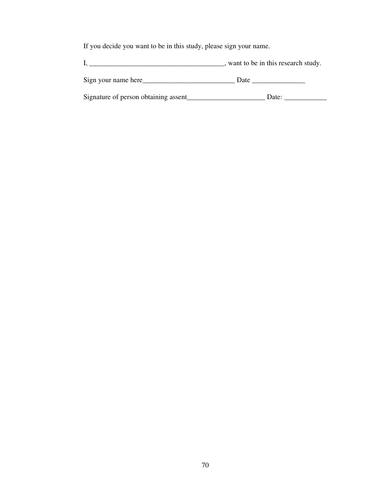If you decide you want to be in this study, please sign your name.

I, \_\_\_\_\_\_\_\_\_\_\_\_\_\_\_\_\_\_\_\_\_\_\_\_\_\_\_\_\_\_\_\_\_\_\_\_\_\_, want to be in this research study.

Sign your name here\_\_\_\_\_\_\_\_\_\_\_\_\_\_\_\_\_\_\_\_\_\_\_\_\_\_ Date \_\_\_\_\_\_\_\_\_\_\_\_\_\_\_

Signature of person obtaining assent\_\_\_\_\_\_\_\_\_\_\_\_\_\_\_\_\_\_\_\_\_\_ Date: \_\_\_\_\_\_\_\_\_\_\_\_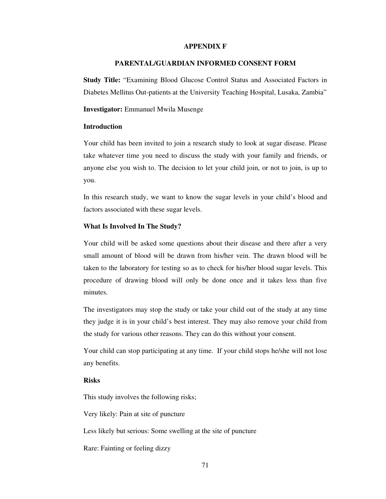#### **APPENDIX F**

### **PARENTAL/GUARDIAN INFORMED CONSENT FORM**

**Study Title:** "Examining Blood Glucose Control Status and Associated Factors in Diabetes Mellitus Out-patients at the University Teaching Hospital, Lusaka, Zambia"

#### **Investigator:** Emmanuel Mwila Musenge

### **Introduction**

Your child has been invited to join a research study to look at sugar disease. Please take whatever time you need to discuss the study with your family and friends, or anyone else you wish to. The decision to let your child join, or not to join, is up to you.

In this research study, we want to know the sugar levels in your child's blood and factors associated with these sugar levels.

### **What Is Involved In The Study?**

Your child will be asked some questions about their disease and there after a very small amount of blood will be drawn from his/her vein. The drawn blood will be taken to the laboratory for testing so as to check for his/her blood sugar levels. This procedure of drawing blood will only be done once and it takes less than five minutes.

The investigators may stop the study or take your child out of the study at any time they judge it is in your child's best interest. They may also remove your child from the study for various other reasons. They can do this without your consent.

Your child can stop participating at any time. If your child stops he/she will not lose any benefits.

### **Risks**

This study involves the following risks;

Very likely: Pain at site of puncture

Less likely but serious: Some swelling at the site of puncture

Rare: Fainting or feeling dizzy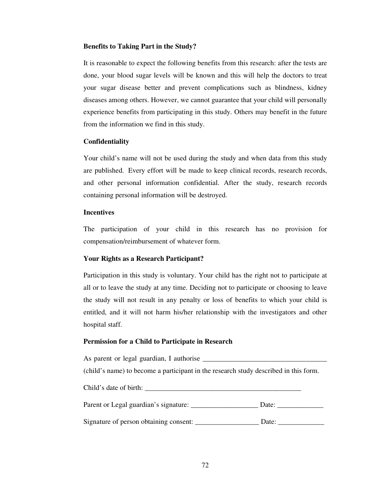### **Benefits to Taking Part in the Study?**

It is reasonable to expect the following benefits from this research: after the tests are done, your blood sugar levels will be known and this will help the doctors to treat your sugar disease better and prevent complications such as blindness, kidney diseases among others. However, we cannot guarantee that your child will personally experience benefits from participating in this study. Others may benefit in the future from the information we find in this study.

### **Confidentiality**

Your child's name will not be used during the study and when data from this study are published. Every effort will be made to keep clinical records, research records, and other personal information confidential. After the study, research records containing personal information will be destroyed.

### **Incentives**

The participation of your child in this research has no provision for compensation/reimbursement of whatever form.

# **Your Rights as a Research Participant?**

Participation in this study is voluntary. Your child has the right not to participate at all or to leave the study at any time. Deciding not to participate or choosing to leave the study will not result in any penalty or loss of benefits to which your child is entitled, and it will not harm his/her relationship with the investigators and other hospital staff.

# **Permission for a Child to Participate in Research**

As parent or legal guardian, I authorise (child's name) to become a participant in the research study described in this form. Child's date of birth: \_\_\_\_\_\_\_\_\_\_\_\_\_\_\_\_\_\_\_\_\_\_\_\_\_\_\_\_\_\_\_\_\_\_\_\_\_\_\_\_\_\_\_\_ Parent or Legal guardian's signature: \_\_\_\_\_\_\_\_\_\_\_\_\_\_\_\_\_\_\_ Date: \_\_\_\_\_\_\_\_\_\_\_\_\_ Signature of person obtaining consent: \_\_\_\_\_\_\_\_\_\_\_\_\_\_\_\_\_\_ Date: \_\_\_\_\_\_\_\_\_\_\_\_\_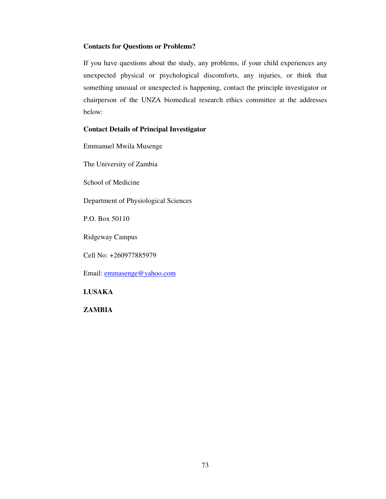# **Contacts for Questions or Problems?**

If you have questions about the study, any problems, if your child experiences any unexpected physical or psychological discomforts, any injuries, or think that something unusual or unexpected is happening, contact the principle investigator or chairperson of the UNZA biomedical research ethics committee at the addresses below:

# **Contact Details of Principal Investigator**

Emmanuel Mwila Musenge

The University of Zambia

School of Medicine

Department of Physiological Sciences

P.O. Box 50110

Ridgeway Campus

Cell No: +260977885979

Email: emmasenge@yahoo.com

# **LUSAKA**

**ZAMBIA**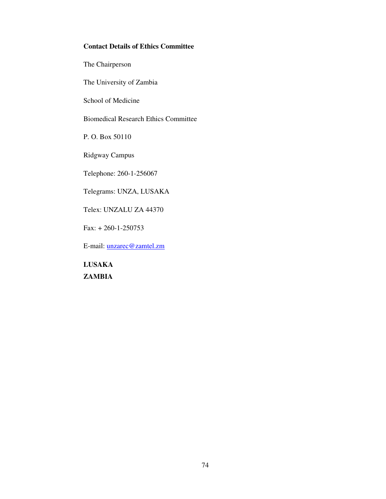# **Contact Details of Ethics Committee**

The Chairperson

The University of Zambia

School of Medicine

Biomedical Research Ethics Committee

P. O. Box 50110

Ridgway Campus

Telephone: 260-1-256067

Telegrams: UNZA, LUSAKA

Telex: UNZALU ZA 44370

Fax: + 260-1-250753

E-mail: unzarec@zamtel.zm

**LUSAKA ZAMBIA**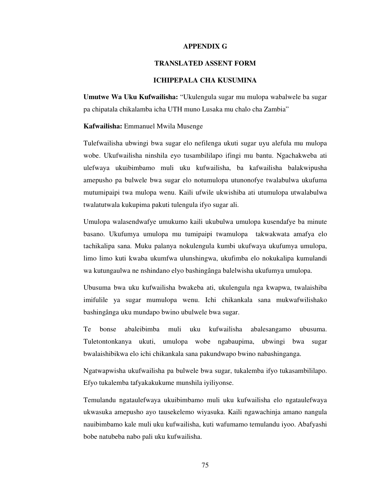#### **APPENDIX G**

### **TRANSLATED ASSENT FORM**

### **ICHIPEPALA CHA KUSUMINA**

**Umutwe Wa Uku Kufwailisha:** "Ukulengula sugar mu mulopa wabalwele ba sugar pa chipatala chikalamba icha UTH muno Lusaka mu chalo cha Zambia"

#### **Kafwailisha:** Emmanuel Mwila Musenge

Tulefwailisha ubwingi bwa sugar elo nefilenga ukuti sugar uyu alefula mu mulopa wobe. Ukufwailisha ninshila eyo tusambililapo ifingi mu bantu. Ngachakweba ati ulefwaya ukuibimbamo muli uku kufwailisha, ba kafwailisha balakwipusha amepusho pa bulwele bwa sugar elo notumulopa utunonofye twalabulwa ukufuma mutumipaipi twa mulopa wenu. Kaili ufwile ukwishiba ati utumulopa utwalabulwa twalatutwala kukupima pakuti tulengula ifyo sugar ali.

Umulopa walasendwafye umukumo kaili ukubulwa umulopa kusendafye ba minute basano. Ukufumya umulopa mu tumipaipi twamulopa takwakwata amafya elo tachikalipa sana. Muku palanya nokulengula kumbi ukufwaya ukufumya umulopa, limo limo kuti kwaba ukumfwa ulunshingwa, ukufimba elo nokukalipa kumulandi wa kutungaulwa ne nshindano elyo bashingânga balelwisha ukufumya umulopa.

Ubusuma bwa uku kufwailisha bwakeba ati, ukulengula nga kwapwa, twalaishiba imifulile ya sugar mumulopa wenu. Ichi chikankala sana mukwafwilishako bashingânga uku mundapo bwino ubulwele bwa sugar.

Te bonse abaleibimba muli uku kufwailisha abalesangamo ubusuma. Tuletontonkanya ukuti, umulopa wobe ngabaupima, ubwingi bwa sugar bwalaishibikwa elo ichi chikankala sana pakundwapo bwino nabashinganga.

Ngatwapwisha ukufwailisha pa bulwele bwa sugar, tukalemba ifyo tukasambililapo. Efyo tukalemba tafyakakukume munshila iyiliyonse.

Temulandu ngataulefwaya ukuibimbamo muli uku kufwailisha elo ngataulefwaya ukwasuka amepusho ayo tausekelemo wiyasuka. Kaili ngawachinja amano nangula nauibimbamo kale muli uku kufwailisha, kuti wafumamo temulandu iyoo. Abafyashi bobe natubeba nabo pali uku kufwailisha.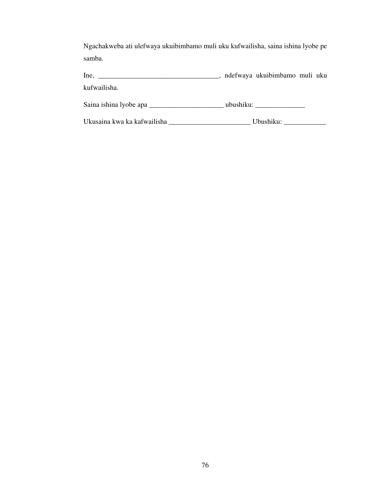Ngachakweba ati ulefwaya ukuibimbamo muli uku kufwailisha, saina ishina lyobe pe samba.

Ine, \_\_\_\_\_\_\_\_\_\_\_\_\_\_\_\_\_\_\_\_\_\_\_\_\_\_\_\_\_\_\_\_\_\_, ndefwaya ukuibimbamo muli uku kufwailisha.

Saina ishina lyobe apa \_\_\_\_\_\_\_\_\_\_\_\_\_\_\_\_\_\_\_\_\_\_\_\_\_\_\_\_\_\_\_\_ ubushiku: \_\_\_\_\_\_\_\_\_\_\_\_\_\_\_

Ukusaina kwa ka kafwailisha \_\_\_\_\_\_\_\_\_\_\_\_\_\_\_\_\_\_\_\_\_\_\_\_\_\_\_\_\_\_\_\_\_Ubushiku: \_\_\_\_\_\_\_\_\_\_\_\_\_\_\_\_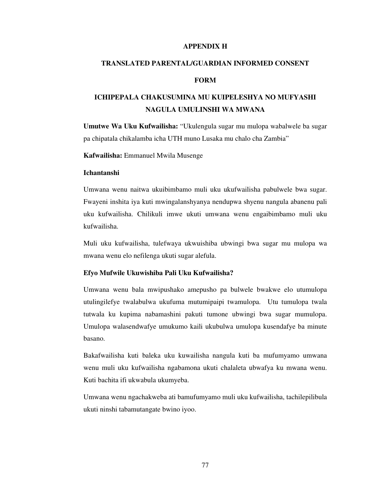### **APPENDIX H**

### **TRANSLATED PARENTAL/GUARDIAN INFORMED CONSENT**

### **FORM**

# **ICHIPEPALA CHAKUSUMINA MU KUIPELESHYA NO MUFYASHI NAGULA UMULINSHI WA MWANA**

**Umutwe Wa Uku Kufwailisha:** "Ukulengula sugar mu mulopa wabalwele ba sugar pa chipatala chikalamba icha UTH muno Lusaka mu chalo cha Zambia"

**Kafwailisha:** Emmanuel Mwila Musenge

### **Ichantanshi**

Umwana wenu naitwa ukuibimbamo muli uku ukufwailisha pabulwele bwa sugar. Fwayeni inshita iya kuti mwingalanshyanya nendupwa shyenu nangula abanenu pali uku kufwailisha. Chilikuli imwe ukuti umwana wenu engaibimbamo muli uku kufwailisha.

Muli uku kufwailisha, tulefwaya ukwuishiba ubwingi bwa sugar mu mulopa wa mwana wenu elo nefilenga ukuti sugar alefula.

#### **Efyo Mufwile Ukuwishiba Pali Uku Kufwailisha?**

Umwana wenu bala mwipushako amepusho pa bulwele bwakwe elo utumulopa utulingilefye twalabulwa ukufuma mutumipaipi twamulopa. Utu tumulopa twala tutwala ku kupima nabamashini pakuti tumone ubwingi bwa sugar mumulopa. Umulopa walasendwafye umukumo kaili ukubulwa umulopa kusendafye ba minute basano.

Bakafwailisha kuti baleka uku kuwailisha nangula kuti ba mufumyamo umwana wenu muli uku kufwailisha ngabamona ukuti chalaleta ubwafya ku mwana wenu. Kuti bachita ifi ukwabula ukumyeba.

Umwana wenu ngachakweba ati bamufumyamo muli uku kufwailisha, tachilepilibula ukuti ninshi tabamutangate bwino iyoo.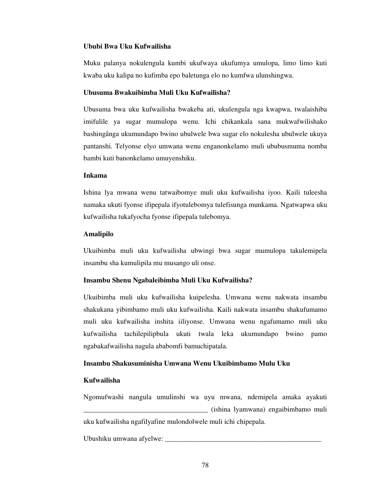### **Ububi Bwa Uku Kufwailisha**

Muku palanya nokulengula kumbi ukufwaya ukufumya umulopa, limo limo kuti kwaba uku kalipa no kufimba epo baletunga elo no kumfwa ulunshingwa.

#### **Ubusuma Bwakuibimba Muli Uku Kufwailisha?**

Ubusuma bwa uku kufwailisha bwakeba ati, ukulengula nga kwapwa, twalaishiba imifulile ya sugar mumulopa wenu. Ichi chikankala sana mukwafwilishako bashingânga ukumundapo bwino ubulwele bwa sugar elo nokulesha ubulwele ukuya pantanshi. Telyonse elyo umwana wenu enganonkelamo muli ububusmuma nomba bambi kuti banonkelamo umuyenshiku.

#### **Inkama**

Ishina lya mwana wenu tatwaibomye muli uku kufwailisha iyoo. Kaili tuleesha namaka ukuti fyonse ifipepala ifyotulebomya tulefisunga munkama. Ngatwapwa uku kufwailisha tukafyocha fyonse ifipepala tulebomya.

### **Amalipilo**

Ukuibimba muli uku kufwailisha ubwingi bwa sugar mumulopa takulemipela insambu sha kumulipila mu musango uli onse.

## **Insambu Shenu Ngabaleibimba Muli Uku Kufwailisha?**

Ukuibimba muli uku kufwailisha kuipelesha. Umwana wenu nakwata insambu shakukana yibimbamo muli uku kufwailisha. Kaili nakwata insambu shakufumamo muli uku kufwailisha inshita iiliyonse. Umwana wenu ngafumamo muli uku kufwailisha tachilepilipbula ukuti twala leka ukumundapo bwino pamo ngabakafwailisha nagula ababomfi bamuchipatala.

### **Insambu Shakusuminisha Umwana Wenu Ukuibimbamo Mulu Uku**

#### **Kufwailisha**

Ngomufwashi nangula umulinshi wa uyu mwana, ndemipela amaka ayakuti \_\_\_\_\_\_\_\_\_\_\_\_\_\_\_\_\_\_\_\_\_\_\_\_\_\_\_\_\_\_\_\_\_\_\_ (ishina lyamwana) engaibimbamo muli uku kufwailisha ngafilyafine mulondolwele muli ichi chipepala.

Ubushiku umwana afyelwe: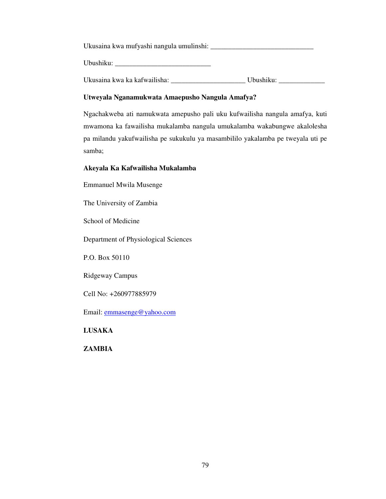Ukusaina kwa mufyashi nangula umulinshi: \_\_\_\_\_\_\_\_\_\_\_\_\_\_\_\_\_\_\_\_\_\_\_\_\_\_\_\_\_

Ubushiku:

Ukusaina kwa ka kafwailisha: \_\_\_\_\_\_\_\_\_\_\_\_\_\_\_\_\_\_\_\_\_ Ubushiku: \_\_\_\_\_\_\_\_\_\_\_\_\_

# **Utweyala Nganamukwata Amaepusho Nangula Amafya?**

Ngachakweba ati namukwata amepusho pali uku kufwailisha nangula amafya, kuti mwamona ka fawailisha mukalamba nangula umukalamba wakabungwe akalolesha pa milandu yakufwailisha pe sukukulu ya masambililo yakalamba pe tweyala uti pe samba;

# **Akeyala Ka Kafwailisha Mukalamba**

Emmanuel Mwila Musenge

The University of Zambia

School of Medicine

Department of Physiological Sciences

P.O. Box 50110

Ridgeway Campus

Cell No: +260977885979

Email: emmasenge@yahoo.com

**LUSAKA**

**ZAMBIA**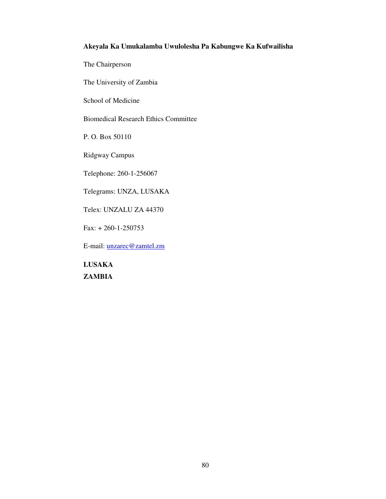# **Akeyala Ka Umukalamba Uwulolesha Pa Kabungwe Ka Kufwailisha**

The Chairperson

The University of Zambia

School of Medicine

Biomedical Research Ethics Committee

P. O. Box 50110

Ridgway Campus

Telephone: 260-1-256067

Telegrams: UNZA, LUSAKA

Telex: UNZALU ZA 44370

Fax: + 260-1-250753

E-mail: unzarec@zamtel.zm

**LUSAKA ZAMBIA**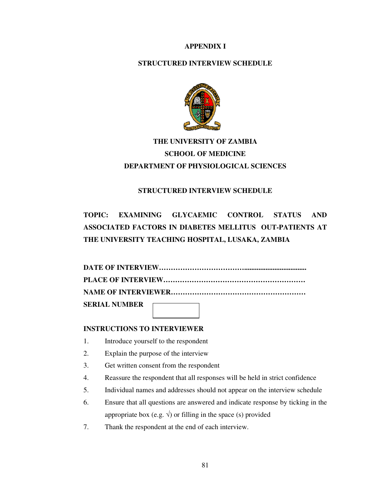# **APPENDIX I**

# **STRUCTURED INTERVIEW SCHEDULE**



# **THE UNIVERSITY OF ZAMBIA SCHOOL OF MEDICINE DEPARTMENT OF PHYSIOLOGICAL SCIENCES**

# **STRUCTURED INTERVIEW SCHEDULE**

# **TOPIC: EXAMINING GLYCAEMIC CONTROL STATUS AND ASSOCIATED FACTORS IN DIABETES MELLITUS OUT-PATIENTS AT THE UNIVERSITY TEACHING HOSPITAL, LUSAKA, ZAMBIA**

| SERIAL NUMBER |  |  |
|---------------|--|--|

# **INSTRUCTIONS TO INTERVIEWER**

- 1. Introduce yourself to the respondent
- 2. Explain the purpose of the interview
- 3. Get written consent from the respondent
- 4. Reassure the respondent that all responses will be held in strict confidence
- 5. Individual names and addresses should not appear on the interview schedule
- 6. Ensure that all questions are answered and indicate response by ticking in the appropriate box (e.g.  $\sqrt{ }$ ) or filling in the space (s) provided
- 7. Thank the respondent at the end of each interview.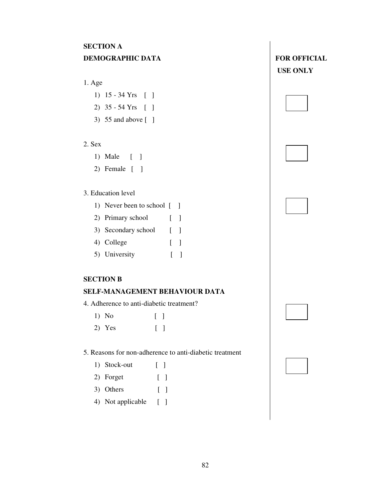# **SECTION A DEMOGRAPHIC DATA**

# 1. Age

- 1) 15 34 Yrs [ ]
- 2) 35 54 Yrs [ ]
- 3) 55 and above [ ]

# 2. Sex

- 1) Male [ ]
- 2) Female [ ]

# 3. Education level

- 1) Never been to school [ ]
- 2) Primary school [ ]
- 3) Secondary school [ ]
- 4) College [ ]
- 5) University [ ]

# **SECTION B**

# **SELF-MANAGEMENT BEHAVIOUR DATA**

- 4. Adherence to anti-diabetic treatment?
	- 1) No [ ]
	- 2) Yes [ ]

5. Reasons for non-adherence to anti-diabetic treatment

82

| 1) Stock-out |  |  |
|--------------|--|--|
|--------------|--|--|

- 2) Forget [ ]
- 3) Others [ ]
- 4) Not applicable [ ]

| DEMOGRAPHIC DATA | <b>FOR OFFICIAL</b> |
|------------------|---------------------|
|                  | <b>USE ONLY</b>     |



| l |  |  |  |  |
|---|--|--|--|--|
|   |  |  |  |  |
|   |  |  |  |  |
|   |  |  |  |  |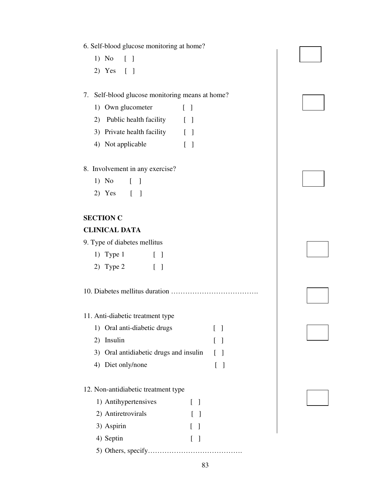- 6. Self-blood glucose monitoring at home?
	- 1) No [ ]
	- 2) Yes [ ]

# 7. Self-blood glucose monitoring means at home?

- 1) Own glucometer [ ]
- 2) Public health facility [ ]
- 3) Private health facility [ ]
- 4) Not applicable [ ]
- 8. Involvement in any exercise?
	- 1) No [ ]
	- 2) Yes [ ]

# **SECTION C**

# **CLINICAL DATA**

9. Type of diabetes mellitus

| 1) Type $1$ |  |  |
|-------------|--|--|
|             |  |  |

2) Type 2 [ ]

10. Diabetes mellitus duration ……………………………….

# 11. Anti-diabetic treatment type

- 1) Oral anti-diabetic drugs [ ] 2) Insulin [ ]
- 3) Oral antidiabetic drugs and insulin [ ]
- 4) Diet only/none [ ]

## 12. Non-antidiabetic treatment type

| 1) Antihypertensives | $\Box$       |  |
|----------------------|--------------|--|
| 2) Antiretrovirals   | $\mathbf{1}$ |  |
| 3) Aspirin           | $\mathbf{1}$ |  |
| 4) Septin            | $\mathbf{1}$ |  |
|                      |              |  |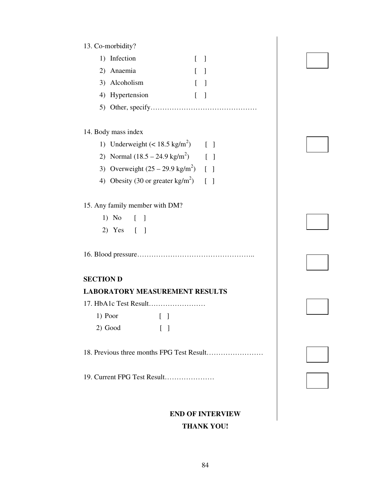| 13. Co-morbidity?                                              |  |
|----------------------------------------------------------------|--|
| 1) Infection<br>$\mathbf{L}$<br>$\mathbf{I}$                   |  |
| 2) Anaemia<br>$\overline{\phantom{a}}$                         |  |
| 3) Alcoholism<br>$\lceil$<br>$\Box$                            |  |
| 4) Hypertension<br>$\Gamma$<br>$\Box$                          |  |
|                                                                |  |
|                                                                |  |
| 14. Body mass index                                            |  |
| 1) Underweight $(< 18.5 \text{ kg/m}^2)$ [ ]                   |  |
| 2) Normal $(18.5 - 24.9 \text{ kg/m}^2)$<br>$\lceil \; \rceil$ |  |
| 3) Overweight $(25 - 29.9 \text{ kg/m}^2)$ [ ]                 |  |
| 4) Obesity (30 or greater $\text{kg/m}^2$ ) [ ]                |  |
|                                                                |  |
| 15. Any family member with DM?                                 |  |
| $1)$ No<br>$\begin{bmatrix} 1 \end{bmatrix}$                   |  |
| 2) Yes [ ]                                                     |  |
|                                                                |  |
|                                                                |  |
|                                                                |  |
| <b>SECTION D</b>                                               |  |
| <b>LABORATORY MEASUREMENT RESULTS</b>                          |  |
|                                                                |  |
| 1) Poor $\Box$                                                 |  |
| 2) Good<br>$\begin{bmatrix} 1 \end{bmatrix}$                   |  |
|                                                                |  |
| 18. Previous three months FPG Test Result                      |  |
|                                                                |  |
| 19. Current FPG Test Result                                    |  |
|                                                                |  |

# **END OF INTERVIEW THANK YOU!**